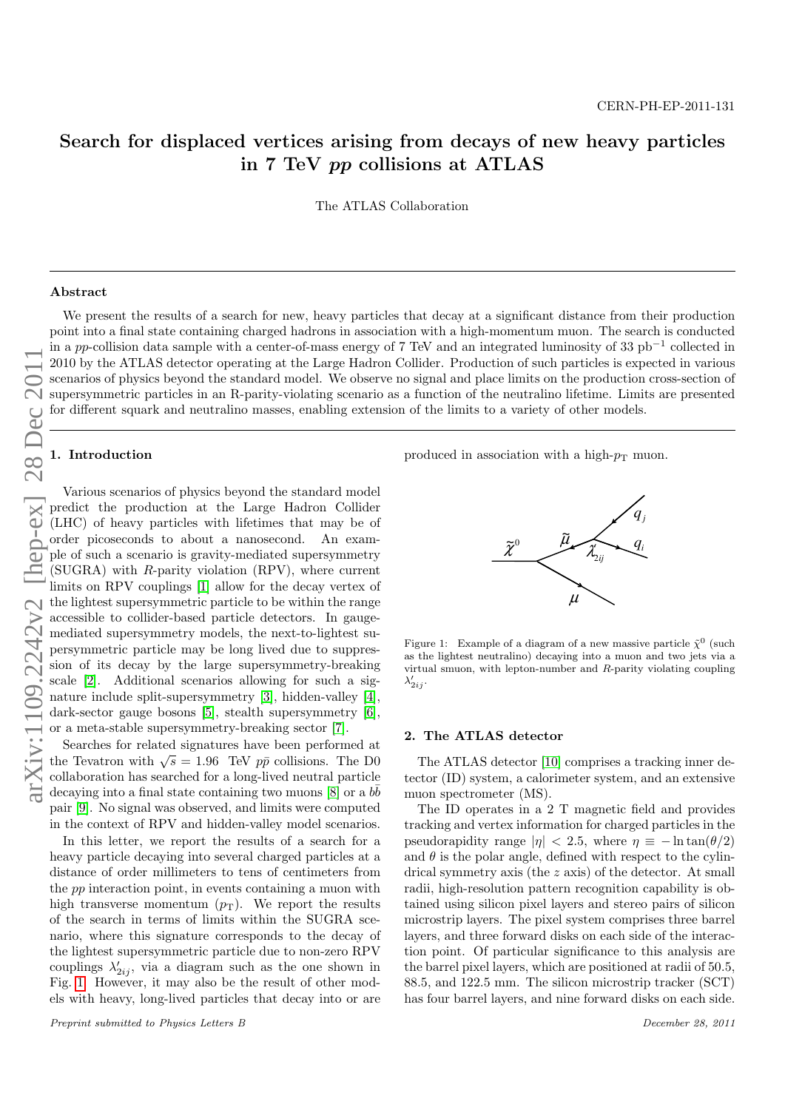# Search for displaced vertices arising from decays of new heavy particles in 7 TeV pp collisions at ATLAS

The ATLAS Collaboration

#### Abstract

We present the results of a search for new, heavy particles that decay at a significant distance from their production point into a final state containing charged hadrons in association with a high-momentum muon. The search is conducted in a pp-collision data sample with a center-of-mass energy of 7 TeV and an integrated luminosity of 33 pb<sup>-1</sup> collected in 2010 by the ATLAS detector operating at the Large Hadron Collider. Production of such particles is expected in various scenarios of physics beyond the standard model. We observe no signal and place limits on the production cross-section of supersymmetric particles in an R-parity-violating scenario as a function of the neutralino lifetime. Limits are presented for different squark and neutralino masses, enabling extension of the limits to a variety of other models.

## 1. Introduction

Various scenarios of physics beyond the standard model predict the production at the Large Hadron Collider (LHC) of heavy particles with lifetimes that may be of order picoseconds to about a nanosecond. An example of such a scenario is gravity-mediated supersymmetry (SUGRA) with R-parity violation (RPV), where current limits on RPV couplings [\[1\]](#page-7-0) allow for the decay vertex of the lightest supersymmetric particle to be within the range accessible to collider-based particle detectors. In gaugemediated supersymmetry models, the next-to-lightest supersymmetric particle may be long lived due to suppression of its decay by the large supersymmetry-breaking scale [\[2\]](#page-7-1). Additional scenarios allowing for such a signature include split-supersymmetry [\[3\]](#page-7-2), hidden-valley [\[4\]](#page-7-3), dark-sector gauge bosons [\[5\]](#page-7-4), stealth supersymmetry [\[6\]](#page-7-5), or a meta-stable supersymmetry-breaking sector [\[7\]](#page-7-6).

Searches for related signatures have been performed at searches for related signatures have been performed at the Tevatron with  $\sqrt{s} = 1.96$  TeV  $p\bar{p}$  collisions. The D0 collaboration has searched for a long-lived neutral particle decaying into a final state containing two muons  $[8]$  or a  $b\bar{b}$ pair [\[9\]](#page-7-8). No signal was observed, and limits were computed in the context of RPV and hidden-valley model scenarios.

In this letter, we report the results of a search for a heavy particle decaying into several charged particles at a distance of order millimeters to tens of centimeters from the pp interaction point, in events containing a muon with high transverse momentum  $(p_T)$ . We report the results of the search in terms of limits within the SUGRA scenario, where this signature corresponds to the decay of the lightest supersymmetric particle due to non-zero RPV couplings  $\lambda'_{2ij}$ , via a diagram such as the one shown in Fig. [1.](#page-0-0) However, it may also be the result of other models with heavy, long-lived particles that decay into or are

Preprint submitted to Physics Letters B December 28, 2011

produced in association with a high- $p_T$  muon.



<span id="page-0-0"></span>Figure 1: Example of a diagram of a new massive particle  $\tilde{\chi}^0$  (such as the lightest neutralino) decaying into a muon and two jets via a virtual smuon, with lepton-number and R-parity violating coupling  $\lambda'_{2ij}$ .

#### 2. The ATLAS detector

The ATLAS detector [\[10\]](#page-7-9) comprises a tracking inner detector (ID) system, a calorimeter system, and an extensive muon spectrometer (MS).

The ID operates in a 2 T magnetic field and provides tracking and vertex information for charged particles in the pseudorapidity range  $|\eta| < 2.5$ , where  $\eta \equiv -\ln \tan(\theta/2)$ and  $\theta$  is the polar angle, defined with respect to the cylindrical symmetry axis (the z axis) of the detector. At small radii, high-resolution pattern recognition capability is obtained using silicon pixel layers and stereo pairs of silicon microstrip layers. The pixel system comprises three barrel layers, and three forward disks on each side of the interaction point. Of particular significance to this analysis are the barrel pixel layers, which are positioned at radii of 50.5, 88.5, and 122.5 mm. The silicon microstrip tracker (SCT) has four barrel layers, and nine forward disks on each side.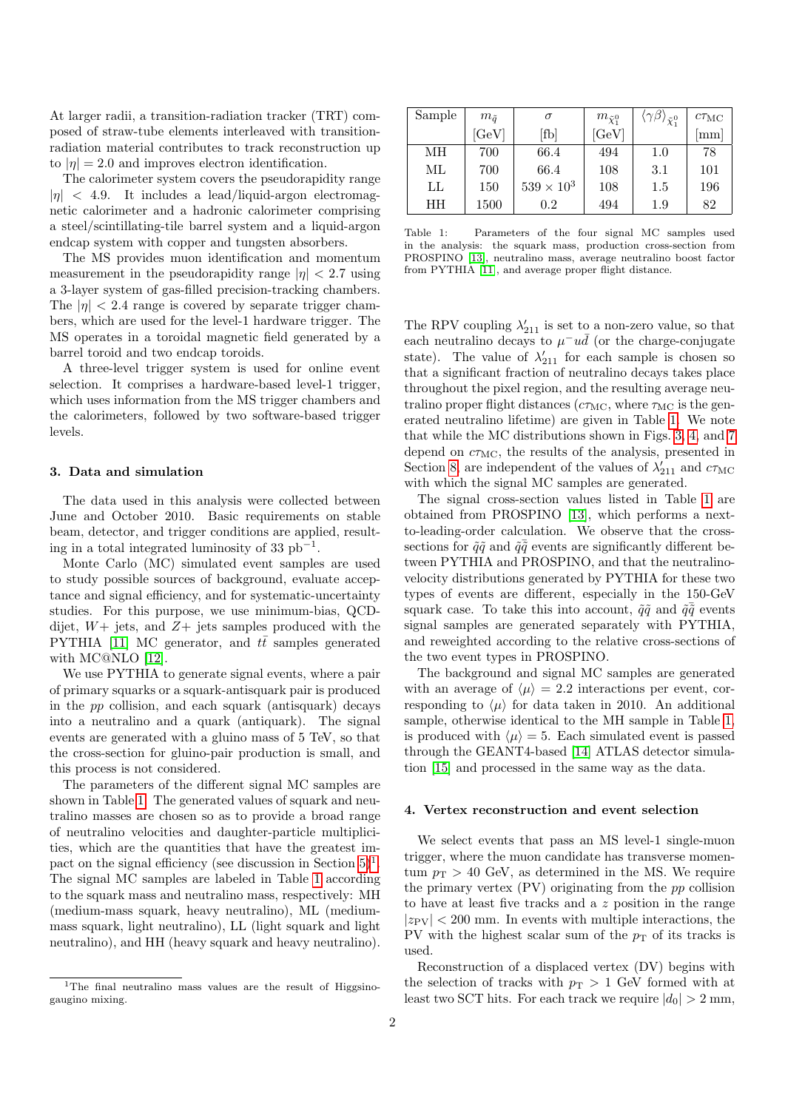At larger radii, a transition-radiation tracker (TRT) composed of straw-tube elements interleaved with transitionradiation material contributes to track reconstruction up to  $|\eta| = 2.0$  and improves electron identification.

The calorimeter system covers the pseudorapidity range  $|\eta|$  < 4.9. It includes a lead/liquid-argon electromagnetic calorimeter and a hadronic calorimeter comprising a steel/scintillating-tile barrel system and a liquid-argon endcap system with copper and tungsten absorbers.

The MS provides muon identification and momentum measurement in the pseudorapidity range  $|n| < 2.7$  using a 3-layer system of gas-filled precision-tracking chambers. The  $|\eta|$  < 2.4 range is covered by separate trigger chambers, which are used for the level-1 hardware trigger. The MS operates in a toroidal magnetic field generated by a barrel toroid and two endcap toroids.

A three-level trigger system is used for online event selection. It comprises a hardware-based level-1 trigger, which uses information from the MS trigger chambers and the calorimeters, followed by two software-based trigger levels.

#### <span id="page-1-2"></span>3. Data and simulation

The data used in this analysis were collected between June and October 2010. Basic requirements on stable beam, detector, and trigger conditions are applied, resulting in a total integrated luminosity of 33  $pb^{-1}$ .

Monte Carlo (MC) simulated event samples are used to study possible sources of background, evaluate acceptance and signal efficiency, and for systematic-uncertainty studies. For this purpose, we use minimum-bias, QCDdijet,  $W+$  jets, and  $Z+$  jets samples produced with the PYTHIA [\[11\]](#page-7-10) MC generator, and  $t\bar{t}$  samples generated with MC@NLO [\[12\]](#page-7-11).

We use PYTHIA to generate signal events, where a pair of primary squarks or a squark-antisquark pair is produced in the pp collision, and each squark (antisquark) decays into a neutralino and a quark (antiquark). The signal events are generated with a gluino mass of 5 TeV, so that the cross-section for gluino-pair production is small, and this process is not considered.

The parameters of the different signal MC samples are shown in Table [1.](#page-1-0) The generated values of squark and neutralino masses are chosen so as to provide a broad range of neutralino velocities and daughter-particle multiplicities, which are the quantities that have the greatest impact on the signal efficiency (see discussion in Section  $5)^1$  $5)^1$ . The signal MC samples are labeled in Table [1](#page-1-0) according to the squark mass and neutralino mass, respectively: MH (medium-mass squark, heavy neutralino), ML (mediummass squark, light neutralino), LL (light squark and light neutralino), and HH (heavy squark and heavy neutralino).

| Sample | $m_{\tilde{a}}$ | $\sigma$          | $m_{\tilde{\chi}_{1}^{0}}$ | $\langle\gamma\beta\rangle_{\tilde\chi_1^0}$ | $c\tau_{\rm MC}$          |
|--------|-----------------|-------------------|----------------------------|----------------------------------------------|---------------------------|
|        | [GeV]           | [fb]              | [GeV]                      |                                              | $\lceil \text{mm} \rceil$ |
| MН     | 700             | 66.4              | 494                        | $1.0\,$                                      | 78                        |
| МL     | 700             | 66.4              | 108                        | 3.1                                          | 101                       |
| LL     | 150             | $539 \times 10^3$ | 108                        | $1.5\,$                                      | 196                       |
| HH     | 1500            | $0.2\,$           | 494                        | $1.9\,$                                      | 82                        |

<span id="page-1-0"></span>Table 1: Parameters of the four signal MC samples used in the analysis: the squark mass, production cross-section from PROSPINO [\[13\]](#page-7-12), neutralino mass, average neutralino boost factor from PYTHIA [\[11\]](#page-7-10), and average proper flight distance.

The RPV coupling  $\lambda'_{211}$  is set to a non-zero value, so that each neutralino decays to  $\mu^- u \bar{d}$  (or the charge-conjugate state). The value of  $\lambda'_{211}$  for each sample is chosen so that a significant fraction of neutralino decays takes place throughout the pixel region, and the resulting average neutralino proper flight distances ( $c\tau_{MC}$ , where  $\tau_{MC}$  is the generated neutralino lifetime) are given in Table [1.](#page-1-0) We note that while the MC distributions shown in Figs. [3,](#page-3-1) [4,](#page-3-2) and [7](#page-6-0) depend on  $c\tau_{MC}$ , the results of the analysis, presented in Section [8,](#page-6-1) are independent of the values of  $\lambda'_{211}$  and  $c\tau_{\rm MC}$ with which the signal MC samples are generated.

The signal cross-section values listed in Table [1](#page-1-0) are obtained from PROSPINO [\[13\]](#page-7-12), which performs a nextto-leading-order calculation. We observe that the crosssections for  $\tilde{q}\tilde{q}$  and  $\tilde{q}\tilde{\bar{q}}$  events are significantly different between PYTHIA and PROSPINO, and that the neutralinovelocity distributions generated by PYTHIA for these two types of events are different, especially in the 150-GeV squark case. To take this into account,  $\tilde{q}\tilde{q}$  and  $\tilde{q}\tilde{q}$  events signal samples are generated separately with PYTHIA, and reweighted according to the relative cross-sections of the two event types in PROSPINO.

The background and signal MC samples are generated with an average of  $\langle \mu \rangle = 2.2$  interactions per event, corresponding to  $\langle \mu \rangle$  for data taken in 2010. An additional sample, otherwise identical to the MH sample in Table [1,](#page-1-0) is produced with  $\langle \mu \rangle = 5$ . Each simulated event is passed through the GEANT4-based [\[14\]](#page-7-13) ATLAS detector simulation [\[15\]](#page-7-14) and processed in the same way as the data.

#### 4. Vertex reconstruction and event selection

We select events that pass an MS level-1 single-muon trigger, where the muon candidate has transverse momentum  $p_T > 40$  GeV, as determined in the MS. We require the primary vertex (PV) originating from the pp collision to have at least five tracks and a z position in the range  $|z_{\rm PV}| < 200$  mm. In events with multiple interactions, the PV with the highest scalar sum of the  $p<sub>T</sub>$  of its tracks is used.

Reconstruction of a displaced vertex (DV) begins with the selection of tracks with  $p_T > 1$  GeV formed with at least two SCT hits. For each track we require  $|d_0| > 2$  mm,

<span id="page-1-1"></span><sup>&</sup>lt;sup>1</sup>The final neutralino mass values are the result of Higgsinogaugino mixing.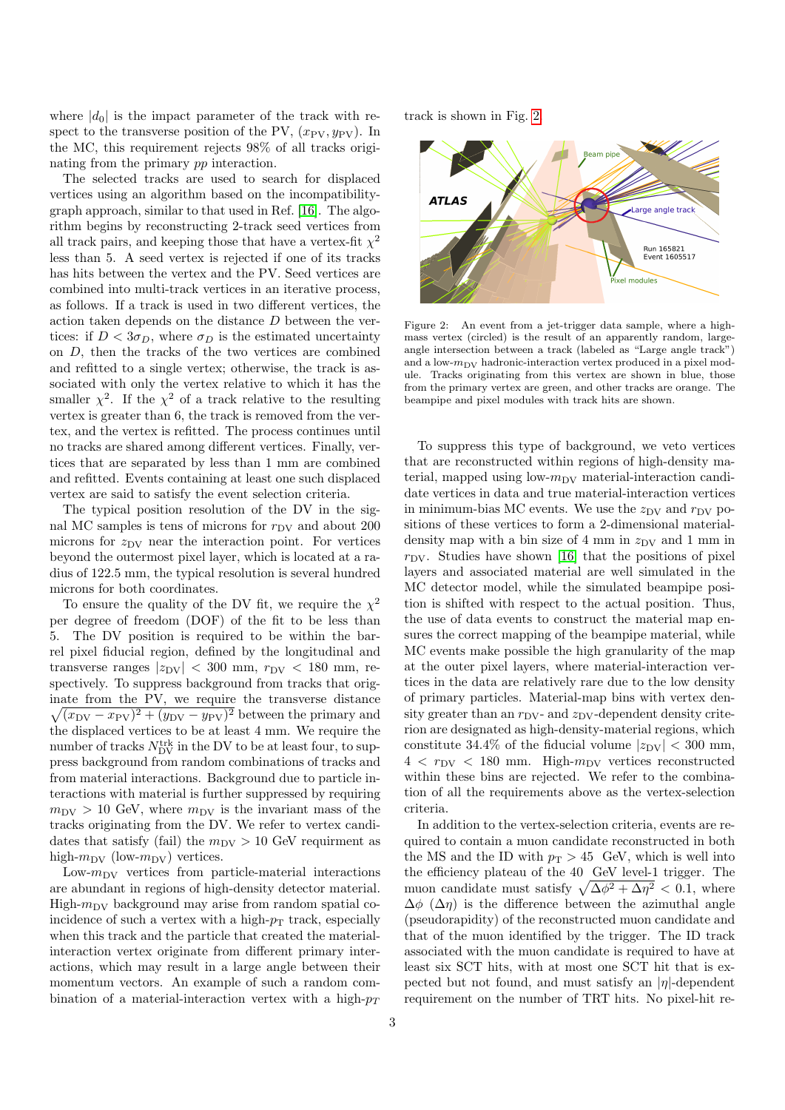where  $|d_0|$  is the impact parameter of the track with respect to the transverse position of the PV,  $(x_{\rm PV}, y_{\rm PV})$ . In the MC, this requirement rejects 98% of all tracks originating from the primary pp interaction.

The selected tracks are used to search for displaced vertices using an algorithm based on the incompatibilitygraph approach, similar to that used in Ref. [\[16\]](#page-7-15). The algorithm begins by reconstructing 2-track seed vertices from all track pairs, and keeping those that have a vertex-fit  $\chi^2$ less than 5. A seed vertex is rejected if one of its tracks has hits between the vertex and the PV. Seed vertices are combined into multi-track vertices in an iterative process, as follows. If a track is used in two different vertices, the action taken depends on the distance D between the vertices: if  $D < 3\sigma_D$ , where  $\sigma_D$  is the estimated uncertainty on D, then the tracks of the two vertices are combined and refitted to a single vertex; otherwise, the track is associated with only the vertex relative to which it has the smaller  $\chi^2$ . If the  $\chi^2$  of a track relative to the resulting vertex is greater than 6, the track is removed from the vertex, and the vertex is refitted. The process continues until no tracks are shared among different vertices. Finally, vertices that are separated by less than 1 mm are combined and refitted. Events containing at least one such displaced vertex are said to satisfy the event selection criteria.

The typical position resolution of the DV in the signal MC samples is tens of microns for  $r_{\rm DV}$  and about 200 microns for  $z_{\text{DV}}$  near the interaction point. For vertices beyond the outermost pixel layer, which is located at a radius of 122.5 mm, the typical resolution is several hundred microns for both coordinates.

To ensure the quality of the DV fit, we require the  $\chi^2$ per degree of freedom (DOF) of the fit to be less than 5. The DV position is required to be within the barrel pixel fiducial region, defined by the longitudinal and transverse ranges  $|z_{\rm DV}| < 300$  mm,  $r_{\rm DV} < 180$  mm, respectively. To suppress background from tracks that originate from the PV, we require the transverse distance  $\sqrt{(x_{\rm DV} - x_{\rm PV})^2 + (y_{\rm DV} - y_{\rm PV})^2}$  between the primary and the displaced vertices to be at least 4 mm. We require the number of tracks  $N_{\mathrm{DV}}^{\mathrm{trk}}$  in the DV to be at least four, to suppress background from random combinations of tracks and from material interactions. Background due to particle interactions with material is further suppressed by requiring  $m_{\text{DV}} > 10$  GeV, where  $m_{\text{DV}}$  is the invariant mass of the tracks originating from the DV. We refer to vertex candidates that satisfy (fail) the  $m_{\text{DV}} > 10$  GeV requirment as high- $m_{\text{DV}}$  (low- $m_{\text{DV}}$ ) vertices.

Low- $m_{\text{DV}}$  vertices from particle-material interactions are abundant in regions of high-density detector material. High- $m_{\text{DV}}$  background may arise from random spatial coincidence of such a vertex with a high- $p<sub>T</sub>$  track, especially when this track and the particle that created the materialinteraction vertex originate from different primary interactions, which may result in a large angle between their momentum vectors. An example of such a random combination of a material-interaction vertex with a high- $p_T$ 

track is shown in Fig. [2.](#page-2-0)



<span id="page-2-0"></span>Figure 2: An event from a jet-trigger data sample, where a highmass vertex (circled) is the result of an apparently random, largeangle intersection between a track (labeled as "Large angle track") and a low- $m_{\text{DV}}$  hadronic-interaction vertex produced in a pixel module. Tracks originating from this vertex are shown in blue, those from the primary vertex are green, and other tracks are orange. The beampipe and pixel modules with track hits are shown.

To suppress this type of background, we veto vertices that are reconstructed within regions of high-density material, mapped using low- $m_{\text{DV}}$  material-interaction candidate vertices in data and true material-interaction vertices in minimum-bias MC events. We use the  $z_{\text{DV}}$  and  $r_{\text{DV}}$  positions of these vertices to form a 2-dimensional materialdensity map with a bin size of 4 mm in  $z_{\rm DV}$  and 1 mm in  $r_{\rm DV}$ . Studies have shown [\[16\]](#page-7-15) that the positions of pixel layers and associated material are well simulated in the MC detector model, while the simulated beampipe position is shifted with respect to the actual position. Thus, the use of data events to construct the material map ensures the correct mapping of the beampipe material, while MC events make possible the high granularity of the map at the outer pixel layers, where material-interaction vertices in the data are relatively rare due to the low density of primary particles. Material-map bins with vertex density greater than an  $r_{\rm DV}$ - and  $z_{\rm DV}$ -dependent density criterion are designated as high-density-material regions, which constitute 34.4% of the fiducial volume  $|z_{\text{DV}}| < 300$  mm,  $4 < r_{\text{DV}} < 180$  mm. High- $m_{\text{DV}}$  vertices reconstructed within these bins are rejected. We refer to the combination of all the requirements above as the vertex-selection criteria.

In addition to the vertex-selection criteria, events are required to contain a muon candidate reconstructed in both the MS and the ID with  $p_T > 45$  GeV, which is well into the efficiency plateau of the 40 GeV level-1 trigger. The muon candidate must satisfy  $\sqrt{\Delta\phi^2 + \Delta\eta^2} < 0.1$ , where  $\Delta\phi$  ( $\Delta\eta$ ) is the difference between the azimuthal angle (pseudorapidity) of the reconstructed muon candidate and that of the muon identified by the trigger. The ID track associated with the muon candidate is required to have at least six SCT hits, with at most one SCT hit that is expected but not found, and must satisfy an  $|\eta|$ -dependent requirement on the number of TRT hits. No pixel-hit re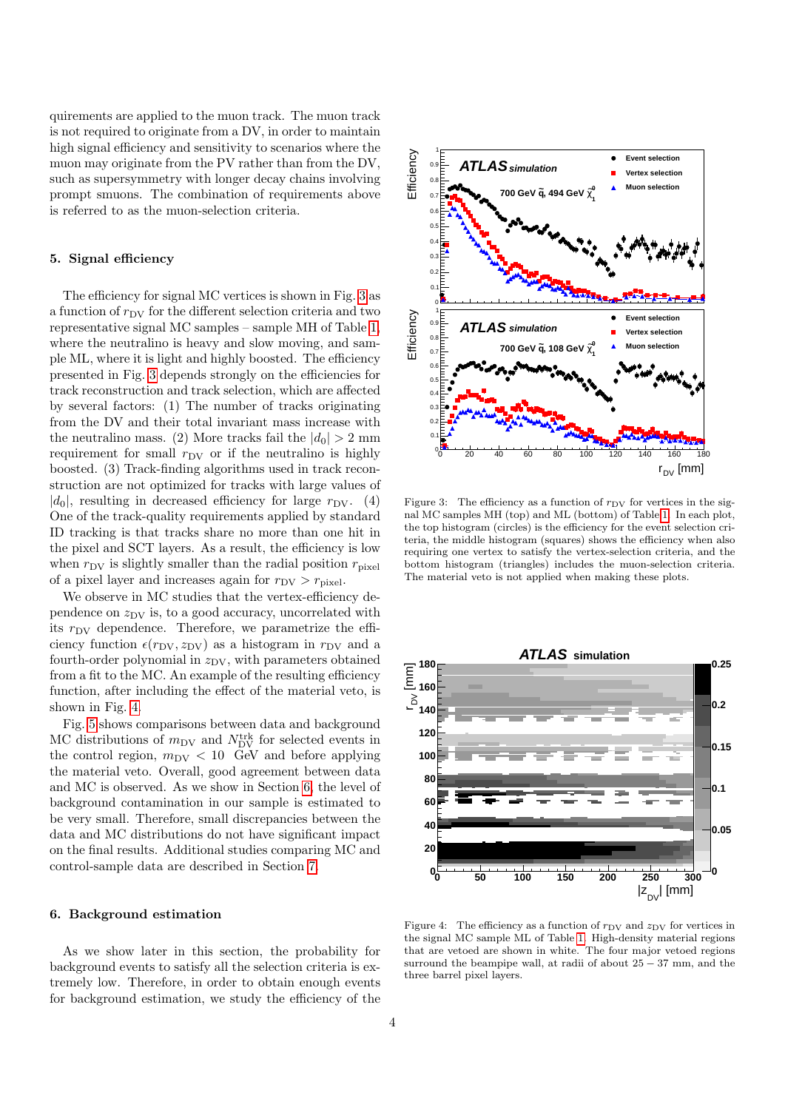quirements are applied to the muon track. The muon track is not required to originate from a DV, in order to maintain high signal efficiency and sensitivity to scenarios where the muon may originate from the PV rather than from the DV, such as supersymmetry with longer decay chains involving prompt smuons. The combination of requirements above is referred to as the muon-selection criteria.

## <span id="page-3-0"></span>5. Signal efficiency

The efficiency for signal MC vertices is shown in Fig. [3](#page-3-1) as a function of  $r_{\rm DV}$  for the different selection criteria and two representative signal MC samples – sample MH of Table [1,](#page-1-0) where the neutralino is heavy and slow moving, and sample ML, where it is light and highly boosted. The efficiency presented in Fig. [3](#page-3-1) depends strongly on the efficiencies for track reconstruction and track selection, which are affected by several factors: (1) The number of tracks originating from the DV and their total invariant mass increase with the neutralino mass. (2) More tracks fail the  $|d_0| > 2$  mm requirement for small  $r_{\rm DV}$  or if the neutralino is highly boosted. (3) Track-finding algorithms used in track reconstruction are not optimized for tracks with large values of  $|d_0|$ , resulting in decreased efficiency for large  $r_{\rm DV}$ . (4) One of the track-quality requirements applied by standard ID tracking is that tracks share no more than one hit in the pixel and SCT layers. As a result, the efficiency is low when  $r_{\rm DV}$  is slightly smaller than the radial position  $r_{\rm pixel}$ of a pixel layer and increases again for  $r_{\text{DV}} > r_{\text{pixel}}$ .

We observe in MC studies that the vertex-efficiency dependence on  $z_{\rm DV}$  is, to a good accuracy, uncorrelated with its  $r_{\rm DV}$  dependence. Therefore, we parametrize the efficiency function  $\epsilon(r_{\rm DV}, z_{\rm DV})$  as a histogram in  $r_{\rm DV}$  and a fourth-order polynomial in  $z_{\rm DV}$ , with parameters obtained from a fit to the MC. An example of the resulting efficiency function, after including the effect of the material veto, is shown in Fig. [4.](#page-3-2)

Fig. [5](#page-4-0) shows comparisons between data and background MC distributions of  $m_{\text{DV}}$  and  $N_{\text{DV}}^{\text{trk}}$  for selected events in the control region,  $m_{\text{DV}} < 10$  GeV and before applying the material veto. Overall, good agreement between data and MC is observed. As we show in Section [6,](#page-3-3) the level of background contamination in our sample is estimated to be very small. Therefore, small discrepancies between the data and MC distributions do not have significant impact on the final results. Additional studies comparing MC and control-sample data are described in Section [7.](#page-5-0)

## <span id="page-3-3"></span>6. Background estimation

As we show later in this section, the probability for background events to satisfy all the selection criteria is extremely low. Therefore, in order to obtain enough events for background estimation, we study the efficiency of the



<span id="page-3-1"></span>Figure 3: The efficiency as a function of  $r_{\rm DV}$  for vertices in the signal MC samples MH (top) and ML (bottom) of Table [1.](#page-1-0) In each plot, the top histogram (circles) is the efficiency for the event selection criteria, the middle histogram (squares) shows the efficiency when also requiring one vertex to satisfy the vertex-selection criteria, and the bottom histogram (triangles) includes the muon-selection criteria. The material veto is not applied when making these plots.



<span id="page-3-2"></span>Figure 4: The efficiency as a function of  $r_{\rm DV}$  and  $z_{\rm DV}$  for vertices in the signal MC sample ML of Table [1.](#page-1-0) High-density material regions that are vetoed are shown in white. The four major vetoed regions surround the beampipe wall, at radii of about  $25 - 37$  mm, and the three barrel pixel layers.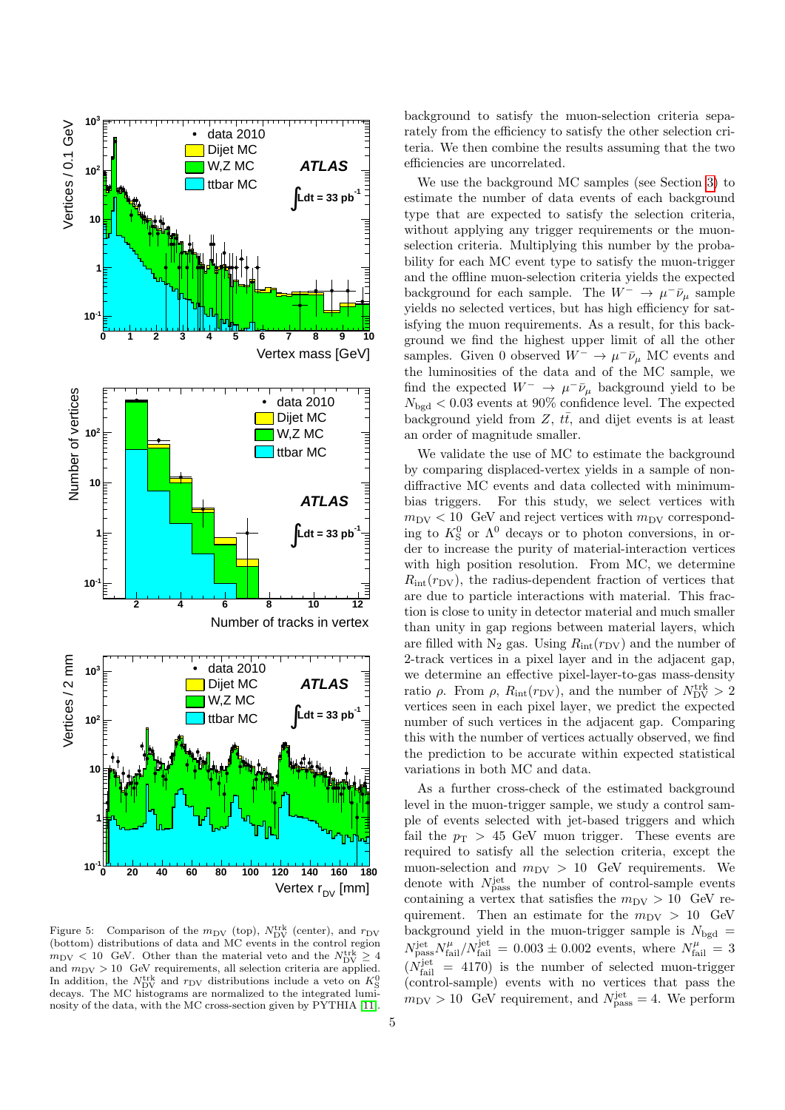

<span id="page-4-0"></span>Figure 5: Comparison of the  $m_{\text{DV}}$  (top),  $N_{\text{DV}}^{\text{trk}}$  (center), and  $r_{\text{DV}}$ (bottom) distributions of data and MC events in the control region  $m_{\text{DV}} < 10$  GeV. Other than the material veto and the  $N_{\text{DV}}^{\text{trk}} \geq 4$ and  $m_{\text{DV}} > 10$  GeV requirements, all selection criteria are applied. In addition, the  $N_{\text{DV}}^{\text{trk}}$  and  $r_{\text{DV}}$  distributions include a veto on  $K^0_{\text{S}}$ decays. The MC histograms are normalized to the integrated luminosity of the data, with the MC cross-section given by PYTHIA [\[11\]](#page-7-10).

background to satisfy the muon-selection criteria separately from the efficiency to satisfy the other selection criteria. We then combine the results assuming that the two efficiencies are uncorrelated.

We use the background MC samples (see Section [3\)](#page-1-2) to estimate the number of data events of each background type that are expected to satisfy the selection criteria, without applying any trigger requirements or the muonselection criteria. Multiplying this number by the probability for each MC event type to satisfy the muon-trigger and the offline muon-selection criteria yields the expected background for each sample. The  $W^- \to \mu^- \bar{\nu}_\mu$  sample yields no selected vertices, but has high efficiency for satisfying the muon requirements. As a result, for this background we find the highest upper limit of all the other samples. Given 0 observed  $W^- \to \mu^- \bar{\nu}_\mu$  MC events and the luminosities of the data and of the MC sample, we find the expected  $W^ \rightarrow \mu^- \bar{\nu}_{\mu}$  background yield to be  $N_{\text{bgd}} < 0.03$  events at 90% confidence level. The expected background yield from  $Z$ ,  $t\bar{t}$ , and dijet events is at least an order of magnitude smaller.

We validate the use of MC to estimate the background by comparing displaced-vertex yields in a sample of nondiffractive MC events and data collected with minimumbias triggers. For this study, we select vertices with  $m_{\text{DV}} < 10$  GeV and reject vertices with  $m_{\text{DV}}$  corresponding to  $K^0$  or  $\Lambda^0$  decays or to photon conversions, in order to increase the purity of material-interaction vertices with high position resolution. From MC, we determine  $R_{\text{int}}(r_{\text{DV}})$ , the radius-dependent fraction of vertices that are due to particle interactions with material. This fraction is close to unity in detector material and much smaller than unity in gap regions between material layers, which are filled with  $N_2$  gas. Using  $R_{int}(r_{DV})$  and the number of 2-track vertices in a pixel layer and in the adjacent gap, we determine an effective pixel-layer-to-gas mass-density ratio  $\rho$ . From  $\rho$ ,  $R_{\text{int}}(r_{\text{DV}})$ , and the number of  $N_{\text{DV}}^{\text{trk}} > 2$ vertices seen in each pixel layer, we predict the expected number of such vertices in the adjacent gap. Comparing this with the number of vertices actually observed, we find the prediction to be accurate within expected statistical variations in both MC and data.

As a further cross-check of the estimated background level in the muon-trigger sample, we study a control sample of events selected with jet-based triggers and which fail the  $p_T > 45$  GeV muon trigger. These events are required to satisfy all the selection criteria, except the muon-selection and  $m_{\text{DV}} > 10$  GeV requirements. We denote with  $N_{\text{pass}}^{\text{jet}}$  the number of control-sample events containing a vertex that satisfies the  $m_{\text{DV}} > 10$  GeV requirement. Then an estimate for the  $m_{\text{DV}} > 10$  GeV background yield in the muon-trigger sample is  $N_{\text{bgd}} =$  $N_{\text{pass}}^{\text{jet}} N_{\text{fail}}^{\mu} / N_{\text{fail}}^{\text{jet}} = 0.003 \pm 0.002$  events, where  $N_{\text{fail}}^{\mu} = 3$  $(N_{\text{fail}}^{\text{jet}} = 4170)$  is the number of selected muon-trigger (control-sample) events with no vertices that pass the  $m_{\text{DV}} > 10$  GeV requirement, and  $N_{\text{pass}}^{\text{jet}} = 4$ . We perform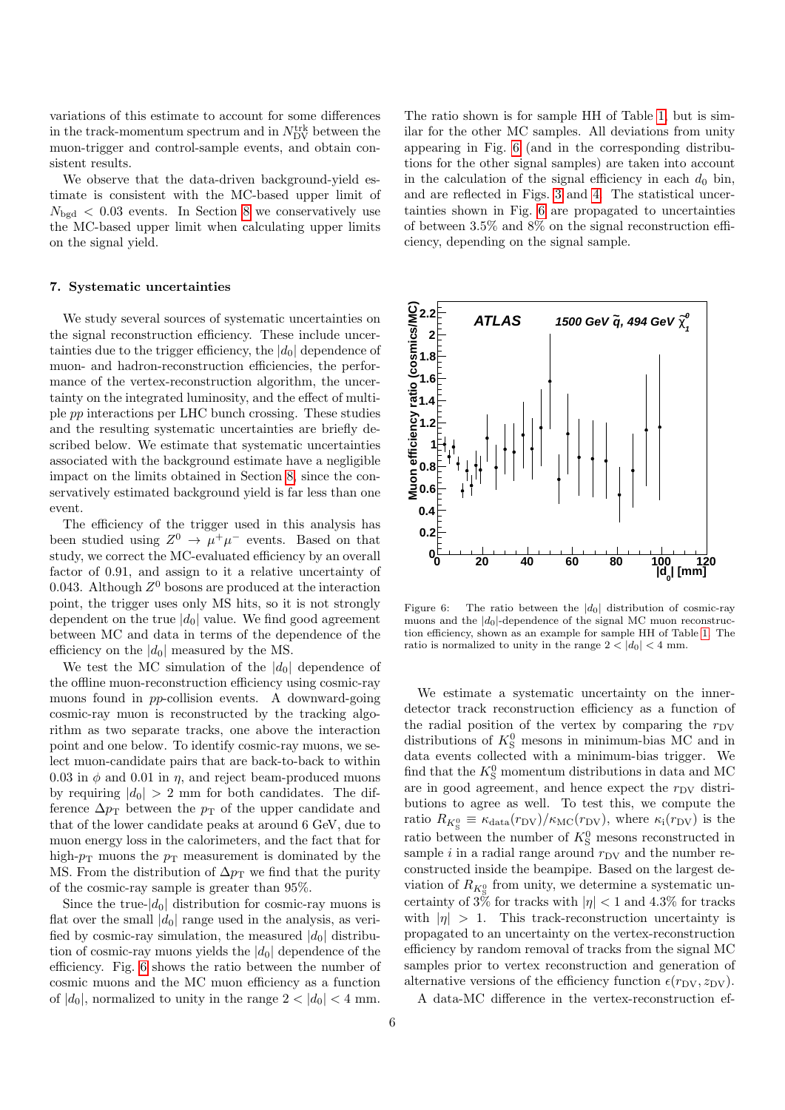variations of this estimate to account for some differences in the track-momentum spectrum and in  $N_{\text{DV}}^{\text{trk}}$  between the muon-trigger and control-sample events, and obtain consistent results.

We observe that the data-driven background-yield estimate is consistent with the MC-based upper limit of  $N_{\text{bgd}} < 0.03$  events. In Section [8](#page-6-1) we conservatively use the MC-based upper limit when calculating upper limits on the signal yield.

#### <span id="page-5-0"></span>7. Systematic uncertainties

We study several sources of systematic uncertainties on the signal reconstruction efficiency. These include uncertainties due to the trigger efficiency, the  $|d_0|$  dependence of muon- and hadron-reconstruction efficiencies, the performance of the vertex-reconstruction algorithm, the uncertainty on the integrated luminosity, and the effect of multiple pp interactions per LHC bunch crossing. These studies and the resulting systematic uncertainties are briefly described below. We estimate that systematic uncertainties associated with the background estimate have a negligible impact on the limits obtained in Section [8,](#page-6-1) since the conservatively estimated background yield is far less than one event.

The efficiency of the trigger used in this analysis has been studied using  $Z^0 \to \mu^+ \mu^-$  events. Based on that study, we correct the MC-evaluated efficiency by an overall factor of 0.91, and assign to it a relative uncertainty of 0.043. Although  $Z^0$  bosons are produced at the interaction point, the trigger uses only MS hits, so it is not strongly dependent on the true  $|d_0|$  value. We find good agreement between MC and data in terms of the dependence of the efficiency on the  $|d_0|$  measured by the MS.

We test the MC simulation of the  $|d_0|$  dependence of the offline muon-reconstruction efficiency using cosmic-ray muons found in pp-collision events. A downward-going cosmic-ray muon is reconstructed by the tracking algorithm as two separate tracks, one above the interaction point and one below. To identify cosmic-ray muons, we select muon-candidate pairs that are back-to-back to within 0.03 in  $\phi$  and 0.01 in  $\eta$ , and reject beam-produced muons by requiring  $|d_0| > 2$  mm for both candidates. The difference  $\Delta p_T$  between the  $p_T$  of the upper candidate and that of the lower candidate peaks at around 6 GeV, due to muon energy loss in the calorimeters, and the fact that for high- $p_T$  muons the  $p_T$  measurement is dominated by the MS. From the distribution of  $\Delta p_T$  we find that the purity of the cosmic-ray sample is greater than 95%.

Since the true- $|d_0|$  distribution for cosmic-ray muons is flat over the small  $|d_0|$  range used in the analysis, as verified by cosmic-ray simulation, the measured  $|d_0|$  distribution of cosmic-ray muons yields the  $|d_0|$  dependence of the efficiency. Fig. [6](#page-5-1) shows the ratio between the number of cosmic muons and the MC muon efficiency as a function of  $|d_0|$ , normalized to unity in the range  $2 < |d_0| < 4$  mm.

The ratio shown is for sample HH of Table [1,](#page-1-0) but is similar for the other MC samples. All deviations from unity appearing in Fig. [6](#page-5-1) (and in the corresponding distributions for the other signal samples) are taken into account in the calculation of the signal efficiency in each  $d_0$  bin, and are reflected in Figs. [3](#page-3-1) and [4.](#page-3-2) The statistical uncertainties shown in Fig. [6](#page-5-1) are propagated to uncertainties of between 3.5% and 8% on the signal reconstruction efficiency, depending on the signal sample.



<span id="page-5-1"></span>Figure 6: The ratio between the  $|d_0|$  distribution of cosmic-ray muons and the  $|d_0|$ -dependence of the signal MC muon reconstruction efficiency, shown as an example for sample HH of Table [1.](#page-1-0) The ratio is normalized to unity in the range  $2 < |d_0| < 4$  mm.

We estimate a systematic uncertainty on the innerdetector track reconstruction efficiency as a function of the radial position of the vertex by comparing the  $r_{\rm DV}$ distributions of  $K^0_S$  mesons in minimum-bias MC and in data events collected with a minimum-bias trigger. We find that the  $K^0_S$  momentum distributions in data and MC are in good agreement, and hence expect the  $r_{\rm DV}$  distributions to agree as well. To test this, we compute the ratio  $R_{K^0_S} \equiv \kappa_{\text{data}}(r_{\text{DV}})/\kappa_{\text{MC}}(r_{\text{DV}})$ , where  $\kappa_i(r_{\text{DV}})$  is the ratio between the number of  $K^0_S$  mesons reconstructed in sample i in a radial range around  $r_{\rm DV}$  and the number reconstructed inside the beampipe. Based on the largest deviation of  $R_{K^0_S}$  from unity, we determine a systematic uncertainty of  $3\%$  for tracks with  $|\eta| < 1$  and  $4.3\%$  for tracks with  $|\eta| > 1$ . This track-reconstruction uncertainty is propagated to an uncertainty on the vertex-reconstruction efficiency by random removal of tracks from the signal MC samples prior to vertex reconstruction and generation of alternative versions of the efficiency function  $\epsilon(r_{\rm DV}, z_{\rm DV})$ .

A data-MC difference in the vertex-reconstruction ef-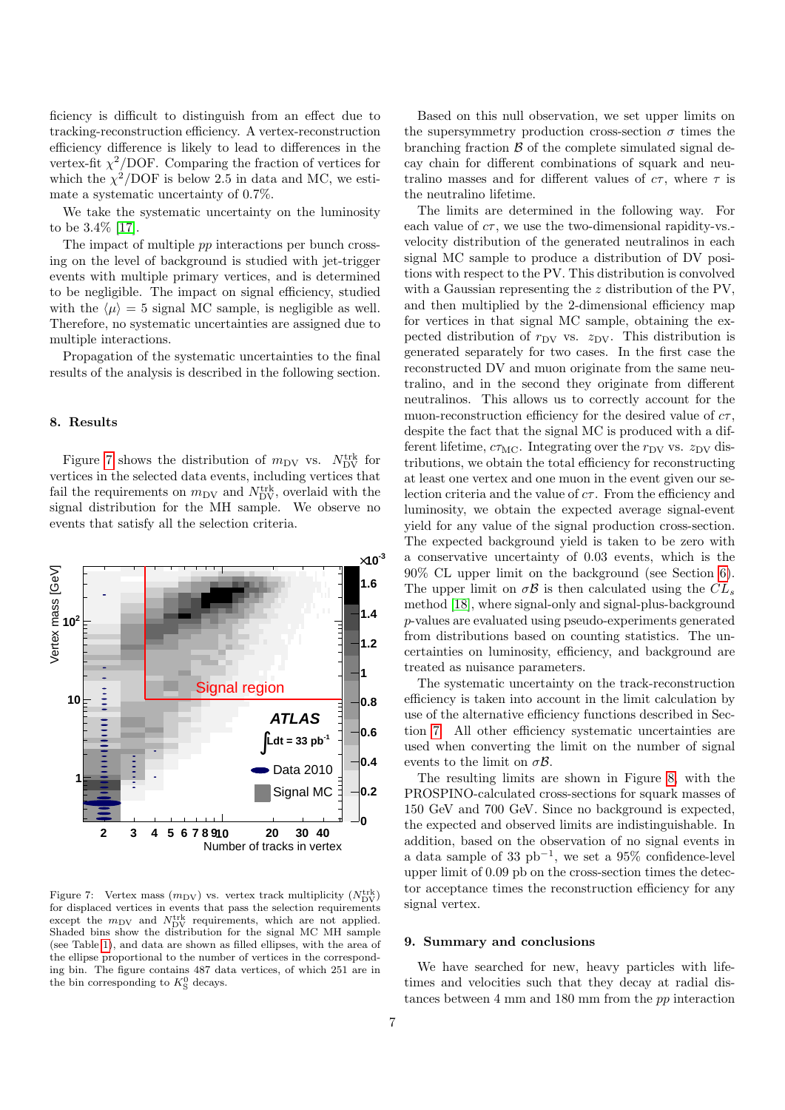ficiency is difficult to distinguish from an effect due to tracking-reconstruction efficiency. A vertex-reconstruction efficiency difference is likely to lead to differences in the vertex-fit  $\chi^2$ /DOF. Comparing the fraction of vertices for which the  $\chi^2$ /DOF is below 2.5 in data and MC, we estimate a systematic uncertainty of 0.7%.

We take the systematic uncertainty on the luminosity to be 3.4% [\[17\]](#page-7-16).

The impact of multiple pp interactions per bunch crossing on the level of background is studied with jet-trigger events with multiple primary vertices, and is determined to be negligible. The impact on signal efficiency, studied with the  $\langle \mu \rangle = 5$  signal MC sample, is negligible as well. Therefore, no systematic uncertainties are assigned due to multiple interactions.

Propagation of the systematic uncertainties to the final results of the analysis is described in the following section.

#### <span id="page-6-1"></span>8. Results

Figure [7](#page-6-0) shows the distribution of  $m_{\text{DV}}$  vs.  $N_{\text{DV}}^{\text{trk}}$  for vertices in the selected data events, including vertices that fail the requirements on  $m_{\text{DV}}$  and  $N_{\text{DV}}^{\text{trk}}$ , overlaid with the signal distribution for the MH sample. We observe no events that satisfy all the selection criteria.



<span id="page-6-0"></span>Figure 7: Vertex mass  $(m_{\text{DV}})$  vs. vertex track multiplicity  $(N_{\text{DV}}^{\text{trk}})$ for displaced vertices in events that pass the selection requirements except the  $m_{\text{DV}}$  and  $N_{\text{DV}}^{\text{trk}}$  requirements, which are not applied. Shaded bins show the distribution for the signal MC MH sample (see Table [1\)](#page-1-0), and data are shown as filled ellipses, with the area of the ellipse proportional to the number of vertices in the corresponding bin. The figure contains 487 data vertices, of which 251 are in the bin corresponding to  $K_S^0$  decays.

Based on this null observation, we set upper limits on the supersymmetry production cross-section  $\sigma$  times the branching fraction  $\beta$  of the complete simulated signal decay chain for different combinations of squark and neutralino masses and for different values of  $c\tau$ , where  $\tau$  is the neutralino lifetime.

The limits are determined in the following way. For each value of  $c\tau$ , we use the two-dimensional rapidity-vs. velocity distribution of the generated neutralinos in each signal MC sample to produce a distribution of DV positions with respect to the PV. This distribution is convolved with a Gaussian representing the z distribution of the PV, and then multiplied by the 2-dimensional efficiency map for vertices in that signal MC sample, obtaining the expected distribution of  $r_{\text{DV}}$  vs.  $z_{\text{DV}}$ . This distribution is generated separately for two cases. In the first case the reconstructed DV and muon originate from the same neutralino, and in the second they originate from different neutralinos. This allows us to correctly account for the muon-reconstruction efficiency for the desired value of  $c\tau$ , despite the fact that the signal MC is produced with a different lifetime,  $c\tau_{MC}$ . Integrating over the  $r_{DV}$  vs.  $z_{DV}$  distributions, we obtain the total efficiency for reconstructing at least one vertex and one muon in the event given our selection criteria and the value of  $c\tau$ . From the efficiency and luminosity, we obtain the expected average signal-event yield for any value of the signal production cross-section. The expected background yield is taken to be zero with a conservative uncertainty of 0.03 events, which is the 90% CL upper limit on the background (see Section [6\)](#page-3-3). The upper limit on  $\sigma \mathcal{B}$  is then calculated using the  $CL_s$ method [\[18\]](#page-7-17), where signal-only and signal-plus-background p-values are evaluated using pseudo-experiments generated from distributions based on counting statistics. The uncertainties on luminosity, efficiency, and background are treated as nuisance parameters.

The systematic uncertainty on the track-reconstruction efficiency is taken into account in the limit calculation by use of the alternative efficiency functions described in Section [7.](#page-5-0) All other efficiency systematic uncertainties are used when converting the limit on the number of signal events to the limit on  $\sigma \mathcal{B}$ .

The resulting limits are shown in Figure [8,](#page-7-18) with the PROSPINO-calculated cross-sections for squark masses of 150 GeV and 700 GeV. Since no background is expected, the expected and observed limits are indistinguishable. In addition, based on the observation of no signal events in a data sample of 33 pb<sup>−</sup><sup>1</sup> , we set a 95% confidence-level upper limit of 0.09 pb on the cross-section times the detector acceptance times the reconstruction efficiency for any signal vertex.

#### 9. Summary and conclusions

We have searched for new, heavy particles with lifetimes and velocities such that they decay at radial distances between 4 mm and 180 mm from the pp interaction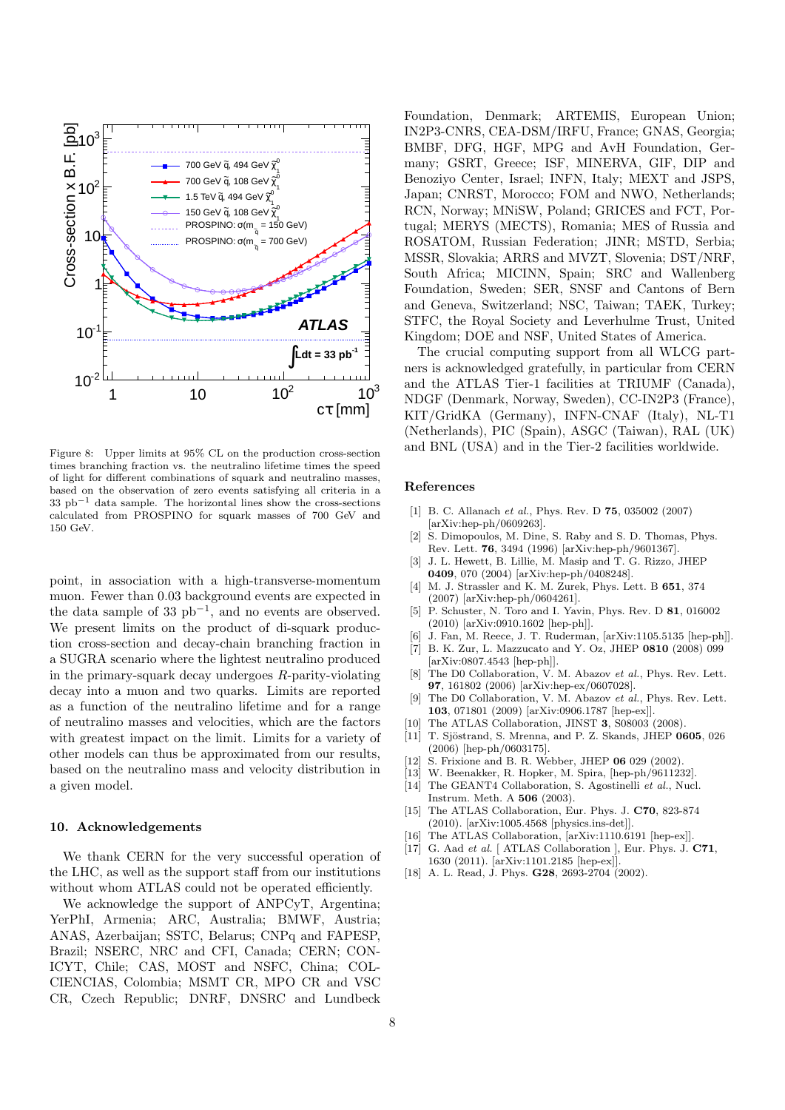

<span id="page-7-18"></span>Figure 8: Upper limits at 95% CL on the production cross-section times branching fraction vs. the neutralino lifetime times the speed of light for different combinations of squark and neutralino masses, based on the observation of zero events satisfying all criteria in a  $33$  pb<sup>-1</sup> data sample. The horizontal lines show the cross-sections calculated from PROSPINO for squark masses of 700 GeV and 150 GeV.

point, in association with a high-transverse-momentum muon. Fewer than 0.03 background events are expected in the data sample of 33  $pb^{-1}$ , and no events are observed. We present limits on the product of di-squark production cross-section and decay-chain branching fraction in a SUGRA scenario where the lightest neutralino produced in the primary-squark decay undergoes R-parity-violating decay into a muon and two quarks. Limits are reported as a function of the neutralino lifetime and for a range of neutralino masses and velocities, which are the factors with greatest impact on the limit. Limits for a variety of other models can thus be approximated from our results, based on the neutralino mass and velocity distribution in a given model.

#### 10. Acknowledgements

We thank CERN for the very successful operation of the LHC, as well as the support staff from our institutions without whom ATLAS could not be operated efficiently.

We acknowledge the support of ANPCyT, Argentina; YerPhI, Armenia; ARC, Australia; BMWF, Austria; ANAS, Azerbaijan; SSTC, Belarus; CNPq and FAPESP, Brazil; NSERC, NRC and CFI, Canada; CERN; CON-ICYT, Chile; CAS, MOST and NSFC, China; COL-CIENCIAS, Colombia; MSMT CR, MPO CR and VSC CR, Czech Republic; DNRF, DNSRC and Lundbeck

Foundation, Denmark; ARTEMIS, European Union; IN2P3-CNRS, CEA-DSM/IRFU, France; GNAS, Georgia; BMBF, DFG, HGF, MPG and AvH Foundation, Germany; GSRT, Greece; ISF, MINERVA, GIF, DIP and Benoziyo Center, Israel; INFN, Italy; MEXT and JSPS, Japan; CNRST, Morocco; FOM and NWO, Netherlands; RCN, Norway; MNiSW, Poland; GRICES and FCT, Portugal; MERYS (MECTS), Romania; MES of Russia and ROSATOM, Russian Federation; JINR; MSTD, Serbia; MSSR, Slovakia; ARRS and MVZT, Slovenia; DST/NRF, South Africa; MICINN, Spain; SRC and Wallenberg Foundation, Sweden; SER, SNSF and Cantons of Bern and Geneva, Switzerland; NSC, Taiwan; TAEK, Turkey; STFC, the Royal Society and Leverhulme Trust, United Kingdom; DOE and NSF, United States of America.

The crucial computing support from all WLCG partners is acknowledged gratefully, in particular from CERN and the ATLAS Tier-1 facilities at TRIUMF (Canada), NDGF (Denmark, Norway, Sweden), CC-IN2P3 (France), KIT/GridKA (Germany), INFN-CNAF (Italy), NL-T1 (Netherlands), PIC (Spain), ASGC (Taiwan), RAL (UK) and BNL (USA) and in the Tier-2 facilities worldwide.

#### References

- <span id="page-7-0"></span>[1] B. C. Allanach et al., Phys. Rev. D **75**, 035002 (2007) [arXiv:hep-ph/0609263].
- <span id="page-7-1"></span>[2] S. Dimopoulos, M. Dine, S. Raby and S. D. Thomas, Phys. Rev. Lett. 76, 3494 (1996) [arXiv:hep-ph/9601367].
- <span id="page-7-2"></span>[3] J. L. Hewett, B. Lillie, M. Masip and T. G. Rizzo, JHEP 0409, 070 (2004) [arXiv:hep-ph/0408248].
- <span id="page-7-3"></span>[4] M. J. Strassler and K. M. Zurek, Phys. Lett. B 651, 374 (2007) [arXiv:hep-ph/0604261].
- <span id="page-7-4"></span>[5] P. Schuster, N. Toro and I. Yavin, Phys. Rev. D 81, 016002 (2010) [arXiv:0910.1602 [hep-ph]].
- <span id="page-7-5"></span>J. Fan, M. Reece, J. T. Ruderman, [arXiv:1105.5135 [hep-ph]].
- <span id="page-7-6"></span>[7] B. K. Zur, L. Mazzucato and Y. Oz, JHEP 0810 (2008) 099 [arXiv:0807.4543 [hep-ph]].
- <span id="page-7-7"></span>[8] The D0 Collaboration, V. M. Abazov et al., Phys. Rev. Lett. 97, 161802 (2006) [arXiv:hep-ex/0607028].
- <span id="page-7-8"></span>[9] The D0 Collaboration, V. M. Abazov et al., Phys. Rev. Lett. 103, 071801 (2009) [arXiv:0906.1787 [hep-ex]].
- <span id="page-7-9"></span>[10] The ATLAS Collaboration, JINST 3, S08003 (2008).
- <span id="page-7-10"></span>[11] T. Sjöstrand, S. Mrenna, and P. Z. Skands, JHEP  $0605$ , 026 (2006) [hep-ph/0603175].
- <span id="page-7-11"></span>[12] S. Frixione and B. R. Webber, JHEP 06 029 (2002).
- <span id="page-7-12"></span>[13] W. Beenakker, R. Hopker, M. Spira, [hep-ph/9611232].
- <span id="page-7-13"></span>[14] The GEANT4 Collaboration, S. Agostinelli et al., Nucl. Instrum. Meth. A 506 (2003).
- <span id="page-7-14"></span>[15] The ATLAS Collaboration, Eur. Phys. J. C70, 823-874 (2010). [arXiv:1005.4568 [physics.ins-det]].
- <span id="page-7-15"></span>[16] The ATLAS Collaboration,  $\vert a r X i v : 1110.6191$  [hep-ex]].
- <span id="page-7-16"></span>[17] G. Aad et al. [ ATLAS Collaboration ], Eur. Phys. J. C71, 1630 (2011). [arXiv:1101.2185 [hep-ex]].
- <span id="page-7-17"></span>[18] A. L. Read, J. Phys. **G28**, 2693-2704 (2002).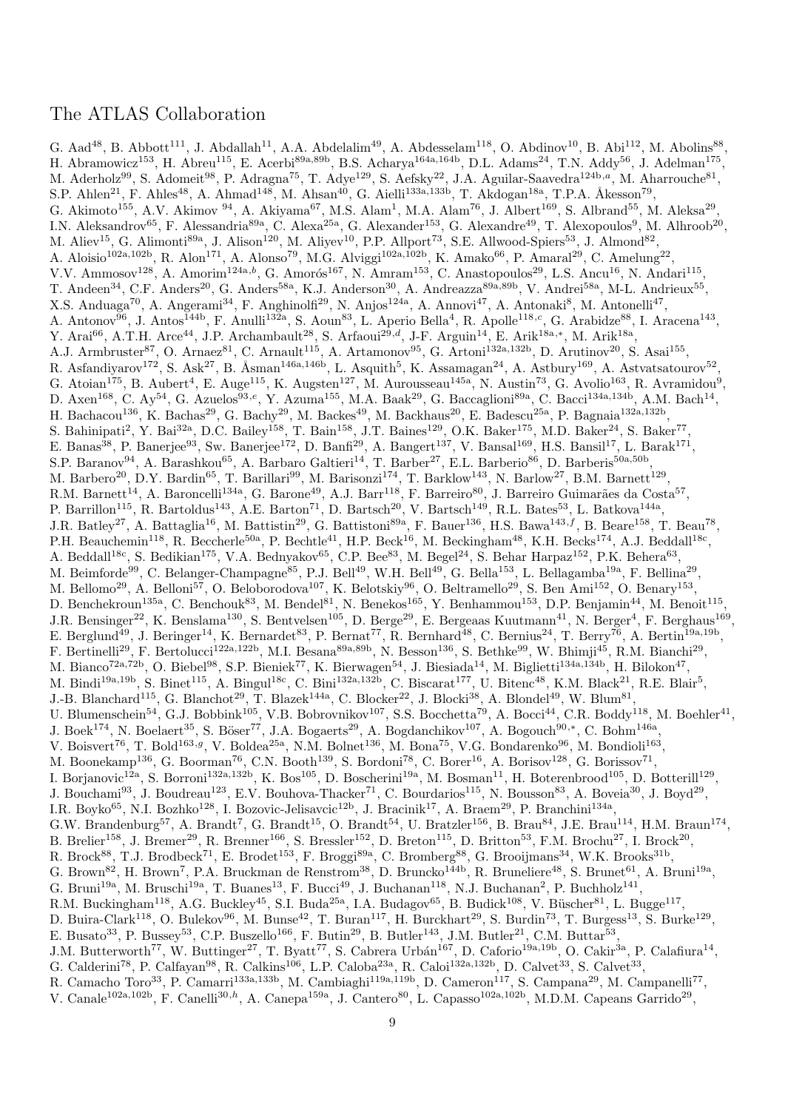# The ATLAS Collaboration

G. Aad<sup>48</sup>, B. Abbott<sup>111</sup>, J. Abdallah<sup>11</sup>, A.A. Abdelalim<sup>49</sup>, A. Abdesselam<sup>118</sup>, O. Abdinov<sup>10</sup>, B. Abi<sup>112</sup>, M. Abolins<sup>88</sup>, H. Abramowicz<sup>153</sup>, H. Abreu<sup>115</sup>, E. Acerbi<sup>89a,89b</sup>, B.S. Acharya<sup>164a,164b</sup>, D.L. Adams<sup>24</sup>, T.N. Addy<sup>56</sup>, J. Adelman<sup>175</sup>, M. Aderholz<sup>99</sup>, S. Adomeit<sup>98</sup>, P. Adragna<sup>75</sup>, T. Adye<sup>129</sup>, S. Aefsky<sup>22</sup>, J.A. Aguilar-Saavedra<sup>124b,a</sup>, M. Aharrouche<sup>81</sup>, S.P. Ahlen<sup>21</sup>, F. Ahles<sup>48</sup>, A. Ahmad<sup>148</sup>, M. Ahsan<sup>40</sup>, G. Aielli<sup>133a,133b</sup>, T. Akdogan<sup>18a</sup>, T.P.A. Åkesson<sup>79</sup>, G. Akimoto<sup>155</sup>, A.V. Akimov <sup>94</sup>, A. Akiyama<sup>67</sup>, M.S. Alam<sup>1</sup>, M.A. Alam<sup>76</sup>, J. Albert<sup>169</sup>, S. Albrand<sup>55</sup>, M. Aleksa<sup>29</sup>, I.N. Aleksandrov<sup>65</sup>, F. Alessandria<sup>89a</sup>, C. Alexa<sup>25a</sup>, G. Alexander<sup>153</sup>, G. Alexandre<sup>49</sup>, T. Alexopoulos<sup>9</sup>, M. Alhroob<sup>20</sup>, M. Aliev<sup>15</sup>, G. Alimonti<sup>89a</sup>, J. Alison<sup>120</sup>, M. Aliyev<sup>10</sup>, P.P. Allport<sup>73</sup>, S.E. Allwood-Spiers<sup>53</sup>, J. Almond<sup>82</sup>, A. Aloisio<sup>102a,102b</sup>, R. Alon<sup>171</sup>, A. Alonso<sup>79</sup>, M.G. Alviggi<sup>102a,102b</sup>, K. Amako<sup>66</sup>, P. Amaral<sup>29</sup>, C. Amelung<sup>22</sup>, V.V. Ammosov<sup>128</sup>, A. Amorim<sup>124a,b</sup>, G. Amorós<sup>167</sup>, N. Amram<sup>153</sup>, C. Anastopoulos<sup>29</sup>, L.S. Ancu<sup>16</sup>, N. Andari<sup>115</sup>, T. Andeen<sup>34</sup>, C.F. Anders<sup>20</sup>, G. Anders<sup>58a</sup>, K.J. Anderson<sup>30</sup>, A. Andreazza<sup>89a,89b</sup>, V. Andrei<sup>58a</sup>, M-L. Andrieux<sup>55</sup>, X.S. Anduaga<sup>70</sup>, A. Angerami<sup>34</sup>, F. Anghinolfi<sup>29</sup>, N. Anjos<sup>124a</sup>, A. Annovi<sup>47</sup>, A. Antonaki<sup>8</sup>, M. Antonelli<sup>47</sup>, A. Antonov<sup>96</sup>, J. Antos<sup>144b</sup>, F. Anulli<sup>132a</sup>, S. Aoun<sup>83</sup>, L. Aperio Bella<sup>4</sup>, R. Apolle<sup>118,c</sup>, G. Arabidze<sup>88</sup>, I. Aracena<sup>143</sup>, Y. Arai<sup>66</sup>, A.T.H. Arce<sup>44</sup>, J.P. Archambault<sup>28</sup>, S. Arfaoui<sup>29,d</sup>, J-F. Arguin<sup>14</sup>, E. Arik<sup>18a,\*</sup>, M. Arik<sup>18a</sup>, A.J. Armbruster<sup>87</sup>, O. Arnaez<sup>81</sup>, C. Arnault<sup>115</sup>, A. Artamonov<sup>95</sup>, G. Artoni<sup>132a,132b</sup>, D. Arutinov<sup>20</sup>, S. Asai<sup>155</sup>, R. Asfandiyarov<sup>172</sup>, S. Ask<sup>27</sup>, B. Åsman<sup>146a,146b</sup>, L. Asquith<sup>5</sup>, K. Assamagan<sup>24</sup>, A. Astbury<sup>169</sup>, A. Astvatsatourov<sup>52</sup>, G. Atoian<sup>175</sup>, B. Aubert<sup>4</sup>, E. Auge<sup>115</sup>, K. Augsten<sup>127</sup>, M. Aurousseau<sup>145a</sup>, N. Austin<sup>73</sup>, G. Avolio<sup>163</sup>, R. Avramidou<sup>9</sup>, D. Axen<sup>168</sup>, C. Ay<sup>54</sup>, G. Azuelos<sup>93,e</sup>, Y. Azuma<sup>155</sup>, M.A. Baak<sup>29</sup>, G. Baccaglioni<sup>89a</sup>, C. Bacci<sup>134a,134b</sup>, A.M. Bach<sup>14</sup>, H. Bachacou<sup>136</sup>, K. Bachas<sup>29</sup>, G. Bachy<sup>29</sup>, M. Backes<sup>49</sup>, M. Backhaus<sup>20</sup>, E. Badescu<sup>25a</sup>, P. Bagnaia<sup>132a,132b</sup>, S. Bahinipati<sup>2</sup>, Y. Bai<sup>32a</sup>, D.C. Bailey<sup>158</sup>, T. Bain<sup>158</sup>, J.T. Baines<sup>129</sup>, O.K. Baker<sup>175</sup>, M.D. Baker<sup>24</sup>, S. Baker<sup>77</sup>, E. Banas<sup>38</sup>, P. Banerjee<sup>93</sup>, Sw. Banerjee<sup>172</sup>, D. Banfi<sup>29</sup>, A. Bangert<sup>137</sup>, V. Bansal<sup>169</sup>, H.S. Bansil<sup>17</sup>, L. Barak<sup>171</sup>, S.P. Baranov<sup>94</sup>, A. Barashkou<sup>65</sup>, A. Barbaro Galtieri<sup>14</sup>, T. Barber<sup>27</sup>, E.L. Barberio<sup>86</sup>, D. Barberis<sup>50a,50b</sup>, M. Barbero<sup>20</sup>, D.Y. Bardin<sup>65</sup>, T. Barillari<sup>99</sup>, M. Barisonzi<sup>174</sup>, T. Barklow<sup>143</sup>, N. Barlow<sup>27</sup>, B.M. Barnett<sup>129</sup>, R.M. Barnett<sup>14</sup>, A. Baroncelli<sup>134a</sup>, G. Barone<sup>49</sup>, A.J. Barr<sup>118</sup>, F. Barreiro<sup>80</sup>, J. Barreiro Guimarães da Costa<sup>57</sup>, P. Barrillon<sup>115</sup>, R. Bartoldus<sup>143</sup>, A.E. Barton<sup>71</sup>, D. Bartsch<sup>20</sup>, V. Bartsch<sup>149</sup>, R.L. Bates<sup>53</sup>, L. Batkova<sup>144a</sup>, J.R. Batley<sup>27</sup>, A. Battaglia<sup>16</sup>, M. Battistin<sup>29</sup>, G. Battistoni<sup>89a</sup>, F. Bauer<sup>136</sup>, H.S. Bawa<sup>143,f</sup>, B. Beare<sup>158</sup>, T. Beau<sup>78</sup>, P.H. Beauchemin<sup>118</sup>, R. Beccherle<sup>50a</sup>, P. Bechtle<sup>41</sup>, H.P. Beck<sup>16</sup>, M. Beckingham<sup>48</sup>, K.H. Becks<sup>174</sup>, A.J. Beddall<sup>18c</sup>, A. Beddall<sup>18c</sup>, S. Bedikian<sup>175</sup>, V.A. Bednyakov<sup>65</sup>, C.P. Bee<sup>83</sup>, M. Begel<sup>24</sup>, S. Behar Harpaz<sup>152</sup>, P.K. Behera<sup>63</sup>, M. Beimforde<sup>99</sup>, C. Belanger-Champagne<sup>85</sup>, P.J. Bell<sup>49</sup>, W.H. Bell<sup>49</sup>, G. Bella<sup>153</sup>, L. Bellagamba<sup>19a</sup>, F. Bellina<sup>29</sup>, M. Bellomo<sup>29</sup>, A. Belloni<sup>57</sup>, O. Beloborodova<sup>107</sup>, K. Belotskiy<sup>96</sup>, O. Beltramello<sup>29</sup>, S. Ben Ami<sup>152</sup>, O. Benary<sup>153</sup>, D. Benchekroun<sup>135a</sup>, C. Benchouk<sup>83</sup>, M. Bendel<sup>81</sup>, N. Benekos<sup>165</sup>, Y. Benhammou<sup>153</sup>, D.P. Benjamin<sup>44</sup>, M. Benoit<sup>115</sup>, J.R. Bensinger<sup>22</sup>, K. Benslama<sup>130</sup>, S. Bentvelsen<sup>105</sup>, D. Berge<sup>29</sup>, E. Bergeaas Kuutmann<sup>41</sup>, N. Berger<sup>4</sup>, F. Berghaus<sup>169</sup>, E. Berglund<sup>49</sup>, J. Beringer<sup>14</sup>, K. Bernardet<sup>83</sup>, P. Bernat<sup>77</sup>, R. Bernhard<sup>48</sup>, C. Bernius<sup>24</sup>, T. Berry<sup>76</sup>, A. Bertin<sup>19a,19b</sup>, F. Bertinelli<sup>29</sup>, F. Bertolucci<sup>122a,122b</sup>, M.I. Besana<sup>89a,89b</sup>, N. Besson<sup>136</sup>, S. Bethke<sup>99</sup>, W. Bhimji<sup>45</sup>, R.M. Bianchi<sup>29</sup>, M. Bianco<sup>72a,72b</sup>, O. Biebel<sup>98</sup>, S.P. Bieniek<sup>77</sup>, K. Bierwagen<sup>54</sup>, J. Biesiada<sup>14</sup>, M. Biglietti<sup>134a,134b</sup>, H. Bilokon<sup>47</sup>, M. Bindi<sup>19a,19b</sup>, S. Binet<sup>115</sup>, A. Bingul<sup>18c</sup>, C. Bini<sup>132a,132b</sup>, C. Biscarat<sup>177</sup>, U. Bitenc<sup>48</sup>, K.M. Black<sup>21</sup>, R.E. Blair<sup>5</sup>, J.-B. Blanchard<sup>115</sup>, G. Blanchot<sup>29</sup>, T. Blazek<sup>144a</sup>, C. Blocker<sup>22</sup>, J. Blocki<sup>38</sup>, A. Blondel<sup>49</sup>, W. Blum<sup>81</sup>, U. Blumenschein<sup>54</sup>, G.J. Bobbink<sup>105</sup>, V.B. Bobrovnikov<sup>107</sup>, S.S. Bocchetta<sup>79</sup>, A. Bocci<sup>44</sup>, C.R. Boddy<sup>118</sup>, M. Boehler<sup>41</sup>, J. Boek<sup>174</sup>, N. Boelaert<sup>35</sup>, S. Böser<sup>77</sup>, J.A. Bogaerts<sup>29</sup>, A. Bogdanchikov<sup>107</sup>, A. Bogouch<sup>90,\*</sup>, C. Bohm<sup>146a</sup>, V. Boisvert<sup>76</sup>, T. Bold<sup>163,g</sup>, V. Boldea<sup>25a</sup>, N.M. Bolnet<sup>136</sup>, M. Bona<sup>75</sup>, V.G. Bondarenko<sup>96</sup>, M. Bondioli<sup>163</sup>, M. Boonekamp<sup>136</sup>, G. Boorman<sup>76</sup>, C.N. Booth<sup>139</sup>, S. Bordoni<sup>78</sup>, C. Borer<sup>16</sup>, A. Borisov<sup>128</sup>, G. Borissov<sup>71</sup>, I. Borjanovic<sup>12a</sup>, S. Borroni<sup>132a,132b</sup>, K. Bos<sup>105</sup>, D. Boscherini<sup>19a</sup>, M. Bosman<sup>11</sup>, H. Boterenbrood<sup>105</sup>, D. Botterill<sup>129</sup>, J. Bouchami<sup>93</sup>, J. Boudreau<sup>123</sup>, E.V. Bouhova-Thacker<sup>71</sup>, C. Bourdarios<sup>115</sup>, N. Bousson<sup>83</sup>, A. Boveia<sup>30</sup>, J. Boyd<sup>29</sup>, I.R. Boyko<sup>65</sup>, N.I. Bozhko<sup>128</sup>, I. Bozovic-Jelisavcic<sup>12b</sup>, J. Bracinik<sup>17</sup>, A. Braem<sup>29</sup>, P. Branchini<sup>134a</sup>, G.W. Brandenburg<sup>57</sup>, A. Brandt<sup>7</sup>, G. Brandt<sup>15</sup>, O. Brandt<sup>54</sup>, U. Bratzler<sup>156</sup>, B. Brau<sup>84</sup>, J.E. Brau<sup>114</sup>, H.M. Braun<sup>174</sup>, B. Brelier<sup>158</sup>, J. Bremer<sup>29</sup>, R. Brenner<sup>166</sup>, S. Bressler<sup>152</sup>, D. Breton<sup>115</sup>, D. Britton<sup>53</sup>, F.M. Brochu<sup>27</sup>, I. Brock<sup>20</sup>, R. Brock<sup>88</sup>, T.J. Brodbeck<sup>71</sup>, E. Brodet<sup>153</sup>, F. Broggi<sup>89a</sup>, C. Bromberg<sup>88</sup>, G. Brooijmans<sup>34</sup>, W.K. Brooks<sup>31b</sup>, G. Brown<sup>82</sup>, H. Brown<sup>7</sup>, P.A. Bruckman de Renstrom<sup>38</sup>, D. Bruncko<sup>144b</sup>, R. Bruneliere<sup>48</sup>, S. Brunet<sup>61</sup>, A. Bruni<sup>19a</sup>, G. Bruni<sup>19a</sup>, M. Bruschi<sup>19a</sup>, T. Buanes<sup>13</sup>, F. Bucci<sup>49</sup>, J. Buchanan<sup>118</sup>, N.J. Buchanan<sup>2</sup>, P. Buchholz<sup>141</sup>, R.M. Buckingham<sup>118</sup>, A.G. Buckley<sup>45</sup>, S.I. Buda<sup>25a</sup>, I.A. Budagov<sup>65</sup>, B. Budick<sup>108</sup>, V. Büscher<sup>81</sup>, L. Bugge<sup>117</sup>, D. Buira-Clark<sup>118</sup>, O. Bulekov<sup>96</sup>, M. Bunse<sup>42</sup>, T. Buran<sup>117</sup>, H. Burckhart<sup>29</sup>, S. Burdin<sup>73</sup>, T. Burgess<sup>13</sup>, S. Burke<sup>129</sup>, E. Busato<sup>33</sup>, P. Bussey<sup>53</sup>, C.P. Buszello<sup>166</sup>, F. Butin<sup>29</sup>, B. Butler<sup>143</sup>, J.M. Butler<sup>21</sup>, C.M. Buttar<sup>53</sup>, J.M. Butterworth<sup>77</sup>, W. Buttinger<sup>27</sup>, T. Byatt<sup>77</sup>, S. Cabrera Urbán<sup>167</sup>, D. Caforio<sup>19a,19b</sup>, O. Cakir<sup>3a</sup>, P. Calafiura<sup>14</sup>, G. Calderini<sup>78</sup>, P. Calfayan<sup>98</sup>, R. Calkins<sup>106</sup>, L.P. Caloba<sup>23a</sup>, R. Caloi<sup>132a,132b</sup>, D. Calvet<sup>33</sup>, S. Calvet<sup>33</sup>, R. Camacho Toro<sup>33</sup>, P. Camarri<sup>133a,133b</sup>, M. Cambiaghi<sup>119a,119b</sup>, D. Cameron<sup>117</sup>, S. Campana<sup>29</sup>, M. Campanelli<sup>77</sup>, V. Canale<sup>102a,102b</sup>, F. Canelli<sup>30,h</sup>, A. Canepa<sup>159a</sup>, J. Cantero<sup>80</sup>, L. Capasso<sup>102a,102b</sup>, M.D.M. Capeans Garrido<sup>29</sup>,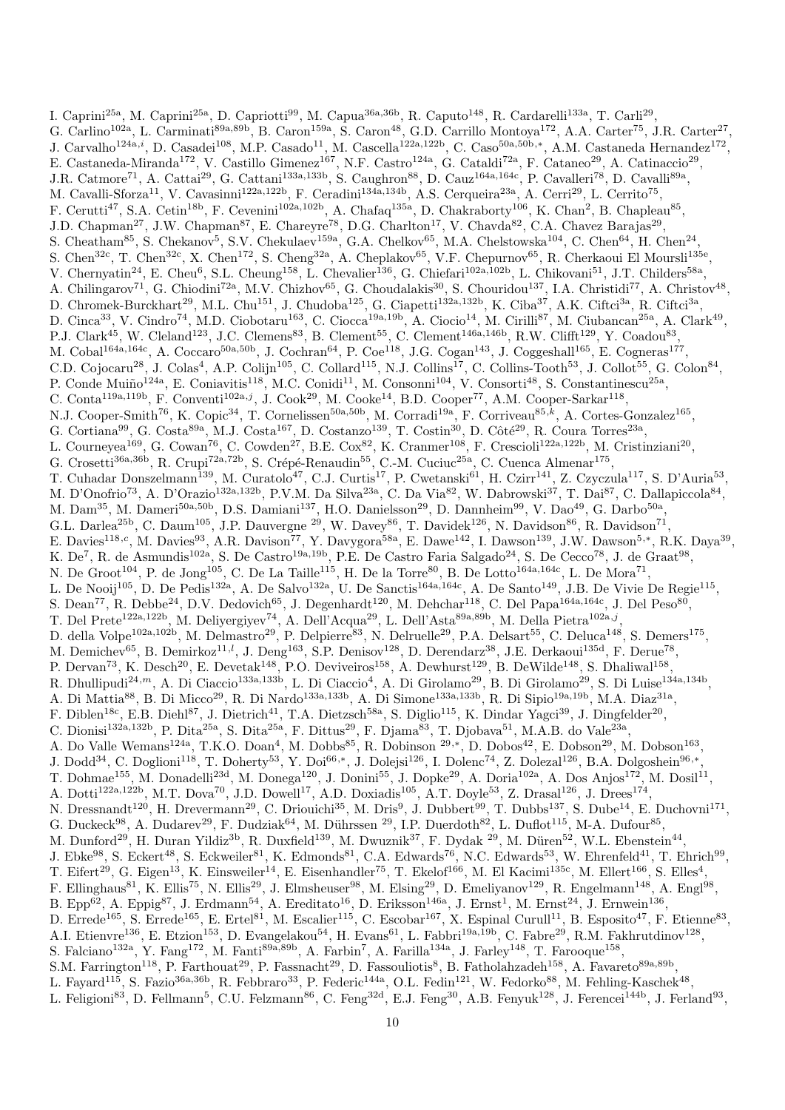I. Caprini<sup>25a</sup>, M. Caprini<sup>25a</sup>, D. Capriotti<sup>99</sup>, M. Capua<sup>36a,36b</sup>, R. Caputo<sup>148</sup>, R. Cardarelli<sup>133a</sup>, T. Carli<sup>29</sup>, G. Carlino<sup>102a</sup>, L. Carminati<sup>89a,89b</sup>, B. Caron<sup>159a</sup>, S. Caron<sup>48</sup>, G.D. Carrillo Montoya<sup>172</sup>, A.A. Carter<sup>75</sup>, J.R. Carter<sup>27</sup>, J. Carvalho<sup>124a,i</sup>, D. Casadei<sup>108</sup>, M.P. Casado<sup>11</sup>, M. Cascella<sup>122a,122b</sup>, C. Caso<sup>50a,50b,\*</sup>, A.M. Castaneda Hernandez<sup>172</sup>, E. Castaneda-Miranda<sup>172</sup>, V. Castillo Gimenez<sup>167</sup>, N.F. Castro<sup>124a</sup>, G. Cataldi<sup>72a</sup>, F. Cataneo<sup>29</sup>, A. Catinaccio<sup>29</sup>, J.R. Catmore<sup>71</sup>, A. Cattai<sup>29</sup>, G. Cattani<sup>133a,133b</sup>, S. Caughron<sup>88</sup>, D. Cauz<sup>164a,164c</sup>, P. Cavalleri<sup>78</sup>, D. Cavalli<sup>89a</sup>, M. Cavalli-Sforza<sup>11</sup>, V. Cavasinni<sup>122a,122b</sup>, F. Ceradini<sup>134a,134b</sup>, A.S. Cerqueira<sup>23a</sup>, A. Cerri<sup>29</sup>, L. Cerrito<sup>75</sup>, F. Cerutti<sup>47</sup>, S.A. Cetin<sup>18b</sup>, F. Cevenini<sup>102a,102b</sup>, A. Chafaq<sup>135a</sup>, D. Chakraborty<sup>106</sup>, K. Chan<sup>2</sup>, B. Chapleau<sup>85</sup>, J.D. Chapman<sup>27</sup>, J.W. Chapman<sup>87</sup>, E. Chareyre<sup>78</sup>, D.G. Charlton<sup>17</sup>, V. Chavda<sup>82</sup>, C.A. Chavez Barajas<sup>29</sup>, S. Cheatham<sup>85</sup>, S. Chekanov<sup>5</sup>, S.V. Chekulaev<sup>159a</sup>, G.A. Chelkov<sup>65</sup>, M.A. Chelstowska<sup>104</sup>, C. Chen<sup>64</sup>, H. Chen<sup>24</sup>, S. Chen<sup>32c</sup>, T. Chen<sup>32c</sup>, X. Chen<sup>172</sup>, S. Cheng<sup>32a</sup>, A. Cheplakov<sup>65</sup>, V.F. Chepurnov<sup>65</sup>, R. Cherkaoui El Moursli<sup>135e</sup>, V. Chernyatin<sup>24</sup>, E. Cheu<sup>6</sup>, S.L. Cheung<sup>158</sup>, L. Chevalier<sup>136</sup>, G. Chiefari<sup>102a,102b</sup>, L. Chikovani<sup>51</sup>, J.T. Childers<sup>58a</sup>, A. Chilingarov<sup>71</sup>, G. Chiodini<sup>72a</sup>, M.V. Chizhov<sup>65</sup>, G. Choudalakis<sup>30</sup>, S. Chouridou<sup>137</sup>, I.A. Christidi<sup>77</sup>, A. Christov<sup>48</sup>, D. Chromek-Burckhart<sup>29</sup>, M.L. Chu<sup>151</sup>, J. Chudoba<sup>125</sup>, G. Ciapetti<sup>132a,132b</sup>, K. Ciba<sup>37</sup>, A.K. Ciftci<sup>3a</sup>, R. Ciftci<sup>3a</sup>, D. Cinca<sup>33</sup>, V. Cindro<sup>74</sup>, M.D. Ciobotaru<sup>163</sup>, C. Ciocca<sup>19a,19b</sup>, A. Ciocio<sup>14</sup>, M. Cirilli<sup>87</sup>, M. Ciubancan<sup>25a</sup>, A. Clark<sup>49</sup>, P.J. Clark<sup>45</sup>, W. Cleland<sup>123</sup>, J.C. Clemens<sup>83</sup>, B. Clement<sup>55</sup>, C. Clement<sup>146a,146b</sup>, R.W. Clifft<sup>129</sup>, Y. Coadou<sup>83</sup>, M. Cobal<sup>164a,164c</sup>, A. Coccaro<sup>50a,50b</sup>, J. Cochran<sup>64</sup>, P. Coe<sup>118</sup>, J.G. Cogan<sup>143</sup>, J. Coggeshall<sup>165</sup>, E. Cogneras<sup>177</sup>, C.D. Cojocaru<sup>28</sup>, J. Colas<sup>4</sup>, A.P. Colijn<sup>105</sup>, C. Collard<sup>115</sup>, N.J. Collins<sup>17</sup>, C. Collins-Tooth<sup>53</sup>, J. Collot<sup>55</sup>, G. Colon<sup>84</sup>, P. Conde Muiño<sup>124a</sup>, E. Coniavitis<sup>118</sup>, M.C. Conidi<sup>11</sup>, M. Consonni<sup>104</sup>, V. Consorti<sup>48</sup>, S. Constantinescu<sup>25a</sup>, C. Conta<sup>119a,119b</sup>, F. Conventi<sup>102a,j</sup>, J. Cook<sup>29</sup>, M. Cooke<sup>14</sup>, B.D. Cooper<sup>77</sup>, A.M. Cooper-Sarkar<sup>118</sup>, N.J. Cooper-Smith<sup>76</sup>, K. Copic<sup>34</sup>, T. Cornelissen<sup>50a,50b</sup>, M. Corradi<sup>19a</sup>, F. Corriveau<sup>85,k</sup>, A. Cortes-Gonzalez<sup>165</sup>, G. Cortiana<sup>99</sup>, G. Costa<sup>89a</sup>, M.J. Costa<sup>167</sup>, D. Costanzo<sup>139</sup>, T. Costin<sup>30</sup>, D. Côté<sup>29</sup>, R. Coura Torres<sup>23a</sup>, L. Courneyea<sup>169</sup>, G. Cowan<sup>76</sup>, C. Cowden<sup>27</sup>, B.E. Cox<sup>82</sup>, K. Cranmer<sup>108</sup>, F. Crescioli<sup>122a,122b</sup>, M. Cristinziani<sup>20</sup>, G. Crosetti<sup>36a,36b</sup>, R. Crupi<sup>72a,72b</sup>, S. Crépé-Renaudin<sup>55</sup>, C.-M. Cuciuc<sup>25a</sup>, C. Cuenca Almenar<sup>175</sup>, T. Cuhadar Donszelmann<sup>139</sup>, M. Curatolo<sup>47</sup>, C.J. Curtis<sup>17</sup>, P. Cwetanski<sup>61</sup>, H. Czirr<sup>141</sup>, Z. Czyczula<sup>117</sup>, S. D'Auria<sup>53</sup>, M. D'Onofrio<sup>73</sup>, A. D'Orazio<sup>132a,132b</sup>, P.V.M. Da Silva<sup>23a</sup>, C. Da Via<sup>82</sup>, W. Dabrowski<sup>37</sup>, T. Dai<sup>87</sup>, C. Dallapiccola<sup>84</sup>, M. Dam<sup>35</sup>, M. Dameri<sup>50a,50b</sup>, D.S. Damiani<sup>137</sup>, H.O. Danielsson<sup>29</sup>, D. Dannheim<sup>99</sup>, V. Dao<sup>49</sup>, G. Darbo<sup>50a</sup>, G.L. Darlea<sup>25b</sup>, C. Daum<sup>105</sup>, J.P. Dauvergne <sup>29</sup>, W. Davey<sup>86</sup>, T. Davidek<sup>126</sup>, N. Davidson<sup>86</sup>, R. Davidson<sup>71</sup>, E. Davies<sup>118,c</sup>, M. Davies<sup>93</sup>, A.R. Davison<sup>77</sup>, Y. Davygora<sup>58a</sup>, E. Dawe<sup>142</sup>, I. Dawson<sup>139</sup>, J.W. Dawson<sup>5,\*</sup>, R.K. Daya<sup>39</sup>, K. De<sup>7</sup>, R. de Asmundis<sup>102a</sup>, S. De Castro<sup>19a,19b</sup>, P.E. De Castro Faria Salgado<sup>24</sup>, S. De Cecco<sup>78</sup>, J. de Graat<sup>98</sup>, N. De Groot<sup>104</sup>, P. de Jong<sup>105</sup>, C. De La Taille<sup>115</sup>, H. De la Torre<sup>80</sup>, B. De Lotto<sup>164a,164c</sup>, L. De Mora<sup>71</sup>, L. De Nooij<sup>105</sup>, D. De Pedis<sup>132a</sup>, A. De Salvo<sup>132a</sup>, U. De Sanctis<sup>164a,164c</sup>, A. De Santo<sup>149</sup>, J.B. De Vivie De Regie<sup>115</sup>, S. Dean<sup>77</sup>, R. Debbe<sup>24</sup>, D.V. Dedovich<sup>65</sup>, J. Degenhardt<sup>120</sup>, M. Dehchar<sup>118</sup>, C. Del Papa<sup>164a,164c</sup>, J. Del Peso<sup>80</sup>, T. Del Prete<sup>122a,122b</sup>, M. Deliyergiyev<sup>74</sup>, A. Dell'Acqua<sup>29</sup>, L. Dell'Asta<sup>89a,89b</sup>, M. Della Pietra<sup>102a,j</sup>, D. della Volpe<sup>102a,102b</sup>, M. Delmastro<sup>29</sup>, P. Delpierre<sup>83</sup>, N. Delruelle<sup>29</sup>, P.A. Delsart<sup>55</sup>, C. Deluca<sup>148</sup>, S. Demers<sup>175</sup>, M. Demichev<sup>65</sup>, B. Demirkoz<sup>11,*l*,</sup> J. Deng<sup>163</sup>, S.P. Denisov<sup>128</sup>, D. Derendarz<sup>38</sup>, J.E. Derkaoui<sup>135d</sup>, F. Derue<sup>78</sup>, P. Dervan<sup>73</sup>, K. Desch<sup>20</sup>, E. Devetak<sup>148</sup>, P.O. Deviveiros<sup>158</sup>, A. Dewhurst<sup>129</sup>, B. DeWilde<sup>148</sup>, S. Dhaliwal<sup>158</sup>, R. Dhullipudi<sup>24,m</sup>, A. Di Ciaccio<sup>133a,133b</sup>, L. Di Ciaccio<sup>4</sup>, A. Di Girolamo<sup>29</sup>, B. Di Girolamo<sup>29</sup>, S. Di Luise<sup>134a,134b</sup>, A. Di Mattia<sup>88</sup>, B. Di Micco<sup>29</sup>, R. Di Nardo<sup>133a,133b</sup>, A. Di Simone<sup>133a,133b</sup>, R. Di Sipio<sup>19a,19b</sup>, M.A. Diaz<sup>31a</sup>, F. Diblen<sup>18c</sup>, E.B. Diehl<sup>87</sup>, J. Dietrich<sup>41</sup>, T.A. Dietzsch<sup>58a</sup>, S. Diglio<sup>115</sup>, K. Dindar Yagci<sup>39</sup>, J. Dingfelder<sup>20</sup>, C. Dionisi<sup>132a,132b</sup>, P. Dita<sup>25a</sup>, S. Dita<sup>25a</sup>, F. Dittus<sup>29</sup>, F. Djama<sup>83</sup>, T. Djobava<sup>51</sup>, M.A.B. do Vale<sup>23a</sup>, A. Do Valle Wemans<sup>124a</sup>, T.K.O. Doan<sup>4</sup>, M. Dobbs<sup>85</sup>, R. Dobinson <sup>29,\*</sup>, D. Dobos<sup>42</sup>, E. Dobson<sup>29</sup>, M. Dobson<sup>163</sup>, J. Dodd<sup>34</sup>, C. Doglioni<sup>118</sup>, T. Doherty<sup>53</sup>, Y. Doi<sup>66,\*</sup>, J. Dolejsi<sup>126</sup>, I. Dolenc<sup>74</sup>, Z. Dolezal<sup>126</sup>, B.A. Dolgoshein<sup>96,\*</sup>, T. Dohmae<sup>155</sup>, M. Donadelli<sup>23d</sup>, M. Donega<sup>120</sup>, J. Donini<sup>55</sup>, J. Dopke<sup>29</sup>, A. Doria<sup>102a</sup>, A. Dos Anjos<sup>172</sup>, M. Dosil<sup>11</sup>, A. Dotti<sup>122a,122b</sup>, M.T. Dova<sup>70</sup>, J.D. Dowell<sup>17</sup>, A.D. Doxiadis<sup>105</sup>, A.T. Doyle<sup>53</sup>, Z. Drasal<sup>126</sup>, J. Drees<sup>174</sup>, N. Dressnandt<sup>120</sup>, H. Drevermann<sup>29</sup>, C. Driouichi<sup>35</sup>, M. Dris<sup>9</sup>, J. Dubbert<sup>99</sup>, T. Dubbs<sup>137</sup>, S. Dube<sup>14</sup>, E. Duchovni<sup>171</sup>, G. Duckeck<sup>98</sup>, A. Dudarev<sup>29</sup>, F. Dudziak<sup>64</sup>, M. Dührssen <sup>29</sup>, I.P. Duerdoth<sup>82</sup>, L. Duflot<sup>115</sup>, M-A. Dufour<sup>85</sup>, M. Dunford<sup>29</sup>, H. Duran Yildiz<sup>3b</sup>, R. Duxfield<sup>139</sup>, M. Dwuznik<sup>37</sup>, F. Dydak <sup>29</sup>, M. Düren<sup>52</sup>, W.L. Ebenstein<sup>44</sup>, J. Ebke<sup>98</sup>, S. Eckert<sup>48</sup>, S. Eckweiler<sup>81</sup>, K. Edmonds<sup>81</sup>, C.A. Edwards<sup>76</sup>, N.C. Edwards<sup>53</sup>, W. Ehrenfeld<sup>41</sup>, T. Ehrich<sup>99</sup>, T. Eifert<sup>29</sup>, G. Eigen<sup>13</sup>, K. Einsweiler<sup>14</sup>, E. Eisenhandler<sup>75</sup>, T. Ekelof<sup>166</sup>, M. El Kacimi<sup>135c</sup>, M. Ellert<sup>166</sup>, S. Elles<sup>4</sup>, F. Ellinghaus<sup>81</sup>, K. Ellis<sup>75</sup>, N. Ellis<sup>29</sup>, J. Elmsheuser<sup>98</sup>, M. Elsing<sup>29</sup>, D. Emeliyanov<sup>129</sup>, R. Engelmann<sup>148</sup>, A. Engl<sup>98</sup>, B. Epp<sup>62</sup>, A. Eppig<sup>87</sup>, J. Erdmann<sup>54</sup>, A. Ereditato<sup>16</sup>, D. Eriksson<sup>146a</sup>, J. Ernst<sup>1</sup>, M. Ernst<sup>24</sup>, J. Ernwein<sup>136</sup>, D. Errede<sup>165</sup>, S. Errede<sup>165</sup>, E. Ertel<sup>81</sup>, M. Escalier<sup>115</sup>, C. Escobar<sup>167</sup>, X. Espinal Curull<sup>11</sup>, B. Esposito<sup>47</sup>, F. Etienne<sup>83</sup>, A.I. Etienvre<sup>136</sup>, E. Etzion<sup>153</sup>, D. Evangelakou<sup>54</sup>, H. Evans<sup>61</sup>, L. Fabbri<sup>19a,19b</sup>, C. Fabre<sup>29</sup>, R.M. Fakhrutdinov<sup>128</sup>, S. Falciano<sup>132a</sup>, Y. Fang<sup>172</sup>, M. Fanti<sup>89a,89b</sup>, A. Farbin<sup>7</sup>, A. Farilla<sup>134a</sup>, J. Farley<sup>148</sup>, T. Farooque<sup>158</sup>, S.M. Farrington<sup>118</sup>, P. Farthouat<sup>29</sup>, P. Fassnacht<sup>29</sup>, D. Fassouliotis<sup>8</sup>, B. Fatholahzadeh<sup>158</sup>, A. Favareto<sup>89a,89b</sup>, L. Fayard<sup>115</sup>, S. Fazio<sup>36a,36b</sup>, R. Febbraro<sup>33</sup>, P. Federic<sup>144a</sup>, O.L. Fedin<sup>121</sup>, W. Fedorko<sup>88</sup>, M. Fehling-Kaschek<sup>48</sup>, L. Feligioni<sup>83</sup>, D. Fellmann<sup>5</sup>, C.U. Felzmann<sup>86</sup>, C. Feng<sup>32d</sup>, E.J. Feng<sup>30</sup>, A.B. Fenyuk<sup>128</sup>, J. Ferencei<sup>144b</sup>, J. Ferland<sup>93</sup>,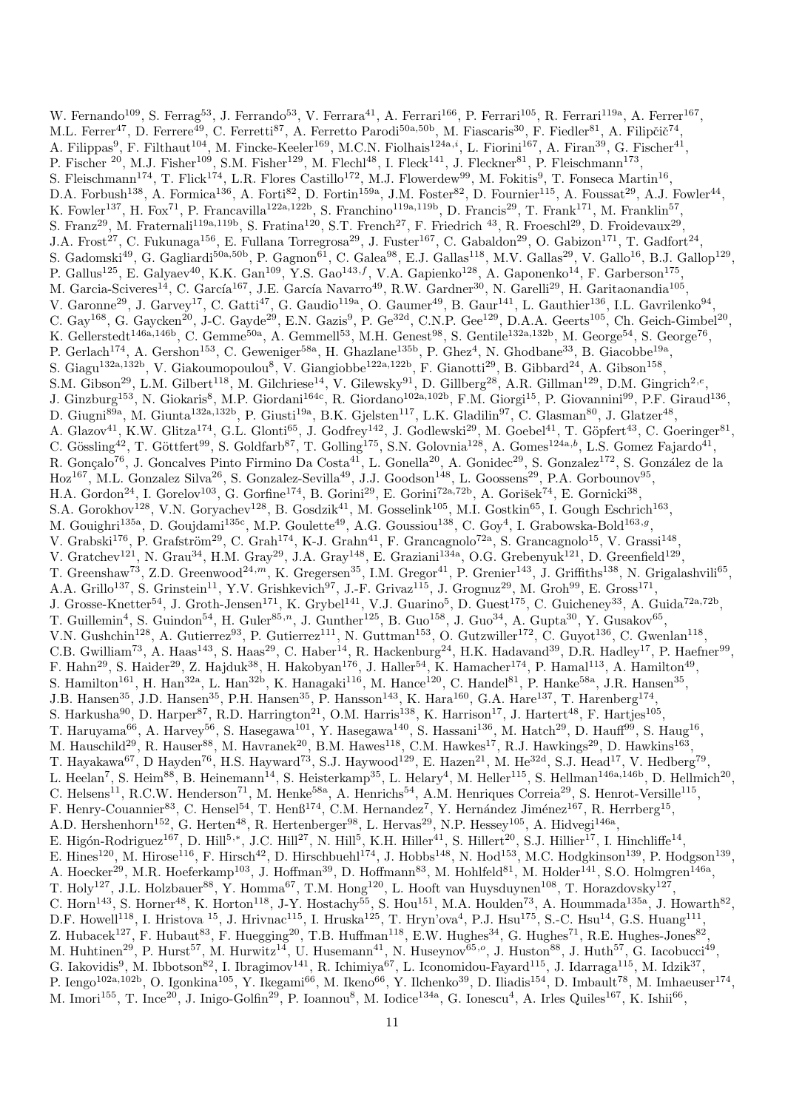W. Fernando<sup>109</sup>, S. Ferrag<sup>53</sup>, J. Ferrando<sup>53</sup>, V. Ferrara<sup>41</sup>, A. Ferrari<sup>166</sup>, P. Ferrari<sup>105</sup>, R. Ferrari<sup>119a</sup>, A. Ferrer<sup>167</sup>, M.L. Ferrer<sup>47</sup>, D. Ferrere<sup>49</sup>, C. Ferretti<sup>87</sup>, A. Ferretto Parodi<sup>50a,50b</sup>, M. Fiascaris<sup>30</sup>, F. Fiedler<sup>81</sup>, A. Filipčič<sup>74</sup>, A. Filippas<sup>9</sup>, F. Filthaut<sup>104</sup>, M. Fincke-Keeler<sup>169</sup>, M.C.N. Fiolhais<sup>124a,i</sup>, L. Fiorini<sup>167</sup>, A. Firan<sup>39</sup>, G. Fischer<sup>41</sup>, P. Fischer  $^{20}$ , M.J. Fisher $^{109}$ , S.M. Fisher $^{129}$ , M. Flech $^{148}$ , I. Fleck $^{141}$ , J. Fleckner $^{81}$ , P. Fleischmann $^{173}$ , S. Fleischmann<sup>174</sup>, T. Flick<sup>174</sup>, L.R. Flores Castillo<sup>172</sup>, M.J. Flowerdew<sup>99</sup>, M. Fokitis<sup>9</sup>, T. Fonseca Martin<sup>16</sup>, D.A. Forbush<sup>138</sup>, A. Formica<sup>136</sup>, A. Forti<sup>82</sup>, D. Fortin<sup>159a</sup>, J.M. Foster<sup>82</sup>, D. Fournier<sup>115</sup>, A. Foussat<sup>29</sup>, A.J. Fowler<sup>44</sup>, K. Fowler<sup>137</sup>, H. Fox<sup>71</sup>, P. Francavilla<sup>122a,122b</sup>, S. Franchino<sup>119a,119b</sup>, D. Francis<sup>29</sup>, T. Frank<sup>171</sup>, M. Franklin<sup>57</sup>, S. Franz<sup>29</sup>, M. Fraternali<sup>119a,119b</sup>, S. Fratina<sup>120</sup>, S.T. French<sup>27</sup>, F. Friedrich <sup>43</sup>, R. Froeschl<sup>29</sup>, D. Froidevaux<sup>29</sup>, J.A. Frost<sup>27</sup>, C. Fukunaga<sup>156</sup>, E. Fullana Torregrosa<sup>29</sup>, J. Fuster<sup>167</sup>, C. Gabaldon<sup>29</sup>, O. Gabizon<sup>171</sup>, T. Gadfort<sup>24</sup>, S. Gadomski<sup>49</sup>, G. Gagliardi<sup>50a,50b</sup>, P. Gagnon<sup>61</sup>, C. Galea<sup>98</sup>, E.J. Gallas<sup>118</sup>, M.V. Gallas<sup>29</sup>, V. Gallo<sup>16</sup>, B.J. Gallop<sup>129</sup>, P. Gallus<sup>125</sup>, E. Galyaev<sup>40</sup>, K.K. Gan<sup>109</sup>, Y.S. Gao<sup>143,f</sup>, V.A. Gapienko<sup>128</sup>, A. Gaponenko<sup>14</sup>, F. Garberson<sup>175</sup>, M. Garcia-Sciveres<sup>14</sup>, C. García<sup>167</sup>, J.E. García Navarro<sup>49</sup>, R.W. Gardner<sup>30</sup>, N. Garelli<sup>29</sup>, H. Garitaonandia<sup>105</sup>, V. Garonne<sup>29</sup>, J. Garvey<sup>17</sup>, C. Gatti<sup>47</sup>, G. Gaudio<sup>119a</sup>, O. Gaumer<sup>49</sup>, B. Gaur<sup>141</sup>, L. Gauthier<sup>136</sup>, I.L. Gavrilenko<sup>94</sup>, C. Gay<sup>168</sup>, G. Gaycken<sup>20</sup>, J-C. Gayde<sup>29</sup>, E.N. Gazis<sup>9</sup>, P. Ge<sup>32d</sup>, C.N.P. Gee<sup>129</sup>, D.A.A. Geerts<sup>105</sup>, Ch. Geich-Gimbel<sup>20</sup>, K. Gellerstedt<sup>146a,146b</sup>, C. Gemme<sup>50a</sup>, A. Gemmell<sup>53</sup>, M.H. Genest<sup>98</sup>, S. Gentile<sup>132a,132b</sup>, M. George<sup>54</sup>, S. George<sup>76</sup>, P. Gerlach<sup>174</sup>, A. Gershon<sup>153</sup>, C. Geweniger<sup>58a</sup>, H. Ghazlane<sup>135b</sup>, P. Ghez<sup>4</sup>, N. Ghodbane<sup>33</sup>, B. Giacobbe<sup>19a</sup> , S. Giagu<sup>132a,132b</sup>, V. Giakoumopoulou<sup>8</sup>, V. Giangiobbe<sup>122a,122b</sup>, F. Gianotti<sup>29</sup>, B. Gibbard<sup>24</sup>, A. Gibson<sup>158</sup>, S.M. Gibson<sup>29</sup>, L.M. Gilbert<sup>118</sup>, M. Gilchriese<sup>14</sup>, V. Gilewsky<sup>91</sup>, D. Gillberg<sup>28</sup>, A.R. Gillman<sup>129</sup>, D.M. Gingrich<sup>2,e</sup>, J. Ginzburg<sup>153</sup>, N. Giokaris<sup>8</sup>, M.P. Giordani<sup>164c</sup>, R. Giordano<sup>102a,102b</sup>, F.M. Giorgi<sup>15</sup>, P. Giovannini<sup>99</sup>, P.F. Giraud<sup>136</sup>, D. Giugni<sup>89a</sup>, M. Giunta<sup>132a,132b</sup>, P. Giusti<sup>19a</sup>, B.K. Gjelsten<sup>117</sup>, L.K. Gladilin<sup>97</sup>, C. Glasman<sup>80</sup>, J. Glatzer<sup>48</sup>, A. Glazov<sup>41</sup>, K.W. Glitza<sup>174</sup>, G.L. Glonti<sup>65</sup>, J. Godfrey<sup>142</sup>, J. Godlewski<sup>29</sup>, M. Goebel<sup>41</sup>, T. Göpfert<sup>43</sup>, C. Goeringer<sup>81</sup>, C. Gössling<sup>42</sup>, T. Göttfert<sup>99</sup>, S. Goldfarb<sup>87</sup>, T. Golling<sup>175</sup>, S.N. Golovnia<sup>128</sup>, A. Gomes<sup>124a,b</sup>, L.S. Gomez Fajardo<sup>41</sup>, R. Gonçalo<sup>76</sup>, J. Goncalves Pinto Firmino Da Costa<sup>41</sup>, L. Gonella<sup>20</sup>, A. Gonidec<sup>29</sup>, S. Gonzalez<sup>172</sup>, S. González de la  $Hoz^{167}$ , M.L. Gonzalez Silva<sup>26</sup>, S. Gonzalez-Sevilla<sup>49</sup>, J.J. Goodson<sup>148</sup>, L. Goossens<sup>29</sup>, P.A. Gorbounov<sup>95</sup>, H.A. Gordon<sup>24</sup>, I. Gorelov<sup>103</sup>, G. Gorfine<sup>174</sup>, B. Gorini<sup>29</sup>, E. Gorini<sup>72a,72b</sup>, A. Gorišek<sup>74</sup>, E. Gornicki<sup>38</sup>, S.A. Gorokhov<sup>128</sup>, V.N. Goryachev<sup>128</sup>, B. Gosdzik<sup>41</sup>, M. Gosselink<sup>105</sup>, M.I. Gostkin<sup>65</sup>, I. Gough Eschrich<sup>163</sup>, M. Gouighri<sup>135a</sup>, D. Goujdami<sup>135c</sup>, M.P. Goulette<sup>49</sup>, A.G. Goussiou<sup>138</sup>, C. Goy<sup>4</sup>, I. Grabowska-Bold<sup>163,9</sup>, V. Grabski<sup>176</sup>, P. Grafström<sup>29</sup>, C. Grah<sup>174</sup>, K-J. Grahn<sup>41</sup>, F. Grancagnolo<sup>72a</sup>, S. Grancagnolo<sup>15</sup>, V. Grassi<sup>148</sup>, V. Gratchev<sup>121</sup>, N. Grau<sup>34</sup>, H.M. Gray<sup>29</sup>, J.A. Gray<sup>148</sup>, E. Graziani<sup>134a</sup>, O.G. Grebenyuk<sup>121</sup>, D. Greenfield<sup>129</sup>, T. Greenshaw<sup>73</sup>, Z.D. Greenwood<sup>24,m</sup>, K. Gregersen<sup>35</sup>, I.M. Gregor<sup>41</sup>, P. Grenier<sup>143</sup>, J. Griffiths<sup>138</sup>, N. Grigalashvili<sup>65</sup>, A.A. Grillo<sup>137</sup>, S. Grinstein<sup>11</sup>, Y.V. Grishkevich<sup>97</sup>, J.-F. Grivaz<sup>115</sup>, J. Grognuz<sup>29</sup>, M. Groh<sup>99</sup>, E. Gross<sup>171</sup>, J. Grosse-Knetter<sup>54</sup>, J. Groth-Jensen<sup>171</sup>, K. Grybel<sup>141</sup>, V.J. Guarino<sup>5</sup>, D. Guest<sup>175</sup>, C. Guicheney<sup>33</sup>, A. Guida<sup>72a,72b</sup>, T. Guillemin<sup>4</sup>, S. Guindon<sup>54</sup>, H. Guler<sup>85,n</sup>, J. Gunther<sup>125</sup>, B. Guo<sup>158</sup>, J. Guo<sup>34</sup>, A. Gupta<sup>30</sup>, Y. Gusakov<sup>65</sup>, V.N. Gushchin<sup>128</sup>, A. Gutierrez<sup>93</sup>, P. Gutierrez<sup>111</sup>, N. Guttman<sup>153</sup>, O. Gutzwiller<sup>172</sup>, C. Guyot<sup>136</sup>, C. Gwenlan<sup>118</sup>, C.B. Gwilliam<sup>73</sup>, A. Haas<sup>143</sup>, S. Haas<sup>29</sup>, C. Haber<sup>14</sup>, R. Hackenburg<sup>24</sup>, H.K. Hadavand<sup>39</sup>, D.R. Hadley<sup>17</sup>, P. Haefner<sup>99</sup>, F. Hahn<sup>29</sup>, S. Haider<sup>29</sup>, Z. Hajduk<sup>38</sup>, H. Hakobyan<sup>176</sup>, J. Haller<sup>54</sup>, K. Hamacher<sup>174</sup>, P. Hamal<sup>113</sup>, A. Hamilton<sup>49</sup>, S. Hamilton<sup>161</sup>, H. Han<sup>32a</sup>, L. Han<sup>32b</sup>, K. Hanagaki<sup>116</sup>, M. Hance<sup>120</sup>, C. Handel<sup>81</sup>, P. Hanke<sup>58a</sup>, J.R. Hansen<sup>35</sup>, J.B. Hansen<sup>35</sup>, J.D. Hansen<sup>35</sup>, P.H. Hansen<sup>35</sup>, P. Hansson<sup>143</sup>, K. Hara<sup>160</sup>, G.A. Hare<sup>137</sup>, T. Harenberg<sup>174</sup>, S. Harkusha<sup>90</sup>, D. Harper<sup>87</sup>, R.D. Harrington<sup>21</sup>, O.M. Harris<sup>138</sup>, K. Harrison<sup>17</sup>, J. Hartert<sup>48</sup>, F. Hartjes<sup>105</sup>, T. Haruyama<sup>66</sup>, A. Harvey<sup>56</sup>, S. Hasegawa<sup>101</sup>, Y. Hasegawa<sup>140</sup>, S. Hassani<sup>136</sup>, M. Hatch<sup>29</sup>, D. Hauff<sup>99</sup>, S. Haug<sup>16</sup>, M. Hauschild<sup>29</sup>, R. Hauser<sup>88</sup>, M. Havranek<sup>20</sup>, B.M. Hawes<sup>118</sup>, C.M. Hawkes<sup>17</sup>, R.J. Hawkings<sup>29</sup>, D. Hawkins<sup>163</sup>, T. Hayakawa<sup>67</sup>, D Hayden<sup>76</sup>, H.S. Hayward<sup>73</sup>, S.J. Haywood<sup>129</sup>, E. Hazen<sup>21</sup>, M. He<sup>32d</sup>, S.J. Head<sup>17</sup>, V. Hedberg<sup>79</sup>, L. Heelan<sup>7</sup>, S. Heim<sup>88</sup>, B. Heinemann<sup>14</sup>, S. Heisterkamp<sup>35</sup>, L. Helary<sup>4</sup>, M. Heller<sup>115</sup>, S. Hellman<sup>146a,146b</sup>, D. Hellmich<sup>20</sup>, C. Helsens<sup>11</sup>, R.C.W. Henderson<sup>71</sup>, M. Henke<sup>58a</sup>, A. Henrichs<sup>54</sup>, A.M. Henriques Correia<sup>29</sup>, S. Henrot-Versille<sup>115</sup>, F. Henry-Couannier<sup>83</sup>, C. Hensel<sup>54</sup>, T. Henß<sup>174</sup>, C.M. Hernandez<sup>7</sup>, Y. Hernández Jiménez<sup>167</sup>, R. Herrberg<sup>15</sup>, A.D. Hershenhorn<sup>152</sup>, G. Herten<sup>48</sup>, R. Hertenberger<sup>98</sup>, L. Hervas<sup>29</sup>, N.P. Hessey<sup>105</sup>, A. Hidvegi<sup>146a</sup>, E. Higón-Rodriguez<sup>167</sup>, D. Hill<sup>5,\*</sup>, J.C. Hill<sup>27</sup>, N. Hill<sup>5</sup>, K.H. Hiller<sup>41</sup>, S. Hillert<sup>20</sup>, S.J. Hillier<sup>17</sup>, I. Hinchliffe<sup>14</sup>, E. Hines<sup>120</sup>, M. Hirose<sup>116</sup>, F. Hirsch<sup>42</sup>, D. Hirschbuehl<sup>174</sup>, J. Hobbs<sup>148</sup>, N. Hod<sup>153</sup>, M.C. Hodgkinson<sup>139</sup>, P. Hodgson<sup>139</sup>, A. Hoecker<sup>29</sup>, M.R. Hoeferkamp<sup>103</sup>, J. Hoffman<sup>39</sup>, D. Hoffmann<sup>83</sup>, M. Hohlfeld<sup>81</sup>, M. Holder<sup>141</sup>, S.O. Holmgren<sup>146a</sup>, T. Holy<sup>127</sup>, J.L. Holzbauer<sup>88</sup>, Y. Homma<sup>67</sup>, T.M. Hong<sup>120</sup>, L. Hooft van Huysduynen<sup>108</sup>, T. Horazdovsky<sup>127</sup>, C. Horn<sup>143</sup>, S. Horner<sup>48</sup>, K. Horton<sup>118</sup>, J-Y. Hostachy<sup>55</sup>, S. Hou<sup>151</sup>, M.A. Houlden<sup>73</sup>, A. Hoummada<sup>135a</sup>, J. Howarth<sup>82</sup>, D.F. Howell<sup>118</sup>, I. Hristova <sup>15</sup>, J. Hrivnac<sup>115</sup>, I. Hruska<sup>125</sup>, T. Hryn'ova<sup>4</sup>, P.J. Hsu<sup>175</sup>, S.-C. Hsu<sup>14</sup>, G.S. Huang<sup>111</sup>, Z. Hubacek<sup>127</sup>, F. Hubaut<sup>83</sup>, F. Huegging<sup>20</sup>, T.B. Huffman<sup>118</sup>, E.W. Hughes<sup>34</sup>, G. Hughes<sup>71</sup>, R.E. Hughes-Jones<sup>82</sup>, M. Huhtinen<sup>29</sup>, P. Hurst<sup>57</sup>, M. Hurwitz<sup>14</sup>, U. Husemann<sup>41</sup>, N. Huseynov<sup>65,0</sup>, J. Huston<sup>88</sup>, J. Huth<sup>57</sup>, G. Iacobucci<sup>49</sup>, G. Iakovidis<sup>9</sup>, M. Ibbotson<sup>82</sup>, I. Ibragimov<sup>141</sup>, R. Ichimiya<sup>67</sup>, L. Iconomidou-Fayard<sup>115</sup>, J. Idarraga<sup>115</sup>, M. Idzik<sup>37</sup>, P. Iengo<sup>102a,102b</sup>, O. Igonkina<sup>105</sup>, Y. Ikegami<sup>66</sup>, M. Ikeno<sup>66</sup>, Y. Ilchenko<sup>39</sup>, D. Iliadis<sup>154</sup>, D. Imbault<sup>78</sup>, M. Imhaeuser<sup>174</sup>, M. Imori<sup>155</sup>, T. Ince<sup>20</sup>, J. Inigo-Golfin<sup>29</sup>, P. Ioannou<sup>8</sup>, M. Iodice<sup>134a</sup>, G. Ionescu<sup>4</sup>, A. Irles Quiles<sup>167</sup>, K. Ishii<sup>66</sup>,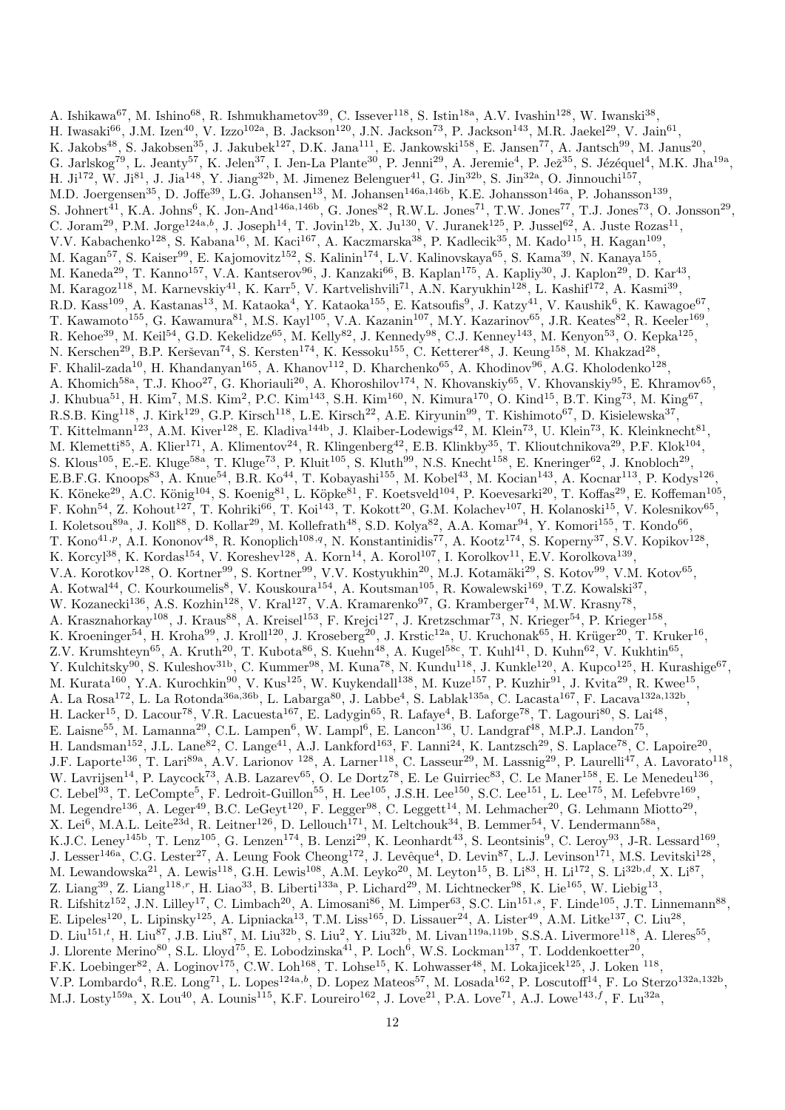A. Ishikawa<sup>67</sup>, M. Ishino<sup>68</sup>, R. Ishmukhametov<sup>39</sup>, C. Issever<sup>118</sup>, S. Istin<sup>18a</sup>, A.V. Ivashin<sup>128</sup>, W. Iwanski<sup>38</sup>, H. Iwasaki $^{66}$ , J.M. Izen $^{40}$ , V. Izzo $^{102a}$ , B. Jackson $^{120}$ , J.N. Jackson $^{73}$ , P. Jackson $^{143}$ , M.R. Jaekel $^{29}$ , V. Jain $^{61}$ , K. Jakobs<sup>48</sup>, S. Jakobsen<sup>35</sup>, J. Jakubek<sup>127</sup>, D.K. Jana<sup>111</sup>, E. Jankowski<sup>158</sup>, E. Jansen<sup>77</sup>, A. Jantsch<sup>99</sup>, M. Janus<sup>20</sup>, G. Jarlskog<sup>79</sup>, L. Jeanty<sup>57</sup>, K. Jelen<sup>37</sup>, I. Jen-La Plante<sup>30</sup>, P. Jenni<sup>29</sup>, A. Jeremie<sup>4</sup>, P. Jež<sup>35</sup>, S. Jézéquel<sup>4</sup>, M.K. Jha<sup>19a</sup>, H. Ji<sup>172</sup>, W. Ji<sup>81</sup>, J. Jia<sup>148</sup>, Y. Jiang<sup>32b</sup>, M. Jimenez Belenguer<sup>41</sup>, G. Jin<sup>32b</sup>, S. Jin<sup>32a</sup>, O. Jinnouchi<sup>157</sup>, M.D. Joergensen<sup>35</sup>, D. Joffe<sup>39</sup>, L.G. Johansen<sup>13</sup>, M. Johansen<sup>146a,146b</sup>, K.E. Johansson<sup>146a</sup>, P. Johansson<sup>139</sup>, S. Johnert<sup>41</sup>, K.A. Johns<sup>6</sup>, K. Jon-And<sup>146a,146b</sup>, G. Jones<sup>82</sup>, R.W.L. Jones<sup>71</sup>, T.W. Jones<sup>77</sup>, T.J. Jones<sup>73</sup>, O. Jonsson<sup>29</sup>, C. Joram<sup>29</sup>, P.M. Jorge<sup>124a,b</sup>, J. Joseph<sup>14</sup>, T. Jovin<sup>12b</sup>, X. Ju<sup>130</sup>, V. Juranek<sup>125</sup>, P. Jussel<sup>62</sup>, A. Juste Rozas<sup>11</sup>, V.V. Kabachenko<sup>128</sup>, S. Kabana<sup>16</sup>, M. Kaci<sup>167</sup>, A. Kaczmarska<sup>38</sup>, P. Kadlecik<sup>35</sup>, M. Kado<sup>115</sup>, H. Kagan<sup>109</sup>, M. Kagan<sup>57</sup>, S. Kaiser<sup>99</sup>, E. Kajomovitz<sup>152</sup>, S. Kalinin<sup>174</sup>, L.V. Kalinovskaya<sup>65</sup>, S. Kama<sup>39</sup>, N. Kanaya<sup>155</sup>, M. Kaneda<sup>29</sup>, T. Kanno<sup>157</sup>, V.A. Kantserov<sup>96</sup>, J. Kanzaki<sup>66</sup>, B. Kaplan<sup>175</sup>, A. Kapliy<sup>30</sup>, J. Kaplon<sup>29</sup>, D. Kar<sup>43</sup>, M. Karagoz<sup>118</sup>, M. Karnevskiy<sup>41</sup>, K. Karr<sup>5</sup>, V. Kartvelishvili<sup>71</sup>, A.N. Karyukhin<sup>128</sup>, L. Kashif<sup>172</sup>, A. Kasmi<sup>39</sup>, R.D. Kass<sup>109</sup>, A. Kastanas<sup>13</sup>, M. Kataoka<sup>4</sup>, Y. Kataoka<sup>155</sup>, E. Katsoufis<sup>9</sup>, J. Katzy<sup>41</sup>, V. Kaushik<sup>6</sup>, K. Kawagoe<sup>67</sup>, T. Kawamoto<sup>155</sup>, G. Kawamura<sup>81</sup>, M.S. Kayl<sup>105</sup>, V.A. Kazanin<sup>107</sup>, M.Y. Kazarinov<sup>65</sup>, J.R. Keates<sup>82</sup>, R. Keeler<sup>169</sup>, R. Kehoe<sup>39</sup>, M. Keil<sup>54</sup>, G.D. Kekelidze<sup>65</sup>, M. Kelly<sup>82</sup>, J. Kennedy<sup>98</sup>, C.J. Kenney<sup>143</sup>, M. Kenyon<sup>53</sup>, O. Kepka<sup>125</sup>, N. Kerschen<sup>29</sup>, B.P. Kerševan<sup>74</sup>, S. Kersten<sup>174</sup>, K. Kessoku<sup>155</sup>, C. Ketterer<sup>48</sup>, J. Keung<sup>158</sup>, M. Khakzad<sup>28</sup>, F. Khalil-zada<sup>10</sup>, H. Khandanyan<sup>165</sup>, A. Khanov<sup>112</sup>, D. Kharchenko<sup>65</sup>, A. Khodinov<sup>96</sup>, A.G. Kholodenko<sup>128</sup>, A. Khomich<sup>58a</sup>, T.J. Khoo<sup>27</sup>, G. Khoriauli<sup>20</sup>, A. Khoroshilov<sup>174</sup>, N. Khovanskiy<sup>65</sup>, V. Khovanskiy<sup>95</sup>, E. Khramov<sup>65</sup>, J. Khubua<sup>51</sup>, H. Kim<sup>7</sup>, M.S. Kim<sup>2</sup>, P.C. Kim<sup>143</sup>, S.H. Kim<sup>160</sup>, N. Kimura<sup>170</sup>, O. Kind<sup>15</sup>, B.T. King<sup>73</sup>, M. King<sup>67</sup>, R.S.B. King<sup>118</sup>, J. Kirk<sup>129</sup>, G.P. Kirsch<sup>118</sup>, L.E. Kirsch<sup>22</sup>, A.E. Kiryunin<sup>99</sup>, T. Kishimoto<sup>67</sup>, D. Kisielewska<sup>37</sup>, T. Kittelmann<sup>123</sup>, A.M. Kiver<sup>128</sup>, E. Kladiva<sup>144b</sup>, J. Klaiber-Lodewigs<sup>42</sup>, M. Klein<sup>73</sup>, U. Klein<sup>73</sup>, K. Kleinknecht<sup>81</sup>, M. Klemetti<sup>85</sup>, A. Klier<sup>171</sup>, A. Klimentov<sup>24</sup>, R. Klingenberg<sup>42</sup>, E.B. Klinkby<sup>35</sup>, T. Klioutchnikova<sup>29</sup>, P.F. Klok<sup>104</sup>, S. Klous<sup>105</sup>, E.-E. Kluge<sup>58a</sup>, T. Kluge<sup>73</sup>, P. Kluit<sup>105</sup>, S. Kluth<sup>99</sup>, N.S. Knecht<sup>158</sup>, E. Kneringer<sup>62</sup>, J. Knobloch<sup>29</sup>, E.B.F.G. Knoops<sup>83</sup>, A. Knue<sup>54</sup>, B.R. Ko<sup>44</sup>, T. Kobayashi<sup>155</sup>, M. Kobel<sup>43</sup>, M. Kocian<sup>143</sup>, A. Kocnar<sup>113</sup>, P. Kodys<sup>126</sup>, K. Köneke<sup>29</sup>, A.C. König<sup>104</sup>, S. Koenig<sup>81</sup>, L. Köpke<sup>81</sup>, F. Koetsveld<sup>104</sup>, P. Koevesarki<sup>20</sup>, T. Koffas<sup>29</sup>, E. Koffeman<sup>105</sup>, F. Kohn<sup>54</sup>, Z. Kohout<sup>127</sup>, T. Kohriki<sup>66</sup>, T. Koi<sup>143</sup>, T. Kokott<sup>20</sup>, G.M. Kolachev<sup>107</sup>, H. Kolanoski<sup>15</sup>, V. Kolesnikov<sup>65</sup>, I. Koletsou<sup>89a</sup>, J. Koll<sup>88</sup>, D. Kollar<sup>29</sup>, M. Kollefrath<sup>48</sup>, S.D. Kolya<sup>82</sup>, A.A. Komar<sup>94</sup>, Y. Komori<sup>155</sup>, T. Kondo<sup>66</sup>, T. Kono<sup>41,p</sup>, A.I. Kononov<sup>48</sup>, R. Konoplich<sup>108,q</sup>, N. Konstantinidis<sup>77</sup>, A. Kootz<sup>174</sup>, S. Koperny<sup>37</sup>, S.V. Kopikov<sup>128</sup>, K. Korcyl<sup>38</sup>, K. Kordas<sup>154</sup>, V. Koreshev<sup>128</sup>, A. Korn<sup>14</sup>, A. Korol<sup>107</sup>, I. Korolkov<sup>11</sup>, E.V. Korolkova<sup>139</sup>, V.A. Korotkov<sup>128</sup>, O. Kortner<sup>99</sup>, S. Kortner<sup>99</sup>, V.V. Kostyukhin<sup>20</sup>, M.J. Kotamäki<sup>29</sup>, S. Kotov<sup>99</sup>, V.M. Kotov<sup>65</sup>, A. Kotwal<sup>44</sup>, C. Kourkoumelis<sup>8</sup>, V. Kouskoura<sup>154</sup>, A. Koutsman<sup>105</sup>, R. Kowalewski<sup>169</sup>, T.Z. Kowalski<sup>37</sup>, W. Kozanecki<sup>136</sup>, A.S. Kozhin<sup>128</sup>, V. Kral<sup>127</sup>, V.A. Kramarenko<sup>97</sup>, G. Kramberger<sup>74</sup>, M.W. Krasny<sup>78</sup>, A. Krasznahorkay<sup>108</sup>, J. Kraus<sup>88</sup>, A. Kreisel<sup>153</sup>, F. Krejci<sup>127</sup>, J. Kretzschmar<sup>73</sup>, N. Krieger<sup>54</sup>, P. Krieger<sup>158</sup>, K. Kroeninger<sup>54</sup>, H. Kroha<sup>99</sup>, J. Kroll<sup>120</sup>, J. Kroseberg<sup>20</sup>, J. Krstic<sup>12a</sup>, U. Kruchonak<sup>65</sup>, H. Krüger<sup>20</sup>, T. Kruker<sup>16</sup>, Z.V. Krumshteyn<sup>65</sup>, A. Kruth<sup>20</sup>, T. Kubota<sup>86</sup>, S. Kuehn<sup>48</sup>, A. Kugel<sup>58c</sup>, T. Kuhl<sup>41</sup>, D. Kuhn<sup>62</sup>, V. Kukhtin<sup>65</sup>, Y. Kulchitsky<sup>90</sup>, S. Kuleshov<sup>31b</sup>, C. Kummer<sup>98</sup>, M. Kuna<sup>78</sup>, N. Kundu<sup>118</sup>, J. Kunkle<sup>120</sup>, A. Kupco<sup>125</sup>, H. Kurashige<sup>67</sup>, M. Kurata<sup>160</sup>, Y.A. Kurochkin<sup>90</sup>, V. Kus<sup>125</sup>, W. Kuykendall<sup>138</sup>, M. Kuze<sup>157</sup>, P. Kuzhir<sup>91</sup>, J. Kvita<sup>29</sup>, R. Kwee<sup>15</sup>, A. La Rosa<sup>172</sup>, L. La Rotonda<sup>36a,36b</sup>, L. Labarga<sup>80</sup>, J. Labbe<sup>4</sup>, S. Lablak<sup>135a</sup>, C. Lacasta<sup>167</sup>, F. Lacava<sup>132a,132b</sup>, H. Lacker<sup>15</sup>, D. Lacour<sup>78</sup>, V.R. Lacuesta<sup>167</sup>, E. Ladygin<sup>65</sup>, R. Lafaye<sup>4</sup>, B. Laforge<sup>78</sup>, T. Lagouri<sup>80</sup>, S. Lai<sup>48</sup>, E. Laisne<sup>55</sup>, M. Lamanna<sup>29</sup>, C.L. Lampen<sup>6</sup>, W. Lampl<sup>6</sup>, E. Lancon<sup>136</sup>, U. Landgraf<sup>48</sup>, M.P.J. Landon<sup>75</sup>, H. Landsman<sup>152</sup>, J.L. Lane<sup>82</sup>, C. Lange<sup>41</sup>, A.J. Lankford<sup>163</sup>, F. Lanni<sup>24</sup>, K. Lantzsch<sup>29</sup>, S. Laplace<sup>78</sup>, C. Lapoire<sup>20</sup>, J.F. Laporte<sup>136</sup>, T. Lari<sup>89a</sup>, A.V. Larionov <sup>128</sup>, A. Larner<sup>118</sup>, C. Lasseur<sup>29</sup>, M. Lassnig<sup>29</sup>, P. Laurelli<sup>47</sup>, A. Lavorato<sup>118</sup>, W. Lavrijsen<sup>14</sup>, P. Laycock<sup>73</sup>, A.B. Lazarev<sup>65</sup>, O. Le Dortz<sup>78</sup>, E. Le Guirriec<sup>83</sup>, C. Le Maner<sup>158</sup>, E. Le Menedeu<sup>136</sup>, C. Lebel<sup>93</sup>, T. LeCompte<sup>5</sup>, F. Ledroit-Guillon<sup>55</sup>, H. Lee<sup>105</sup>, J.S.H. Lee<sup>150</sup>, S.C. Lee<sup>151</sup>, L. Lee<sup>175</sup>, M. Lefebvre<sup>169</sup>, M. Legendre<sup>136</sup>, A. Leger<sup>49</sup>, B.C. LeGeyt<sup>120</sup>, F. Legger<sup>98</sup>, C. Leggett<sup>14</sup>, M. Lehmacher<sup>20</sup>, G. Lehmann Miotto<sup>29</sup>, X. Lei<sup>6</sup>, M.A.L. Leite<sup>23d</sup>, R. Leitner<sup>126</sup>, D. Lellouch<sup>171</sup>, M. Leltchouk<sup>34</sup>, B. Lemmer<sup>54</sup>, V. Lendermann<sup>58a</sup>, K.J.C. Leney<sup>145b</sup>, T. Lenz<sup>105</sup>, G. Lenzen<sup>174</sup>, B. Lenzi<sup>29</sup>, K. Leonhardt<sup>43</sup>, S. Leontsinis<sup>9</sup>, C. Leroy<sup>93</sup>, J-R. Lessard<sup>169</sup>, J. Lesser<sup>146a</sup>, C.G. Lester<sup>27</sup>, A. Leung Fook Cheong<sup>172</sup>, J. Levêque<sup>4</sup>, D. Levin<sup>87</sup>, L.J. Levinson<sup>171</sup>, M.S. Levitski<sup>128</sup>, M. Lewandowska<sup>21</sup>, A. Lewis<sup>118</sup>, G.H. Lewis<sup>108</sup>, A.M. Leyko<sup>20</sup>, M. Leyton<sup>15</sup>, B. Li<sup>83</sup>, H. Li<sup>172</sup>, S. Li<sup>32b,d</sup>, X. Li<sup>87</sup>, Z. Liang<sup>39</sup>, Z. Liang<sup>118,r</sup>, H. Liao<sup>33</sup>, B. Liberti<sup>133a</sup>, P. Lichard<sup>29</sup>, M. Lichtnecker<sup>98</sup>, K. Lie<sup>165</sup>, W. Liebig<sup>13</sup>, R. Lifshitz<sup>152</sup>, J.N. Lilley<sup>17</sup>, C. Limbach<sup>20</sup>, A. Limosani<sup>86</sup>, M. Limper<sup>63</sup>, S.C. Lin<sup>151,s</sup>, F. Linde<sup>105</sup>, J.T. Linnemann<sup>88</sup>, E. Lipeles<sup>120</sup>, L. Lipinsky<sup>125</sup>, A. Lipniacka<sup>13</sup>, T.M. Liss<sup>165</sup>, D. Lissauer<sup>24</sup>, A. Lister<sup>49</sup>, A.M. Litke<sup>137</sup>, C. Liu<sup>28</sup>, D. Liu<sup>151,t</sup>, H. Liu<sup>87</sup>, J.B. Liu<sup>87</sup>, M. Liu<sup>32b</sup>, S. Liu<sup>2</sup>, Y. Liu<sup>32b</sup>, M. Livan<sup>119a,119b</sup>, S.S.A. Livermore<sup>118</sup>, A. Lleres<sup>55</sup>, J. Llorente Merino<sup>80</sup>, S.L. Lloyd<sup>75</sup>, E. Lobodzinska<sup>41</sup>, P. Loch<sup>6</sup>, W.S. Lockman<sup>137</sup>, T. Loddenkoetter<sup>20</sup>, F.K. Loebinger<sup>82</sup>, A. Loginov<sup>175</sup>, C.W. Loh<sup>168</sup>, T. Lohse<sup>15</sup>, K. Lohwasser<sup>48</sup>, M. Lokajicek<sup>125</sup>, J. Loken <sup>118</sup>, V.P. Lombardo<sup>4</sup>, R.E. Long<sup>71</sup>, L. Lopes<sup>124a,b</sup>, D. Lopez Mateos<sup>57</sup>, M. Losada<sup>162</sup>, P. Loscutoff<sup>14</sup>, F. Lo Sterzo<sup>132a,132b</sup>, M.J. Losty<sup>159a</sup>, X. Lou<sup>40</sup>, A. Lounis<sup>115</sup>, K.F. Loureiro<sup>162</sup>, J. Love<sup>21</sup>, P.A. Love<sup>71</sup>, A.J. Lowe<sup>143,f</sup>, F. Lu<sup>32a</sup>,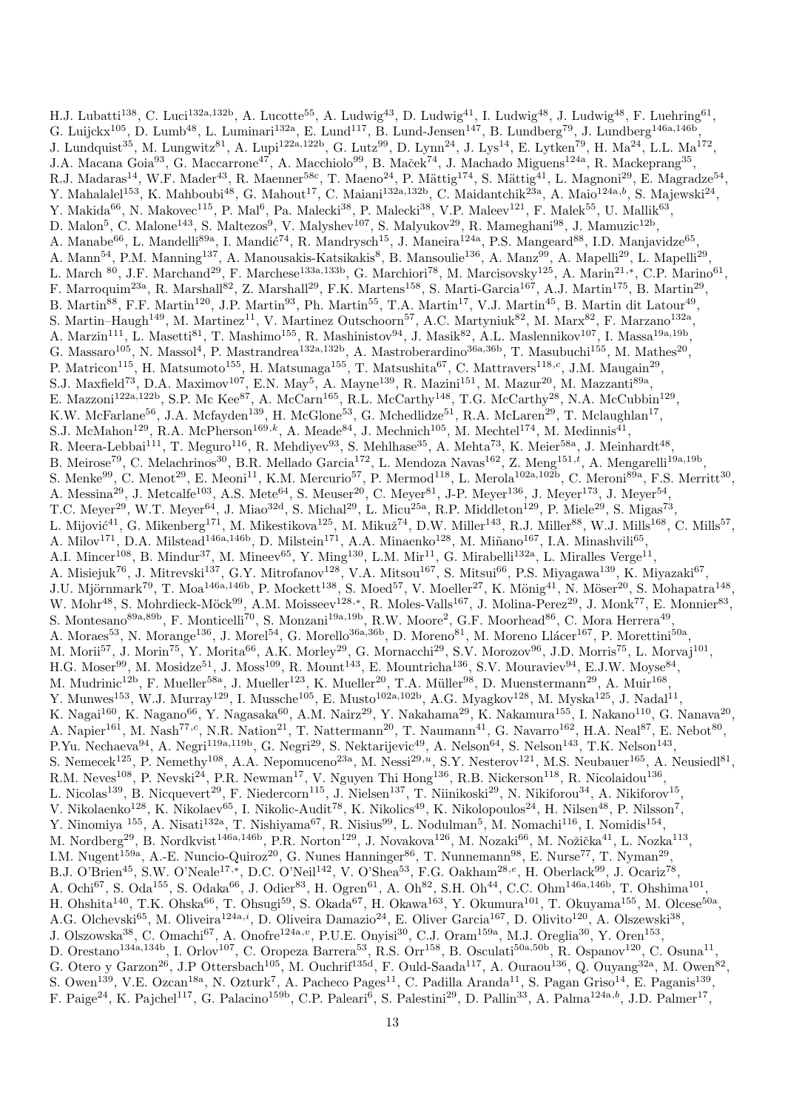H.J. Lubatti<sup>138</sup>, C. Luci<sup>132a,132b</sup>, A. Lucotte<sup>55</sup>, A. Ludwig<sup>43</sup>, D. Ludwig<sup>41</sup>, I. Ludwig<sup>48</sup>, J. Ludwig<sup>48</sup>, F. Luehring<sup>61</sup>, G. Luijckx<sup>105</sup>, D. Lumb<sup>48</sup>, L. Luminari<sup>132a</sup>, E. Lund<sup>117</sup>, B. Lund-Jensen<sup>147</sup>, B. Lundberg<sup>79</sup>, J. Lundberg<sup>146a,146b</sup>, J. Lundquist<sup>35</sup>, M. Lungwitz<sup>81</sup>, A. Lupi<sup>122a,122b</sup>, G. Lutz<sup>99</sup>, D. Lynn<sup>24</sup>, J. Lys<sup>14</sup>, E. Lytken<sup>79</sup>, H. Ma<sup>24</sup>, L.L. Ma<sup>172</sup>, J.A. Macana Goia<sup>93</sup>, G. Maccarrone<sup>47</sup>, A. Macchiolo<sup>99</sup>, B. Maček<sup>74</sup>, J. Machado Miguens<sup>124a</sup>, R. Mackeprang<sup>35</sup>, R.J. Madaras<sup>14</sup>, W.F. Mader<sup>43</sup>, R. Maenner<sup>58c</sup>, T. Maeno<sup>24</sup>, P. Mättig<sup>174</sup>, S. Mättig<sup>41</sup>, L. Magnoni<sup>29</sup>, E. Magradze<sup>54</sup>, Y. Mahalalel<sup>153</sup>, K. Mahboubi<sup>48</sup>, G. Mahout<sup>17</sup>, C. Maiani<sup>132a,132b</sup>, C. Maidantchik<sup>23a</sup>, A. Maio<sup>124a,b</sup>, S. Majewski<sup>24</sup>, Y. Makida<sup>66</sup>, N. Makovec<sup>115</sup>, P. Mal<sup>6</sup>, Pa. Malecki<sup>38</sup>, P. Malecki<sup>38</sup>, V.P. Maleev<sup>121</sup>, F. Malek<sup>55</sup>, U. Mallik<sup>63</sup>, D. Malon<sup>5</sup>, C. Malone<sup>143</sup>, S. Maltezos<sup>9</sup>, V. Malyshev<sup>107</sup>, S. Malyukov<sup>29</sup>, R. Mameghani<sup>98</sup>, J. Mamuzic<sup>12b</sup>, A. Manabe<sup>66</sup>, L. Mandelli<sup>89a</sup>, I. Mandić<sup>74</sup>, R. Mandrysch<sup>15</sup>, J. Maneira<sup>124a</sup>, P.S. Mangeard<sup>88</sup>, I.D. Manjavidze<sup>65</sup>, A. Mann<sup>54</sup>, P.M. Manning<sup>137</sup>, A. Manousakis-Katsikakis<sup>8</sup>, B. Mansoulie<sup>136</sup>, A. Manz<sup>99</sup>, A. Mapelli<sup>29</sup>, L. Mapelli<sup>29</sup>, L. March <sup>80</sup>, J.F. Marchand<sup>29</sup>, F. Marchese<sup>133a,133b</sup>, G. Marchiori<sup>78</sup>, M. Marcisovsky<sup>125</sup>, A. Marin<sup>21,\*</sup>, C.P. Marino<sup>61</sup>, F. Marroquim<sup>23a</sup>, R. Marshall<sup>82</sup>, Z. Marshall<sup>29</sup>, F.K. Martens<sup>158</sup>, S. Marti-Garcia<sup>167</sup>, A.J. Martin<sup>175</sup>, B. Martin<sup>29</sup>, B. Martin<sup>88</sup>, F.F. Martin<sup>120</sup>, J.P. Martin<sup>93</sup>, Ph. Martin<sup>55</sup>, T.A. Martin<sup>17</sup>, V.J. Martin<sup>45</sup>, B. Martin dit Latour<sup>49</sup>, S. Martin–Haugh<sup>149</sup>, M. Martinez<sup>11</sup>, V. Martinez Outschoorn<sup>57</sup>, A.C. Martyniuk<sup>82</sup>, M. Marx<sup>82</sup>, F. Marzano<sup>132a</sup>, A. Marzin<sup>111</sup>, L. Masetti<sup>81</sup>, T. Mashimo<sup>155</sup>, R. Mashinistov<sup>94</sup>, J. Masik<sup>82</sup>, A.L. Maslennikov<sup>107</sup>, I. Massa<sup>19a,19b</sup>, G. Massaro<sup>105</sup>, N. Massol<sup>4</sup>, P. Mastrandrea<sup>132a,132b</sup>, A. Mastroberardino<sup>36a,36b</sup>, T. Masubuchi<sup>155</sup>, M. Mathes<sup>20</sup>, P. Matricon<sup>115</sup>, H. Matsumoto<sup>155</sup>, H. Matsunaga<sup>155</sup>, T. Matsushita<sup>67</sup>, C. Mattravers<sup>118,c</sup>, J.M. Maugain<sup>29</sup>, S.J. Maxfield<sup>73</sup>, D.A. Maximov<sup>107</sup>, E.N. May<sup>5</sup>, A. Mayne<sup>139</sup>, R. Mazini<sup>151</sup>, M. Mazur<sup>20</sup>, M. Mazzanti<sup>89a</sup>, E. Mazzoni<sup>122a,122b</sup>, S.P. Mc Kee<sup>87</sup>, A. McCarn<sup>165</sup>, R.L. McCarthy<sup>148</sup>, T.G. McCarthy<sup>28</sup>, N.A. McCubbin<sup>129</sup>, K.W. McFarlane<sup>56</sup>, J.A. Mcfayden<sup>139</sup>, H. McGlone<sup>53</sup>, G. Mchedlidze<sup>51</sup>, R.A. McLaren<sup>29</sup>, T. Mclaughlan<sup>17</sup>, S.J. McMahon<sup>129</sup>, R.A. McPherson<sup>169,k</sup>, A. Meade<sup>84</sup>, J. Mechnich<sup>105</sup>, M. Mechtel<sup>174</sup>, M. Medinnis<sup>41</sup>, R. Meera-Lebbai<sup>111</sup>, T. Meguro<sup>116</sup>, R. Mehdiyev<sup>93</sup>, S. Mehlhase<sup>35</sup>, A. Mehta<sup>73</sup>, K. Meier<sup>58a</sup>, J. Meinhardt<sup>48</sup>, B. Meirose<sup>79</sup>, C. Melachrinos<sup>30</sup>, B.R. Mellado Garcia<sup>172</sup>, L. Mendoza Navas<sup>162</sup>, Z. Meng<sup>151,*t*</sup>, A. Mengarelli<sup>19a,19b</sup>, S. Menke<sup>99</sup>, C. Menot<sup>29</sup>, E. Meoni<sup>11</sup>, K.M. Mercurio<sup>57</sup>, P. Mermod<sup>118</sup>, L. Merola<sup>102a,102b</sup>, C. Meroni<sup>89a</sup>, F.S. Merritt<sup>30</sup>, A. Messina<sup>29</sup>, J. Metcalfe<sup>103</sup>, A.S. Mete<sup>64</sup>, S. Meuser<sup>20</sup>, C. Meyer<sup>81</sup>, J-P. Meyer<sup>136</sup>, J. Meyer<sup>173</sup>, J. Meyer<sup>54</sup>, T.C. Meyer<sup>29</sup>, W.T. Meyer<sup>64</sup>, J. Miao<sup>32d</sup>, S. Michal<sup>29</sup>, L. Micu<sup>25a</sup>, R.P. Middleton<sup>129</sup>, P. Miele<sup>29</sup>, S. Migas<sup>73</sup>, L. Mijović<sup>41</sup>, G. Mikenberg<sup>171</sup>, M. Mikestikova<sup>125</sup>, M. Mikuž<sup>74</sup>, D.W. Miller<sup>143</sup>, R.J. Miller<sup>88</sup>, W.J. Mills<sup>168</sup>, C. Mills<sup>57</sup>, A. Milov<sup>171</sup>, D.A. Milstead<sup>146a,146b</sup>, D. Milstein<sup>171</sup>, A.A. Minaenko<sup>128</sup>, M. Miñano<sup>167</sup>, I.A. Minashvili<sup>65</sup>, A.I. Mincer<sup>108</sup>, B. Mindur<sup>37</sup>, M. Mineev<sup>65</sup>, Y. Ming<sup>130</sup>, L.M. Mir<sup>11</sup>, G. Mirabelli<sup>132a</sup>, L. Miralles Verge<sup>11</sup>, A. Misiejuk<sup>76</sup>, J. Mitrevski<sup>137</sup>, G.Y. Mitrofanov<sup>128</sup>, V.A. Mitsou<sup>167</sup>, S. Mitsui<sup>66</sup>, P.S. Miyagawa<sup>139</sup>, K. Miyazaki<sup>67</sup>, J.U. Mjörnmark<sup>79</sup>, T. Moa<sup>146a,146b</sup>, P. Mockett<sup>138</sup>, S. Moed<sup>57</sup>, V. Moeller<sup>27</sup>, K. Mönig<sup>41</sup>, N. Möser<sup>20</sup>, S. Mohapatra<sup>148</sup>, W. Mohr<sup>48</sup>, S. Mohrdieck-Möck<sup>99</sup>, A.M. Moisseev<sup>128,\*</sup>, R. Moles-Valls<sup>167</sup>, J. Molina-Perez<sup>29</sup>, J. Monk<sup>77</sup>, E. Monnier<sup>83</sup>, S. Montesano<sup>89a,89b</sup>, F. Monticelli<sup>70</sup>, S. Monzani<sup>19a,19b</sup>, R.W. Moore<sup>2</sup>, G.F. Moorhead<sup>86</sup>, C. Mora Herrera<sup>49</sup>, A. Moraes<sup>53</sup>, N. Morange<sup>136</sup>, J. Morel<sup>54</sup>, G. Morello<sup>36a,36b</sup>, D. Moreno<sup>81</sup>, M. Moreno Llácer<sup>167</sup>, P. Morettini<sup>50a</sup>, M. Morii<sup>57</sup>, J. Morin<sup>75</sup>, Y. Morita<sup>66</sup>, A.K. Morley<sup>29</sup>, G. Mornacchi<sup>29</sup>, S.V. Morozov<sup>96</sup>, J.D. Morris<sup>75</sup>, L. Morvaj<sup>101</sup>, H.G. Moser<sup>99</sup>, M. Mosidze<sup>51</sup>, J. Moss<sup>109</sup>, R. Mount<sup>143</sup>, E. Mountricha<sup>136</sup>, S.V. Mouraviev<sup>94</sup>, E.J.W. Moyse<sup>84</sup>, M. Mudrinic<sup>12b</sup>, F. Mueller<sup>58a</sup>, J. Mueller<sup>123</sup>, K. Mueller<sup>20</sup>, T.A. Müller<sup>98</sup>, D. Muenstermann<sup>29</sup>, A. Muir<sup>168</sup>, Y. Munwes<sup>153</sup>, W.J. Murray<sup>129</sup>, I. Mussche<sup>105</sup>, E. Musto<sup>102a,102b</sup>, A.G. Myagkov<sup>128</sup>, M. Myska<sup>125</sup>, J. Nadal<sup>11</sup>, K. Nagai<sup>160</sup>, K. Nagano<sup>66</sup>, Y. Nagasaka<sup>60</sup>, A.M. Nairz<sup>29</sup>, Y. Nakahama<sup>29</sup>, K. Nakamura<sup>155</sup>, I. Nakano<sup>110</sup>, G. Nanava<sup>20</sup>, A. Napier<sup>161</sup>, M. Nash<sup>77,c</sup>, N.R. Nation<sup>21</sup>, T. Nattermann<sup>20</sup>, T. Naumann<sup>41</sup>, G. Navarro<sup>162</sup>, H.A. Neal<sup>87</sup>, E. Nebot<sup>80</sup>, P.Yu. Nechaeva<sup>94</sup>, A. Negri<sup>119a,119b</sup>, G. Negri<sup>29</sup>, S. Nektarijevic<sup>49</sup>, A. Nelson<sup>64</sup>, S. Nelson<sup>143</sup>, T.K. Nelson<sup>143</sup>, S. Nemecek<sup>125</sup>, P. Nemethy<sup>108</sup>, A.A. Nepomuceno<sup>23a</sup>, M. Nessi<sup>29,u</sup>, S.Y. Nesterov<sup>121</sup>, M.S. Neubauer<sup>165</sup>, A. Neusiedl<sup>81</sup>, R.M. Neves<sup>108</sup>, P. Nevski<sup>24</sup>, P.R. Newman<sup>17</sup>, V. Nguyen Thi Hong<sup>136</sup>, R.B. Nickerson<sup>118</sup>, R. Nicolaidou<sup>136</sup>, L. Nicolas<sup>139</sup>, B. Nicquevert<sup>29</sup>, F. Niedercorn<sup>115</sup>, J. Nielsen<sup>137</sup>, T. Niinikoski<sup>29</sup>, N. Nikiforou<sup>34</sup>, A. Nikiforov<sup>15</sup>, V. Nikolaenko<sup>128</sup>, K. Nikolaev<sup>65</sup>, I. Nikolic-Audit<sup>78</sup>, K. Nikolics<sup>49</sup>, K. Nikolopoulos<sup>24</sup>, H. Nilsen<sup>48</sup>, P. Nilsson<sup>7</sup>, Y. Ninomiya <sup>155</sup>, A. Nisati<sup>132a</sup>, T. Nishiyama<sup>67</sup>, R. Nisius<sup>99</sup>, L. Nodulman<sup>5</sup>, M. Nomachi<sup>116</sup>, I. Nomidis<sup>154</sup>, M. Nordberg<sup>29</sup>, B. Nordkvist<sup>146a,146b</sup>, P.R. Norton<sup>129</sup>, J. Novakova<sup>126</sup>, M. Nozaki<sup>66</sup>, M. Nožička<sup>41</sup>, L. Nozka<sup>113</sup>, I.M. Nugent<sup>159a</sup>, A.-E. Nuncio-Quiroz<sup>20</sup>, G. Nunes Hanninger<sup>86</sup>, T. Nunnemann<sup>98</sup>, E. Nurse<sup>77</sup>, T. Nyman<sup>29</sup>, B.J. O'Brien<sup>45</sup>, S.W. O'Neale<sup>17,\*</sup>, D.C. O'Neil<sup>142</sup>, V. O'Shea<sup>53</sup>, F.G. Oakham<sup>28,e</sup>, H. Oberlack<sup>99</sup>, J. Ocariz<sup>78</sup>, A. Ochi<sup>67</sup>, S. Oda<sup>155</sup>, S. Odaka<sup>66</sup>, J. Odier<sup>83</sup>, H. Ogren<sup>61</sup>, A. Oh<sup>82</sup>, S.H. Oh<sup>44</sup>, C.C. Ohm<sup>146a,146b</sup>, T. Ohshima<sup>101</sup>, H. Ohshita<sup>140</sup>, T.K. Ohska<sup>66</sup>, T. Ohsugi<sup>59</sup>, S. Okada<sup>67</sup>, H. Okawa<sup>163</sup>, Y. Okumura<sup>101</sup>, T. Okuyama<sup>155</sup>, M. Olcese<sup>50a</sup>, A.G. Olchevski<sup>65</sup>, M. Oliveira<sup>124a,i</sup>, D. Oliveira Damazio<sup>24</sup>, E. Oliver Garcia<sup>167</sup>, D. Olivito<sup>120</sup>, A. Olszewski<sup>38</sup>, J. Olszowska<sup>38</sup>, C. Omachi<sup>67</sup>, A. Onofre<sup>124a,v</sup>, P.U.E. Onyisi<sup>30</sup>, C.J. Oram<sup>159a</sup>, M.J. Oreglia<sup>30</sup>, Y. Oren<sup>153</sup>, D. Orestano<sup>134a,134b</sup>, I. Orlov<sup>107</sup>, C. Oropeza Barrera<sup>53</sup>, R.S. Orr<sup>158</sup>, B. Osculati<sup>50a,50b</sup>, R. Ospanov<sup>120</sup>, C. Osuna<sup>11</sup>, G. Otero y Garzon<sup>26</sup>, J.P Ottersbach<sup>105</sup>, M. Ouchrif<sup>135d</sup>, F. Ould-Saada<sup>117</sup>, A. Ouraou<sup>136</sup>, Q. Ouyang<sup>32a</sup>, M. Owen<sup>82</sup>, S. Owen<sup>139</sup>, V.E. Ozcan<sup>18a</sup>, N. Ozturk<sup>7</sup>, A. Pacheco Pages<sup>11</sup>, C. Padilla Aranda<sup>11</sup>, S. Pagan Griso<sup>14</sup>, E. Paganis<sup>139</sup>, F. Paige<sup>24</sup>, K. Pajchel<sup>117</sup>, G. Palacino<sup>159b</sup>, C.P. Paleari<sup>6</sup>, S. Palestini<sup>29</sup>, D. Pallin<sup>33</sup>, A. Palma<sup>124a,b</sup>, J.D. Palmer<sup>17</sup>,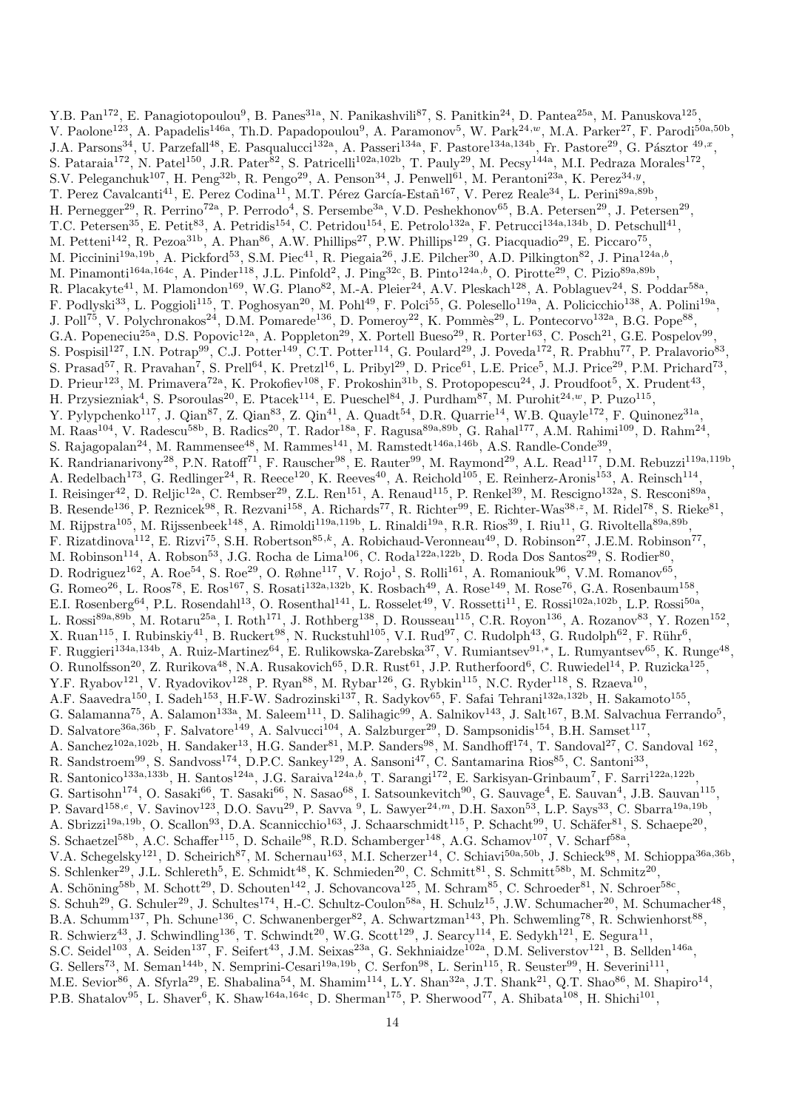Y.B. Pan<sup>172</sup>, E. Panagiotopoulou<sup>9</sup>, B. Panes<sup>31a</sup>, N. Panikashvili<sup>87</sup>, S. Panitkin<sup>24</sup>, D. Pantea<sup>25a</sup>, M. Panuskova<sup>125</sup>, V. Paolone<sup>123</sup>, A. Papadelis<sup>146a</sup>, Th.D. Papadopoulou<sup>9</sup>, A. Paramonov<sup>5</sup>, W. Park<sup>24,w</sup>, M.A. Parker<sup>27</sup>, F. Parodi<sup>50a,50b</sup>, J.A. Parsons<sup>34</sup>, U. Parzefall<sup>48</sup>, E. Pasqualucci<sup>132a</sup>, A. Passeri<sup>134a</sup>, F. Pastore<sup>134a,134b</sup>, Fr. Pastore<sup>29</sup>, G. Pásztor <sup>49,x</sup>, S. Pataraia<sup>172</sup>, N. Patel<sup>150</sup>, J.R. Pater<sup>82</sup>, S. Patricelli<sup>102a,102b</sup>, T. Pauly<sup>29</sup>, M. Pecsy<sup>144a</sup>, M.I. Pedraza Morales<sup>172</sup>, S.V. Peleganchuk<sup>107</sup>, H. Peng<sup>32b</sup>, R. Pengo<sup>29</sup>, A. Penson<sup>34</sup>, J. Penwell<sup>61</sup>, M. Perantoni<sup>23a</sup>, K. Perez<sup>34,9</sup>, T. Perez Cavalcanti<sup>41</sup>, E. Perez Codina<sup>11</sup>, M.T. Pérez García-Estañ<sup>167</sup>, V. Perez Reale<sup>34</sup>, L. Perini<sup>89a,89b</sup>, H. Pernegger<sup>29</sup>, R. Perrino<sup>72a</sup>, P. Perrodo<sup>4</sup>, S. Persembe<sup>3a</sup>, V.D. Peshekhonov<sup>65</sup>, B.A. Petersen<sup>29</sup>, J. Petersen<sup>29</sup>, T.C. Petersen<sup>35</sup>, E. Petit<sup>83</sup>, A. Petridis<sup>154</sup>, C. Petridou<sup>154</sup>, E. Petrolo<sup>132a</sup>, F. Petrucci<sup>134a,134b</sup>, D. Petschull<sup>41</sup>, M. Petteni<sup>142</sup>, R. Pezoa<sup>31b</sup>, A. Phan<sup>86</sup>, A.W. Phillips<sup>27</sup>, P.W. Phillips<sup>129</sup>, G. Piacquadio<sup>29</sup>, E. Piccaro<sup>75</sup>, M. Piccinini<sup>19a,19b</sup>, A. Pickford<sup>53</sup>, S.M. Piec<sup>41</sup>, R. Piegaia<sup>26</sup>, J.E. Pilcher<sup>30</sup>, A.D. Pilkington<sup>82</sup>, J. Pina<sup>124a,b</sup>, M. Pinamonti<sup>164a,164c</sup>, A. Pinder<sup>118</sup>, J.L. Pinfold<sup>2</sup>, J. Ping<sup>32c</sup>, B. Pinto<sup>124a,b</sup>, O. Pirotte<sup>29</sup>, C. Pizio<sup>89a,89b</sup>, R. Placakyte<sup>41</sup>, M. Plamondon<sup>169</sup>, W.G. Plano<sup>82</sup>, M.-A. Pleier<sup>24</sup>, A.V. Pleskach<sup>128</sup>, A. Poblaguev<sup>24</sup>, S. Poddar<sup>58a</sup>, F. Podlyski<sup>33</sup>, L. Poggioli<sup>115</sup>, T. Poghosyan<sup>20</sup>, M. Pohl<sup>49</sup>, F. Polci<sup>55</sup>, G. Polesello<sup>119a</sup>, A. Policicchio<sup>138</sup>, A. Polini<sup>19a</sup>, J. Poll<sup>75</sup>, V. Polychronakos<sup>24</sup>, D.M. Pomarede<sup>136</sup>, D. Pomeroy<sup>22</sup>, K. Pommès<sup>29</sup>, L. Pontecorvo<sup>132a</sup>, B.G. Pope<sup>88</sup>, G.A. Popeneciu<sup>25a</sup>, D.S. Popovic<sup>12a</sup>, A. Poppleton<sup>29</sup>, X. Portell Bueso<sup>29</sup>, R. Porter<sup>163</sup>, C. Posch<sup>21</sup>, G.E. Pospelov<sup>99</sup>, S. Pospisil<sup>127</sup>, I.N. Potrap<sup>99</sup>, C.J. Potter<sup>149</sup>, C.T. Potter<sup>114</sup>, G. Poulard<sup>29</sup>, J. Poveda<sup>172</sup>, R. Prabhu<sup>77</sup>, P. Pralavorio<sup>83</sup>, S. Prasad<sup>57</sup>, R. Pravahan<sup>7</sup>, S. Prell<sup>64</sup>, K. Pretzl<sup>16</sup>, L. Pribyl<sup>29</sup>, D. Price<sup>61</sup>, L.E. Price<sup>5</sup>, M.J. Price<sup>29</sup>, P.M. Prichard<sup>73</sup>, D. Prieur<sup>123</sup>, M. Primavera<sup>72a</sup>, K. Prokofiev<sup>108</sup>, F. Prokoshin<sup>31b</sup>, S. Protopopescu<sup>24</sup>, J. Proudfoot<sup>5</sup>, X. Prudent<sup>43</sup>, H. Przysiezniak<sup>4</sup>, S. Psoroulas<sup>20</sup>, E. Ptacek<sup>114</sup>, E. Pueschel<sup>84</sup>, J. Purdham<sup>87</sup>, M. Purohit<sup>24,*w*</sup>, P. Puzo<sup>115</sup>, Y. Pylypchenko<sup>117</sup>, J. Qian<sup>87</sup>, Z. Qian<sup>83</sup>, Z. Qin<sup>41</sup>, A. Quadt<sup>54</sup>, D.R. Quarrie<sup>14</sup>, W.B. Quayle<sup>172</sup>, F. Quinonez<sup>31a</sup>, M. Raas<sup>104</sup>, V. Radescu<sup>58b</sup>, B. Radics<sup>20</sup>, T. Rador<sup>18a</sup>, F. Ragusa<sup>89a,89b</sup>, G. Rahal<sup>177</sup>, A.M. Rahimi<sup>109</sup>, D. Rahm<sup>24</sup>, S. Rajagopalan<sup>24</sup>, M. Rammensee<sup>48</sup>, M. Rammes<sup>141</sup>, M. Ramstedt<sup>146a,146b</sup>, A.S. Randle-Conde<sup>39</sup>, K. Randrianarivony<sup>28</sup>, P.N. Ratoff<sup>71</sup>, F. Rauscher<sup>98</sup>, E. Rauter<sup>99</sup>, M. Raymond<sup>29</sup>, A.L. Read<sup>117</sup>, D.M. Rebuzzi<sup>119a,119b</sup>, A. Redelbach<sup>173</sup>, G. Redlinger<sup>24</sup>, R. Reece<sup>120</sup>, K. Reeves<sup>40</sup>, A. Reichold<sup>105</sup>, E. Reinherz-Aronis<sup>153</sup>, A. Reinsch<sup>114</sup>, I. Reisinger<sup>42</sup>, D. Reljic<sup>12a</sup>, C. Rembser<sup>29</sup>, Z.L. Ren<sup>151</sup>, A. Renaud<sup>115</sup>, P. Renkel<sup>39</sup>, M. Rescigno<sup>132a</sup>, S. Resconi<sup>89a</sup>, B. Resende<sup>136</sup>, P. Reznicek<sup>98</sup>, R. Rezvani<sup>158</sup>, A. Richards<sup>77</sup>, R. Richter<sup>99</sup>, E. Richter-Was<sup>38, z</sup>, M. Ridel<sup>78</sup>, S. Rieke<sup>81</sup>, M. Rijpstra<sup>105</sup>, M. Rijssenbeek<sup>148</sup>, A. Rimoldi<sup>119a,119b</sup>, L. Rinaldi<sup>19a</sup>, R.R. Rios<sup>39</sup>, I. Riu<sup>11</sup>, G. Rivoltella<sup>89a,89b</sup>, F. Rizatdinova<sup>112</sup>, E. Rizvi<sup>75</sup>, S.H. Robertson<sup>85,k</sup>, A. Robichaud-Veronneau<sup>49</sup>, D. Robinson<sup>27</sup>, J.E.M. Robinson<sup>77</sup>, M. Robinson<sup>114</sup>, A. Robson<sup>53</sup>, J.G. Rocha de Lima<sup>106</sup>, C. Roda<sup>122a,122b</sup>, D. Roda Dos Santos<sup>29</sup>, S. Rodier<sup>80</sup>, D. Rodriguez<sup>162</sup>, A. Roe<sup>54</sup>, S. Roe<sup>29</sup>, O. Røhne<sup>117</sup>, V. Rojo<sup>1</sup>, S. Rolli<sup>161</sup>, A. Romaniouk<sup>96</sup>, V.M. Romanov<sup>65</sup>, G. Romeo<sup>26</sup>, L. Roos<sup>78</sup>, E. Ros<sup>167</sup>, S. Rosati<sup>132a,132b</sup>, K. Rosbach<sup>49</sup>, A. Rose<sup>149</sup>, M. Rose<sup>76</sup>, G.A. Rosenbaum<sup>158</sup>, E.I. Rosenberg<sup>64</sup>, P.L. Rosendahl<sup>13</sup>, O. Rosenthal<sup>141</sup>, L. Rosselet<sup>49</sup>, V. Rossetti<sup>11</sup>, E. Rossi<sup>102a,102b</sup>, L.P. Rossi<sup>50a</sup>, L. Rossi<sup>89a,89b</sup>, M. Rotaru<sup>25a</sup>, I. Roth<sup>171</sup>, J. Rothberg<sup>138</sup>, D. Rousseau<sup>115</sup>, C.R. Royon<sup>136</sup>, A. Rozanov<sup>83</sup>, Y. Rozen<sup>152</sup>, X. Ruan<sup>115</sup>, I. Rubinskiy<sup>41</sup>, B. Ruckert<sup>98</sup>, N. Ruckstuhl<sup>105</sup>, V.I. Rud<sup>97</sup>, C. Rudolph<sup>43</sup>, G. Rudolph<sup>62</sup>, F. Rühr<sup>6</sup>, F. Ruggieri<sup>134a,134b</sup>, A. Ruiz-Martinez<sup>64</sup>, E. Rulikowska-Zarebska<sup>37</sup>, V. Rumiantsev<sup>91,∗</sup>, L. Rumyantsev<sup>65</sup>, K. Runge<sup>48</sup>, O. Runolfsson<sup>20</sup>, Z. Rurikova<sup>48</sup>, N.A. Rusakovich<sup>65</sup>, D.R. Rust<sup>61</sup>, J.P. Rutherfoord<sup>6</sup>, C. Ruwiedel<sup>14</sup>, P. Ruzicka<sup>125</sup>, Y.F. Ryabov<sup>121</sup>, V. Ryadovikov<sup>128</sup>, P. Ryan<sup>88</sup>, M. Rybar<sup>126</sup>, G. Rybkin<sup>115</sup>, N.C. Ryder<sup>118</sup>, S. Rzaeva<sup>10</sup>, A.F. Saavedra<sup>150</sup>, I. Sadeh<sup>153</sup>, H.F-W. Sadrozinski<sup>137</sup>, R. Sadykov<sup>65</sup>, F. Safai Tehrani<sup>132a,132b</sup>, H. Sakamoto<sup>155</sup>, G. Salamanna<sup>75</sup>, A. Salamon<sup>133a</sup>, M. Saleem<sup>111</sup>, D. Salihagic<sup>99</sup>, A. Salnikov<sup>143</sup>, J. Salt<sup>167</sup>, B.M. Salvachua Ferrando<sup>5</sup>, D. Salvatore<sup>36a,36b</sup>, F. Salvatore<sup>149</sup>, A. Salvucci<sup>104</sup>, A. Salzburger<sup>29</sup>, D. Sampsonidis<sup>154</sup>, B.H. Samset<sup>117</sup>, A. Sanchez<sup>102a,102b</sup>, H. Sandaker<sup>13</sup>, H.G. Sander<sup>81</sup>, M.P. Sanders<sup>98</sup>, M. Sandhoff<sup>174</sup>, T. Sandoval<sup>27</sup>, C. Sandoval<sup>162</sup>, R. Sandstroem<sup>99</sup>, S. Sandvoss<sup>174</sup>, D.P.C. Sankey<sup>129</sup>, A. Sansoni<sup>47</sup>, C. Santamarina Rios<sup>85</sup>, C. Santoni<sup>33</sup>, R. Santonico<sup>133a,133b</sup>, H. Santos<sup>124a</sup>, J.G. Saraiva<sup>124a,b</sup>, T. Sarangi<sup>172</sup>, E. Sarkisyan-Grinbaum<sup>7</sup>, F. Sarri<sup>122a,122b</sup>, G. Sartisohn<sup>174</sup>, O. Sasaki<sup>66</sup>, T. Sasaki<sup>66</sup>, N. Sasao<sup>68</sup>, I. Satsounkevitch<sup>90</sup>, G. Sauvage<sup>4</sup>, E. Sauvan<sup>4</sup>, J.B. Sauvan<sup>115</sup>, P. Savard<sup>158,e</sup>, V. Savinov<sup>123</sup>, D.O. Savu<sup>29</sup>, P. Savva<sup>9</sup>, L. Sawyer<sup>24,m</sup>, D.H. Saxon<sup>53</sup>, L.P. Says<sup>33</sup>, C. Sbarra<sup>19a,19b</sup>, A. Sbrizzi<sup>19a,19b</sup>, O. Scallon<sup>93</sup>, D.A. Scannicchio<sup>163</sup>, J. Schaarschmidt<sup>115</sup>, P. Schacht<sup>99</sup>, U. Schäfer<sup>81</sup>, S. Schaepe<sup>20</sup>, S. Schaetzel<sup>58b</sup>, A.C. Schaffer<sup>115</sup>, D. Schaile<sup>98</sup>, R.D. Schamberger<sup>148</sup>, A.G. Schamov<sup>107</sup>, V. Scharf<sup>58a</sup>, V.A. Schegelsky<sup>121</sup>, D. Scheirich<sup>87</sup>, M. Schernau<sup>163</sup>, M.I. Scherzer<sup>14</sup>, C. Schiavi<sup>50a,50b</sup>, J. Schieck<sup>98</sup>, M. Schioppa<sup>36a,36b</sup>, S. Schlenker<sup>29</sup>, J.L. Schlereth<sup>5</sup>, E. Schmidt<sup>48</sup>, K. Schmieden<sup>20</sup>, C. Schmitt<sup>81</sup>, S. Schmitt<sup>58b</sup>, M. Schmitz<sup>20</sup>, A. Schöning<sup>58b</sup>, M. Schott<sup>29</sup>, D. Schouten<sup>142</sup>, J. Schovancova<sup>125</sup>, M. Schram<sup>85</sup>, C. Schroeder<sup>81</sup>, N. Schroer<sup>58c</sup>, S. Schuh<sup>29</sup>, G. Schuler<sup>29</sup>, J. Schultes<sup>174</sup>, H.-C. Schultz-Coulon<sup>58a</sup>, H. Schulz<sup>15</sup>, J.W. Schumacher<sup>20</sup>, M. Schumacher<sup>48</sup>, B.A. Schumm<sup>137</sup>, Ph. Schune<sup>136</sup>, C. Schwanenberger<sup>82</sup>, A. Schwartzman<sup>143</sup>, Ph. Schwemling<sup>78</sup>, R. Schwienhorst<sup>88</sup>, R. Schwierz<sup>43</sup>, J. Schwindling<sup>136</sup>, T. Schwindt<sup>20</sup>, W.G. Scott<sup>129</sup>, J. Searcy<sup>114</sup>, E. Sedykh<sup>121</sup>, E. Segura<sup>11</sup>, S.C. Seidel<sup>103</sup>, A. Seiden<sup>137</sup>, F. Seifert<sup>43</sup>, J.M. Seixas<sup>23a</sup>, G. Sekhniaidze<sup>102a</sup>, D.M. Seliverstov<sup>121</sup>, B. Sellden<sup>146a</sup>, G. Sellers<sup>73</sup>, M. Seman<sup>144b</sup>, N. Semprini-Cesari<sup>19a,19b</sup>, C. Serfon<sup>98</sup>, L. Serin<sup>115</sup>, R. Seuster<sup>99</sup>, H. Severini<sup>111</sup>, M.E. Sevior<sup>86</sup>, A. Sfyrla<sup>29</sup>, E. Shabalina<sup>54</sup>, M. Shamim<sup>114</sup>, L.Y. Shan<sup>32a</sup>, J.T. Shank<sup>21</sup>, Q.T. Shao<sup>86</sup>, M. Shapiro<sup>14</sup>, P.B. Shatalov<sup>95</sup>, L. Shaver<sup>6</sup>, K. Shaw<sup>164a,164c</sup>, D. Sherman<sup>175</sup>, P. Sherwood<sup>77</sup>, A. Shibata<sup>108</sup>, H. Shichi<sup>101</sup>,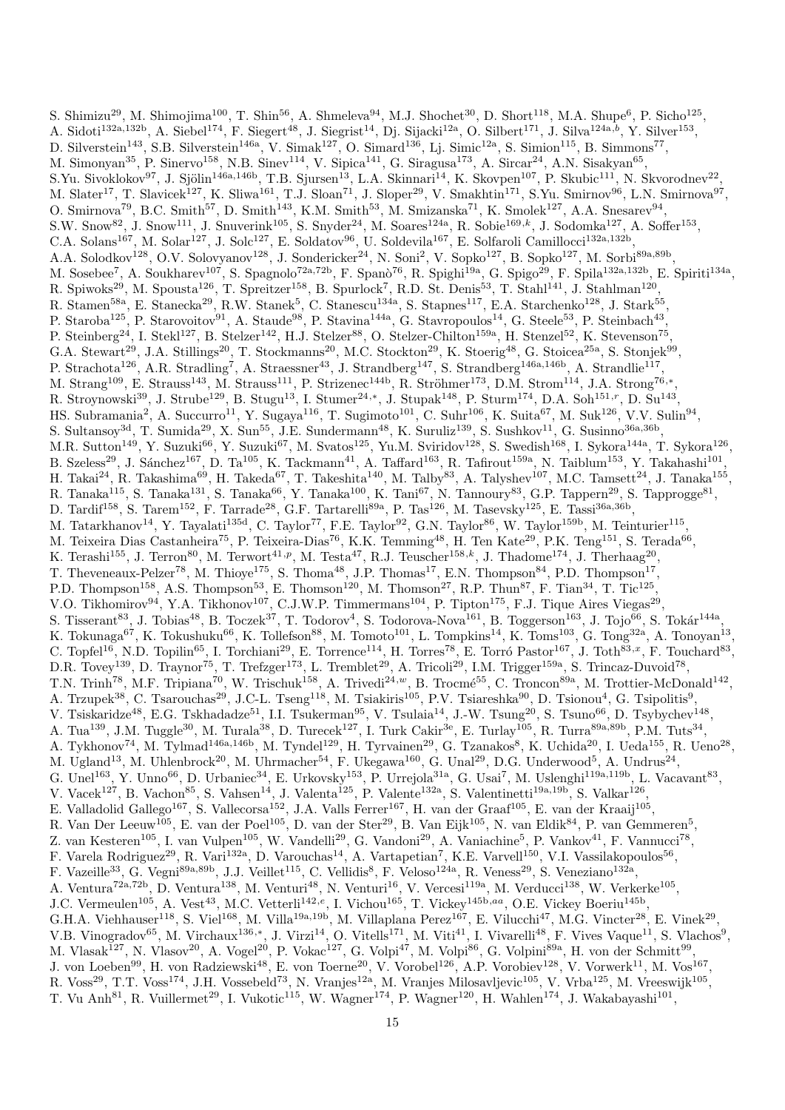S. Shimizu<sup>29</sup>, M. Shimojima<sup>100</sup>, T. Shin<sup>56</sup>, A. Shmeleva<sup>94</sup>, M.J. Shochet<sup>30</sup>, D. Short<sup>118</sup>, M.A. Shupe<sup>6</sup>, P. Sicho<sup>125</sup>, A. Sidoti<sup>132a,132b</sup>, A. Siebel<sup>174</sup>, F. Siegert<sup>48</sup>, J. Siegrist<sup>14</sup>, Dj. Sijacki<sup>12a</sup>, O. Silbert<sup>171</sup>, J. Silva<sup>124a,b</sup>, Y. Silver<sup>153</sup>, D. Silverstein<sup>143</sup>, S.B. Silverstein<sup>146a</sup>, V. Simak<sup>127</sup>, O. Simard<sup>136</sup>, Lj. Simic<sup>12a</sup>, S. Simion<sup>115</sup>, B. Simmons<sup>77</sup>, M. Simonyan<sup>35</sup>, P. Sinervo<sup>158</sup>, N.B. Sinev<sup>114</sup>, V. Sipica<sup>141</sup>, G. Siragusa<sup>173</sup>, A. Sircar<sup>24</sup>, A.N. Sisakyan<sup>65</sup>, S.Yu. Sivoklokov<sup>97</sup>, J. Sjölin<sup>146a,146b</sup>, T.B. Sjursen<sup>13</sup>, L.A. Skinnari<sup>14</sup>, K. Skovpen<sup>107</sup>, P. Skubic<sup>111</sup>, N. Skvorodnev<sup>22</sup>, M. Slater<sup>17</sup>, T. Slavicek<sup>127</sup>, K. Sliwa<sup>161</sup>, T.J. Sloan<sup>71</sup>, J. Sloper<sup>29</sup>, V. Smakhtin<sup>171</sup>, S.Yu. Smirnov<sup>96</sup>, L.N. Smirnova<sup>97</sup>, O. Smirnova<sup>79</sup>, B.C. Smith<sup>57</sup>, D. Smith<sup>143</sup>, K.M. Smith<sup>53</sup>, M. Smizanska<sup>71</sup>, K. Smolek<sup>127</sup>, A.A. Snesarev<sup>94</sup>, S.W. Snow<sup>82</sup>, J. Snow<sup>111</sup>, J. Snuverink<sup>105</sup>, S. Snyder<sup>24</sup>, M. Soares<sup>124a</sup>, R. Sobie<sup>169,k</sup>, J. Sodomka<sup>127</sup>, A. Soffer<sup>153</sup>, C.A. Solans<sup>167</sup>, M. Solar<sup>127</sup>, J. Solc<sup>127</sup>, E. Soldatov<sup>96</sup>, U. Soldevila<sup>167</sup>, E. Solfaroli Camillocci<sup>132a,132b</sup>, A.A. Solodkov<sup>128</sup>, O.V. Solovyanov<sup>128</sup>, J. Sondericker<sup>24</sup>, N. Soni<sup>2</sup>, V. Sopko<sup>127</sup>, B. Sopko<sup>127</sup>, M. Sorbi<sup>89a,89b</sup>, M. Sosebee<sup>7</sup>, A. Soukharev<sup>107</sup>, S. Spagnolo<sup>72a,72b</sup>, F. Spanò<sup>76</sup>, R. Spighi<sup>19a</sup>, G. Spigo<sup>29</sup>, F. Spila<sup>132a,132b</sup>, E. Spiriti<sup>134a</sup>, R. Spiwoks<sup>29</sup>, M. Spousta<sup>126</sup>, T. Spreitzer<sup>158</sup>, B. Spurlock<sup>7</sup>, R.D. St. Denis<sup>53</sup>, T. Stahl<sup>141</sup>, J. Stahlman<sup>120</sup>, R. Stamen<sup>58a</sup>, E. Stanecka<sup>29</sup>, R.W. Stanek<sup>5</sup>, C. Stanescu<sup>134a</sup>, S. Stapnes<sup>117</sup>, E.A. Starchenko<sup>128</sup>, J. Stark<sup>55</sup>, P. Staroba<sup>125</sup>, P. Starovoitov<sup>91</sup>, A. Staude<sup>98</sup>, P. Stavina<sup>144a</sup>, G. Stavropoulos<sup>14</sup>, G. Steele<sup>53</sup>, P. Steinbach<sup>43</sup>, P. Steinberg<sup>24</sup>, I. Stekl<sup>127</sup>, B. Stelzer<sup>142</sup>, H.J. Stelzer<sup>88</sup>, O. Stelzer-Chilton<sup>159a</sup>, H. Stenzel<sup>52</sup>, K. Stevenson<sup>75</sup>, G.A. Stewart<sup>29</sup>, J.A. Stillings<sup>20</sup>, T. Stockmanns<sup>20</sup>, M.C. Stockton<sup>29</sup>, K. Stoerig<sup>48</sup>, G. Stoicea<sup>25a</sup>, S. Stonjek<sup>99</sup>, P. Strachota<sup>126</sup>, A.R. Stradling<sup>7</sup>, A. Straessner<sup>43</sup>, J. Strandberg<sup>147</sup>, S. Strandberg<sup>146a,146b</sup>, A. Strandlie<sup>117</sup>, M. Strang<sup>109</sup>, E. Strauss<sup>143</sup>, M. Strauss<sup>111</sup>, P. Strizenec<sup>144b</sup>, R. Ströhmer<sup>173</sup>, D.M. Strom<sup>114</sup>, J.A. Strong<sup>76,\*</sup>, R. Stroynowski<sup>39</sup>, J. Strube<sup>129</sup>, B. Stugu<sup>13</sup>, I. Stumer<sup>24,\*</sup>, J. Stupak<sup>148</sup>, P. Sturm<sup>174</sup>, D.A. Soh<sup>151,r</sup>, D. Su<sup>143</sup>, HS. Subramania<sup>2</sup>, A. Succurro<sup>11</sup>, Y. Sugaya<sup>116</sup>, T. Sugimoto<sup>101</sup>, C. Suhr<sup>106</sup>, K. Suita<sup>67</sup>, M. Suk<sup>126</sup>, V.V. Sulin<sup>94</sup>, S. Sultansoy<sup>3d</sup>, T. Sumida<sup>29</sup>, X. Sun<sup>55</sup>, J.E. Sundermann<sup>48</sup>, K. Suruliz<sup>139</sup>, S. Sushkov<sup>11</sup>, G. Susinno<sup>36a,36b</sup>, M.R. Sutton<sup>149</sup>, Y. Suzuki<sup>66</sup>, Y. Suzuki<sup>67</sup>, M. Svatos<sup>125</sup>, Yu.M. Sviridov<sup>128</sup>, S. Swedish<sup>168</sup>, I. Sykora<sup>144a</sup>, T. Sykora<sup>126</sup>, B. Szeless<sup>29</sup>, J. Sánchez<sup>167</sup>, D. Ta<sup>105</sup>, K. Tackmann<sup>41</sup>, A. Taffard<sup>163</sup>, R. Tafirout<sup>159a</sup>, N. Taiblum<sup>153</sup>, Y. Takahashi<sup>101</sup>, H. Takai<sup>24</sup>, R. Takashima<sup>69</sup>, H. Takeda<sup>67</sup>, T. Takeshita<sup>140</sup>, M. Talby<sup>83</sup>, A. Talyshev<sup>107</sup>, M.C. Tamsett<sup>24</sup>, J. Tanaka<sup>155</sup>, R. Tanaka<sup>115</sup>, S. Tanaka<sup>131</sup>, S. Tanaka<sup>66</sup>, Y. Tanaka<sup>100</sup>, K. Tani<sup>67</sup>, N. Tannoury<sup>83</sup>, G.P. Tappern<sup>29</sup>, S. Tapprogge<sup>81</sup>, D. Tardif<sup>158</sup>, S. Tarem<sup>152</sup>, F. Tarrade<sup>28</sup>, G.F. Tartarelli<sup>89a</sup>, P. Tas<sup>126</sup>, M. Tasevsky<sup>125</sup>, E. Tassi<sup>36a,36b</sup>, M. Tatarkhanov<sup>14</sup>, Y. Tayalati<sup>135d</sup>, C. Taylor<sup>77</sup>, F.E. Taylor<sup>92</sup>, G.N. Taylor<sup>86</sup>, W. Taylor<sup>159b</sup>, M. Teinturier<sup>115</sup>, M. Teixeira Dias Castanheira<sup>75</sup>, P. Teixeira-Dias<sup>76</sup>, K.K. Temming<sup>48</sup>, H. Ten Kate<sup>29</sup>, P.K. Teng<sup>151</sup>, S. Terada<sup>66</sup>, K. Terashi<sup>155</sup>, J. Terron<sup>80</sup>, M. Terwort<sup>41,p</sup>, M. Testa<sup>47</sup>, R.J. Teuscher<sup>158,k</sup>, J. Thadome<sup>174</sup>, J. Therhaag<sup>20</sup>, T. Theveneaux-Pelzer<sup>78</sup>, M. Thioye<sup>175</sup>, S. Thoma<sup>48</sup>, J.P. Thomas<sup>17</sup>, E.N. Thompson<sup>84</sup>, P.D. Thompson<sup>17</sup>, P.D. Thompson<sup>158</sup>, A.S. Thompson<sup>53</sup>, E. Thomson<sup>120</sup>, M. Thomson<sup>27</sup>, R.P. Thun<sup>87</sup>, F. Tian<sup>34</sup>, T. Tic<sup>125</sup>, V.O. Tikhomirov<sup>94</sup>, Y.A. Tikhonov<sup>107</sup>, C.J.W.P. Timmermans<sup>104</sup>, P. Tipton<sup>175</sup>, F.J. Tique Aires Viegas<sup>29</sup>, S. Tisserant<sup>83</sup>, J. Tobias<sup>48</sup>, B. Toczek<sup>37</sup>, T. Todorov<sup>4</sup>, S. Todorova-Nova<sup>161</sup>, B. Toggerson<sup>163</sup>, J. Tojo<sup>66</sup>, S. Tokár<sup>144a</sup>, K. Tokunaga<sup>67</sup>, K. Tokushuku<sup>66</sup>, K. Tollefson<sup>88</sup>, M. Tomoto<sup>101</sup>, L. Tompkins<sup>14</sup>, K. Toms<sup>103</sup>, G. Tong<sup>32a</sup>, A. Tonoyan<sup>13</sup>, C. Topfel<sup>16</sup>, N.D. Topilin<sup>65</sup>, I. Torchiani<sup>29</sup>, E. Torrence<sup>114</sup>, H. Torres<sup>78</sup>, E. Torró Pastor<sup>167</sup>, J. Toth<sup>83,x</sup>, F. Touchard<sup>83</sup>, D.R. Tovey<sup>139</sup>, D. Traynor<sup>75</sup>, T. Trefzger<sup>173</sup>, L. Tremblet<sup>29</sup>, A. Tricoli<sup>29</sup>, I.M. Trigger<sup>159a</sup>, S. Trincaz-Duvoid<sup>78</sup>, T.N. Trinh<sup>78</sup>, M.F. Tripiana<sup>70</sup>, W. Trischuk<sup>158</sup>, A. Trivedi<sup>24,*w*</sup>, B. Trocmé<sup>55</sup>, C. Troncon<sup>89a</sup>, M. Trottier-McDonald<sup>142</sup>, A. Trzupek<sup>38</sup>, C. Tsarouchas<sup>29</sup>, J.C-L. Tseng<sup>118</sup>, M. Tsiakiris<sup>105</sup>, P.V. Tsiareshka<sup>90</sup>, D. Tsionou<sup>4</sup>, G. Tsipolitis<sup>9</sup>, V. Tsiskaridze<sup>48</sup>, E.G. Tskhadadze<sup>51</sup>, I.I. Tsukerman<sup>95</sup>, V. Tsulaia<sup>14</sup>, J.-W. Tsung<sup>20</sup>, S. Tsuno<sup>66</sup>, D. Tsybychev<sup>148</sup>, A. Tua<sup>139</sup>, J.M. Tuggle<sup>30</sup>, M. Turala<sup>38</sup>, D. Turecek<sup>127</sup>, I. Turk Cakir<sup>3e</sup>, E. Turlay<sup>105</sup>, R. Turra<sup>89a,89b</sup>, P.M. Tuts<sup>34</sup>, A. Tykhonov<sup>74</sup>, M. Tylmad<sup>146a,146b</sup>, M. Tyndel<sup>129</sup>, H. Tyrvainen<sup>29</sup>, G. Tzanakos<sup>8</sup>, K. Uchida<sup>20</sup>, I. Ueda<sup>155</sup>, R. Ueno<sup>28</sup>, M. Ugland<sup>13</sup>, M. Uhlenbrock<sup>20</sup>, M. Uhrmacher<sup>54</sup>, F. Ukegawa<sup>160</sup>, G. Unal<sup>29</sup>, D.G. Underwood<sup>5</sup>, A. Undrus<sup>24</sup>, G. Unel<sup>163</sup>, Y. Unno<sup>66</sup>, D. Urbaniec<sup>34</sup>, E. Urkovsky<sup>153</sup>, P. Urrejola<sup>31a</sup>, G. Usai<sup>7</sup>, M. Uslenghi<sup>119a,119b</sup>, L. Vacavant<sup>83</sup>, V. Vacek<sup>127</sup>, B. Vachon<sup>85</sup>, S. Vahsen<sup>14</sup>, J. Valenta<sup>125</sup>, P. Valente<sup>132a</sup>, S. Valentinetti<sup>19a,19b</sup>, S. Valkar<sup>126</sup>, E. Valladolid Gallego<sup>167</sup>, S. Vallecorsa<sup>152</sup>, J.A. Valls Ferrer<sup>167</sup>, H. van der Graaf<sup>105</sup>, E. van der Kraaij<sup>105</sup>, R. Van Der Leeuw<sup>105</sup>, E. van der Poel<sup>105</sup>, D. van der Ster<sup>29</sup>, B. Van Eijk<sup>105</sup>, N. van Eldik<sup>84</sup>, P. van Gemmeren<sup>5</sup>, Z. van Kesteren<sup>105</sup>, I. van Vulpen<sup>105</sup>, W. Vandelli<sup>29</sup>, G. Vandoni<sup>29</sup>, A. Vaniachine<sup>5</sup>, P. Vankov<sup>41</sup>, F. Vannucci<sup>78</sup>, F. Varela Rodriguez<sup>29</sup>, R. Vari<sup>132a</sup>, D. Varouchas<sup>14</sup>, A. Vartapetian<sup>7</sup>, K.E. Varvell<sup>150</sup>, V.I. Vassilakopoulos<sup>56</sup>, F. Vazeille<sup>33</sup>, G. Vegni<sup>89a,89b</sup>, J.J. Veillet<sup>115</sup>, C. Vellidis<sup>8</sup>, F. Veloso<sup>124a</sup>, R. Veness<sup>29</sup>, S. Veneziano<sup>132a</sup>, A. Ventura<sup>72a,72b</sup>, D. Ventura<sup>138</sup>, M. Venturi<sup>48</sup>, N. Venturi<sup>16</sup>, V. Vercesi<sup>119a</sup>, M. Verducci<sup>138</sup>, W. Verkerke<sup>105</sup>, J.C. Vermeulen<sup>105</sup>, A. Vest<sup>43</sup>, M.C. Vetterli<sup>142,e</sup>, I. Vichou<sup>165</sup>, T. Vickey<sup>145b,aa</sup>, O.E. Vickey Boeriu<sup>145b</sup>, G.H.A. Viehhauser<sup>118</sup>, S. Viel<sup>168</sup>, M. Villa<sup>19a,19b</sup>, M. Villaplana Perez<sup>167</sup>, E. Vilucchi<sup>47</sup>, M.G. Vincter<sup>28</sup>, E. Vinek<sup>29</sup>, V.B. Vinogradov<sup>65</sup>, M. Virchaux<sup>136,\*</sup>, J. Virzi<sup>14</sup>, O. Vitells<sup>171</sup>, M. Viti<sup>41</sup>, I. Vivarelli<sup>48</sup>, F. Vives Vaque<sup>11</sup>, S. Vlachos<sup>9</sup>, M. Vlasak<sup>127</sup>, N. Vlasov<sup>20</sup>, A. Vogel<sup>20</sup>, P. Vokac<sup>127</sup>, G. Volpi<sup>47</sup>, M. Volpi<sup>86</sup>, G. Volpini<sup>89a</sup>, H. von der Schmitt<sup>99</sup>, J. von Loeben<sup>99</sup>, H. von Radziewski<sup>48</sup>, E. von Toerne<sup>20</sup>, V. Vorobel<sup>126</sup>, A.P. Vorobiev<sup>128</sup>, V. Vorwerk<sup>11</sup>, M. Vos<sup>167</sup>, R. Voss<sup>29</sup>, T.T. Voss<sup>174</sup>, J.H. Vossebeld<sup>73</sup>, N. Vranjes<sup>12a</sup>, M. Vranjes Milosavljevic<sup>105</sup>, V. Vrba<sup>125</sup>, M. Vreeswijk<sup>105</sup>, T. Vu Anh<sup>81</sup>, R. Vuillermet<sup>29</sup>, I. Vukotic<sup>115</sup>, W. Wagner<sup>174</sup>, P. Wagner<sup>120</sup>, H. Wahlen<sup>174</sup>, J. Wakabayashi<sup>101</sup>,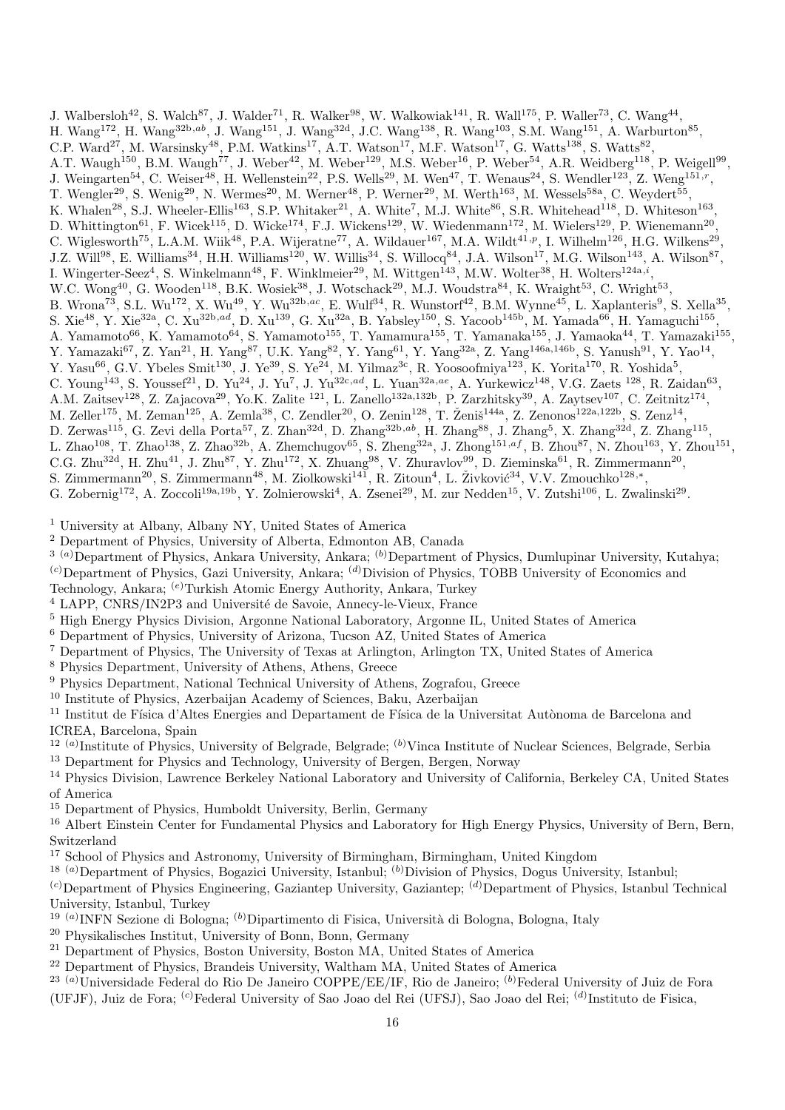J. Walbersloh<sup>42</sup>, S. Walch<sup>87</sup>, J. Walder<sup>71</sup>, R. Walker<sup>98</sup>, W. Walkowiak<sup>141</sup>, R. Wall<sup>175</sup>, P. Waller<sup>73</sup>, C. Wang<sup>44</sup>, H. Wang<sup>172</sup>, H. Wang<sup>32b,ab</sup>, J. Wang<sup>151</sup>, J. Wang<sup>32d</sup>, J.C. Wang<sup>138</sup>, R. Wang<sup>103</sup>, S.M. Wang<sup>151</sup>, A. Warburton<sup>85</sup>, C.P. Ward<sup>27</sup>, M. Warsinsky<sup>48</sup>, P.M. Watkins<sup>17</sup>, A.T. Watson<sup>17</sup>, M.F. Watson<sup>17</sup>, G. Watts<sup>138</sup>, S. Watts<sup>82</sup>, A.T. Waugh<sup>150</sup>, B.M. Waugh<sup>77</sup>, J. Weber<sup>42</sup>, M. Weber<sup>129</sup>, M.S. Weber<sup>16</sup>, P. Weber<sup>54</sup>, A.R. Weidberg<sup>118</sup>, P. Weigell<sup>99</sup>, J. Weingarten<sup>54</sup>, C. Weiser<sup>48</sup>, H. Wellenstein<sup>22</sup>, P.S. Wells<sup>29</sup>, M. Wen<sup>47</sup>, T. Wenaus<sup>24</sup>, S. Wendler<sup>123</sup>, Z. Weng<sup>151,r</sup>, T. Wengler<sup>29</sup>, S. Wenig<sup>29</sup>, N. Wermes<sup>20</sup>, M. Werner<sup>48</sup>, P. Werner<sup>29</sup>, M. Werth<sup>163</sup>, M. Wessels<sup>58a</sup>, C. Weydert<sup>55</sup>, K. Whalen<sup>28</sup>, S.J. Wheeler-Ellis<sup>163</sup>, S.P. Whitaker<sup>21</sup>, A. White<sup>7</sup>, M.J. White<sup>86</sup>, S.R. Whitehead<sup>118</sup>, D. Whiteson<sup>163</sup>, D. Whittington<sup>61</sup>, F. Wicek<sup>115</sup>, D. Wicke<sup>174</sup>, F.J. Wickens<sup>129</sup>, W. Wiedenmann<sup>172</sup>, M. Wielers<sup>129</sup>, P. Wienemann<sup>20</sup>, C. Wiglesworth<sup>75</sup>, L.A.M. Wiik<sup>48</sup>, P.A. Wijeratne<sup>77</sup>, A. Wildauer<sup>167</sup>, M.A. Wildt<sup>41,p</sup>, I. Wilhelm<sup>126</sup>, H.G. Wilkens<sup>29</sup>, J.Z. Will<sup>98</sup>, E. Williams<sup>34</sup>, H.H. Williams<sup>120</sup>, W. Willis<sup>34</sup>, S. Willocq<sup>84</sup>, J.A. Wilson<sup>17</sup>, M.G. Wilson<sup>143</sup>, A. Wilson<sup>87</sup>, I. Wingerter-Seez<sup>4</sup>, S. Winkelmann<sup>48</sup>, F. Winklmeier<sup>29</sup>, M. Wittgen<sup>143</sup>, M.W. Wolter<sup>38</sup>, H. Wolters<sup>124a,*i*</sup>, W.C. Wong<sup>40</sup>, G. Wooden<sup>118</sup>, B.K. Wosiek<sup>38</sup>, J. Wotschack<sup>29</sup>, M.J. Woudstra<sup>84</sup>, K. Wraight<sup>53</sup>, C. Wright<sup>53</sup>, B. Wrona<sup>73</sup>, S.L. Wu<sup>172</sup>, X. Wu<sup>49</sup>, Y. Wu<sup>32b,ac</sup>, E. Wulf<sup>34</sup>, R. Wunstorf<sup>42</sup>, B.M. Wynne<sup>45</sup>, L. Xaplanteris<sup>9</sup>, S. Xella<sup>35</sup>, S. Xie<sup>48</sup>, Y. Xie<sup>32a</sup>, C. Xu<sup>32b,ad</sup>, D. Xu<sup>139</sup>, G. Xu<sup>32a</sup>, B. Yabsley<sup>150</sup>, S. Yacoob<sup>145b</sup>, M. Yamada<sup>66</sup>, H. Yamaguchi<sup>155</sup>, A. Yamamoto<sup>66</sup>, K. Yamamoto<sup>64</sup>, S. Yamamoto<sup>155</sup>, T. Yamamura<sup>155</sup>, T. Yamanaka<sup>155</sup>, J. Yamaoka<sup>44</sup>, T. Yamazaki<sup>155</sup>, Y. Yamazaki<sup>67</sup>, Z. Yan<sup>21</sup>, H. Yang<sup>87</sup>, U.K. Yang<sup>82</sup>, Y. Yang<sup>61</sup>, Y. Yang<sup>32a</sup>, Z. Yang<sup>146a,146b</sup>, S. Yanush<sup>91</sup>, Y. Yao<sup>14</sup>, Y. Yasu<sup>66</sup>, G.V. Ybeles Smit<sup>130</sup>, J. Ye<sup>39</sup>, S. Ye<sup>24</sup>, M. Yilmaz<sup>3c</sup>, R. Yoosoofmiya<sup>123</sup>, K. Yorita<sup>170</sup>, R. Yoshida<sup>5</sup>, C. Young<sup>143</sup>, S. Youssef<sup>21</sup>, D. Yu<sup>24</sup>, J. Yu<sup>7</sup>, J. Yu<sup>32c,ad</sup>, L. Yuan<sup>32a,ae</sup>, A. Yurkewicz<sup>148</sup>, V.G. Zaets<sup>128</sup>, R. Zaidan<sup>63</sup>, A.M. Zaitsev<sup>128</sup>, Z. Zajacova<sup>29</sup>, Yo.K. Zalite<sup>121</sup>, L. Zanello<sup>132a,132b</sup>, P. Zarzhitsky<sup>39</sup>, A. Zaytsev<sup>107</sup>, C. Zeitnitz<sup>174</sup>, M. Zeller<sup>175</sup>, M. Zeman<sup>125</sup>, A. Zemla<sup>38</sup>, C. Zendler<sup>20</sup>, O. Zenin<sup>128</sup>, T. Ženiš<sup>144a</sup>, Z. Zenonos<sup>122a,122b</sup>, S. Zenz<sup>14</sup>, D. Zerwas<sup>115</sup>, G. Zevi della Porta<sup>57</sup>, Z. Zhan<sup>32d</sup>, D. Zhang<sup>32b,ab</sup>, H. Zhang<sup>88</sup>, J. Zhang<sup>5</sup>, X. Zhang<sup>32d</sup>, Z. Zhang<sup>115</sup>, L. Zhao<sup>108</sup>, T. Zhao<sup>138</sup>, Z. Zhao<sup>32b</sup>, A. Zhemchugov<sup>65</sup>, S. Zheng<sup>32a</sup>, J. Zhong<sup>151,af</sup>, B. Zhou<sup>87</sup>, N. Zhou<sup>163</sup>, Y. Zhou<sup>151</sup>, C.G. Zhu<sup>32d</sup>, H. Zhu<sup>41</sup>, J. Zhu<sup>87</sup>, Y. Zhu<sup>172</sup>, X. Zhuang<sup>98</sup>, V. Zhuravlov<sup>99</sup>, D. Zieminska<sup>61</sup>, R. Zimmermann<sup>20</sup>, S. Zimmermann<sup>20</sup>, S. Zimmermann<sup>48</sup>, M. Ziolkowski<sup>141</sup>, R. Zitoun<sup>4</sup>, L. Živković<sup>34</sup>, V.V. Zmouchko<sup>128,\*</sup>, G. Zobernig<sup>172</sup>, A. Zoccoli<sup>19a,19b</sup>, Y. Zolnierowski<sup>4</sup>, A. Zsenei<sup>29</sup>, M. zur Nedden<sup>15</sup>, V. Zutshi<sup>106</sup>, L. Zwalinski<sup>29</sup>.

<sup>1</sup> University at Albany, Albany NY, United States of America

<sup>2</sup> Department of Physics, University of Alberta, Edmonton AB, Canada

 $3^{(a)}$ Department of Physics, Ankara University, Ankara;  $^{(b)}$ Department of Physics, Dumlupinar University, Kutahya;  $^{(c)}$ Department of Physics, Gazi University, Ankara;  $^{(d)}$ Division of Physics, TOBB University of Economics and

- Technology, Ankara; (e)Turkish Atomic Energy Authority, Ankara, Turkey
- <sup>4</sup> LAPP, CNRS/IN2P3 and Université de Savoie, Annecy-le-Vieux, France
- <sup>5</sup> High Energy Physics Division, Argonne National Laboratory, Argonne IL, United States of America
- <sup>6</sup> Department of Physics, University of Arizona, Tucson AZ, United States of America
- <sup>7</sup> Department of Physics, The University of Texas at Arlington, Arlington TX, United States of America
- <sup>8</sup> Physics Department, University of Athens, Athens, Greece
- <sup>9</sup> Physics Department, National Technical University of Athens, Zografou, Greece
- <sup>10</sup> Institute of Physics, Azerbaijan Academy of Sciences, Baku, Azerbaijan

<sup>11</sup> Institut de Física d'Altes Energies and Departament de Física de la Universitat Autònoma de Barcelona and ICREA, Barcelona, Spain

- <sup>12 (a)</sup>Institute of Physics, University of Belgrade, Belgrade; <sup>(b)</sup>Vinca Institute of Nuclear Sciences, Belgrade, Serbia
- <sup>13</sup> Department for Physics and Technology, University of Bergen, Bergen, Norway

<sup>14</sup> Physics Division, Lawrence Berkeley National Laboratory and University of California, Berkeley CA, United States of America

<sup>15</sup> Department of Physics, Humboldt University, Berlin, Germany

<sup>16</sup> Albert Einstein Center for Fundamental Physics and Laboratory for High Energy Physics, University of Bern, Bern, Switzerland

<sup>17</sup> School of Physics and Astronomy, University of Birmingham, Birmingham, United Kingdom

<sup>18 (a)</sup>Department of Physics, Bogazici University, Istanbul; <sup>(b)</sup>Division of Physics, Dogus University, Istanbul;

 $^{(c)}$ Department of Physics Engineering, Gaziantep University, Gaziantep;  $^{(d)}$ Department of Physics, Istanbul Technical University, Istanbul, Turkey

- <sup>19 (a)</sup> INFN Sezione di Bologna; <sup>(b)</sup> Dipartimento di Fisica, Università di Bologna, Bologna, Italy
- <sup>20</sup> Physikalisches Institut, University of Bonn, Bonn, Germany
- <sup>21</sup> Department of Physics, Boston University, Boston MA, United States of America
- <sup>22</sup> Department of Physics, Brandeis University, Waltham MA, United States of America
- <sup>23 (a)</sup>Universidade Federal do Rio De Janeiro COPPE/EE/IF, Rio de Janeiro; <sup>(b)</sup>Federal University of Juiz de Fora
- (UFJF), Juiz de Fora; <sup>(c)</sup>Federal University of Sao Joao del Rei (UFSJ), Sao Joao del Rei; <sup>(d)</sup>Instituto de Fisica,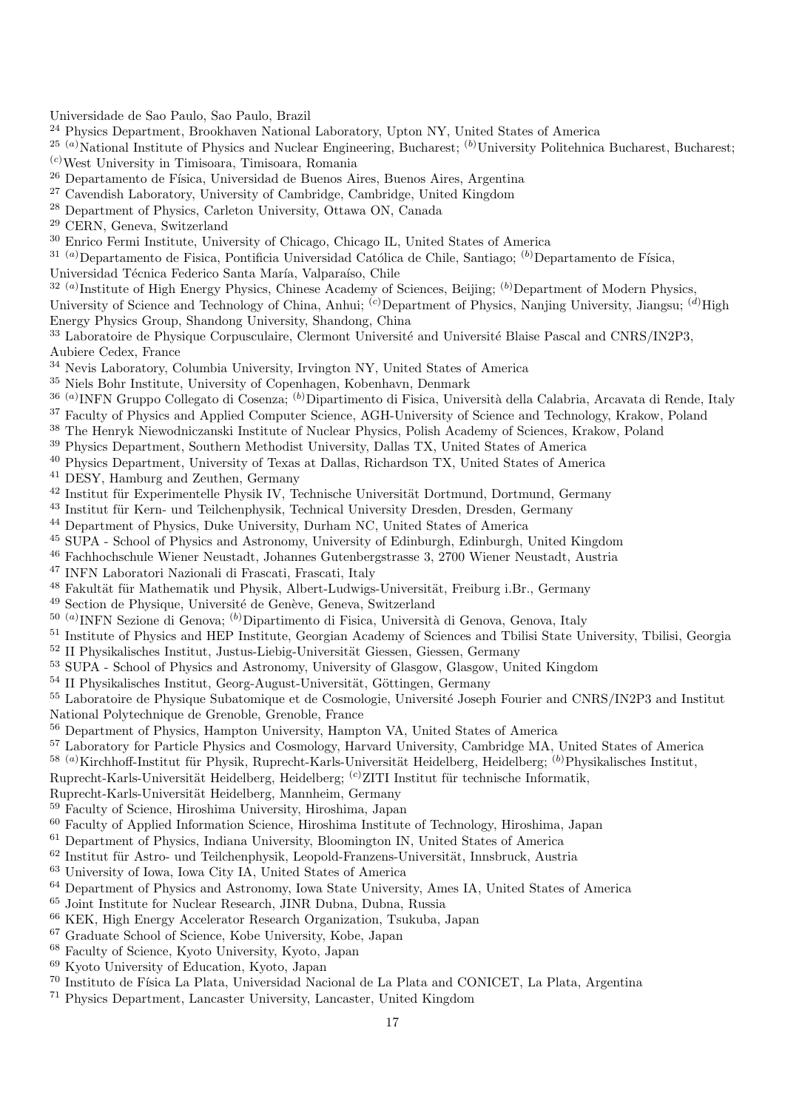Universidade de Sao Paulo, Sao Paulo, Brazil

Physics Department, Brookhaven National Laboratory, Upton NY, United States of America

 $^{25}$  (a)National Institute of Physics and Nuclear Engineering, Bucharest; (b)University Politehnica Bucharest, Bucharest; (c)West University in Timisoara, Timisoara, Romania

- $^{26}$  Departamento de Física, Universidad de Buenos Aires, Buenos Aires, Argentina
- Cavendish Laboratory, University of Cambridge, Cambridge, United Kingdom
- Department of Physics, Carleton University, Ottawa ON, Canada
- CERN, Geneva, Switzerland
- Enrico Fermi Institute, University of Chicago, Chicago IL, United States of America
- (a)Departamento de Fisica, Pontificia Universidad Católica de Chile, Santiago; (b)Departamento de Física,

Universidad Técnica Federico Santa María, Valparaíso, Chile

 $32(a)$ Institute of High Energy Physics, Chinese Academy of Sciences, Beijing;  $(b)$ Department of Modern Physics,

University of Science and Technology of China, Anhui; <sup>(c)</sup>Department of Physics, Nanjing University, Jiangsu; <sup>(d)</sup>High Energy Physics Group, Shandong University, Shandong, China

<sup>33</sup> Laboratoire de Physique Corpusculaire, Clermont Université and Université Blaise Pascal and CNRS/IN2P3, Aubiere Cedex, France

- Nevis Laboratory, Columbia University, Irvington NY, United States of America
- Niels Bohr Institute, University of Copenhagen, Kobenhavn, Denmark
- <sup>36 (a)</sup>INFN Gruppo Collegato di Cosenza; <sup>(b)</sup>Dipartimento di Fisica, Università della Calabria, Arcavata di Rende, Italy
- Faculty of Physics and Applied Computer Science, AGH-University of Science and Technology, Krakow, Poland
- The Henryk Niewodniczanski Institute of Nuclear Physics, Polish Academy of Sciences, Krakow, Poland
- Physics Department, Southern Methodist University, Dallas TX, United States of America
- Physics Department, University of Texas at Dallas, Richardson TX, United States of America
- DESY, Hamburg and Zeuthen, Germany
- $^{42}$ Institut für Experimentelle Physik IV, Technische Universität Dortmund, Dortmund, Germany
- <sup>43</sup> Institut für Kern- und Teilchenphysik, Technical University Dresden, Dresden, Germany
- Department of Physics, Duke University, Durham NC, United States of America
- SUPA School of Physics and Astronomy, University of Edinburgh, Edinburgh, United Kingdom
- Fachhochschule Wiener Neustadt, Johannes Gutenbergstrasse 3, 2700 Wiener Neustadt, Austria
- INFN Laboratori Nazionali di Frascati, Frascati, Italy
- <sup>48</sup> Fakultät für Mathematik und Physik, Albert-Ludwigs-Universität, Freiburg i.Br., Germany
- $^{49}$  Section de Physique, Université de Genève, Geneva, Switzerland
- <sup>50 (a)</sup>INFN Sezione di Genova; <sup>(b)</sup>Dipartimento di Fisica, Università di Genova, Genova, Italy
- <sup>51</sup> Institute of Physics and HEP Institute, Georgian Academy of Sciences and Tbilisi State University, Tbilisi, Georgia
- II Physikalisches Institut, Justus-Liebig-Universität Giessen, Giessen, Germany
- SUPA School of Physics and Astronomy, University of Glasgow, Glasgow, United Kingdom
- II Physikalisches Institut, Georg-August-Universität, Göttingen, Germany
- <sup>55</sup> Laboratoire de Physique Subatomique et de Cosmologie, Université Joseph Fourier and CNRS/IN2P3 and Institut National Polytechnique de Grenoble, Grenoble, France
- Department of Physics, Hampton University, Hampton VA, United States of America
- <sup>57</sup> Laboratory for Particle Physics and Cosmology, Harvard University, Cambridge MA, United States of America
- $^{58}$  (a)Kirchhoff-Institut für Physik, Ruprecht-Karls-Universität Heidelberg, Heidelberg; (b)Physikalisches Institut,
- Ruprecht-Karls-Universität Heidelberg, Heidelberg; <sup>(c)</sup>ZITI Institut für technische Informatik,
- Ruprecht-Karls-Universität Heidelberg, Mannheim, Germany
- Faculty of Science, Hiroshima University, Hiroshima, Japan
- Faculty of Applied Information Science, Hiroshima Institute of Technology, Hiroshima, Japan
- Department of Physics, Indiana University, Bloomington IN, United States of America
- Institut für Astro- und Teilchenphysik, Leopold-Franzens-Universität, Innsbruck, Austria
- University of Iowa, Iowa City IA, United States of America
- Department of Physics and Astronomy, Iowa State University, Ames IA, United States of America
- Joint Institute for Nuclear Research, JINR Dubna, Dubna, Russia
- KEK, High Energy Accelerator Research Organization, Tsukuba, Japan
- Graduate School of Science, Kobe University, Kobe, Japan
- Faculty of Science, Kyoto University, Kyoto, Japan
- Kyoto University of Education, Kyoto, Japan
- Instituto de F´ısica La Plata, Universidad Nacional de La Plata and CONICET, La Plata, Argentina
- Physics Department, Lancaster University, Lancaster, United Kingdom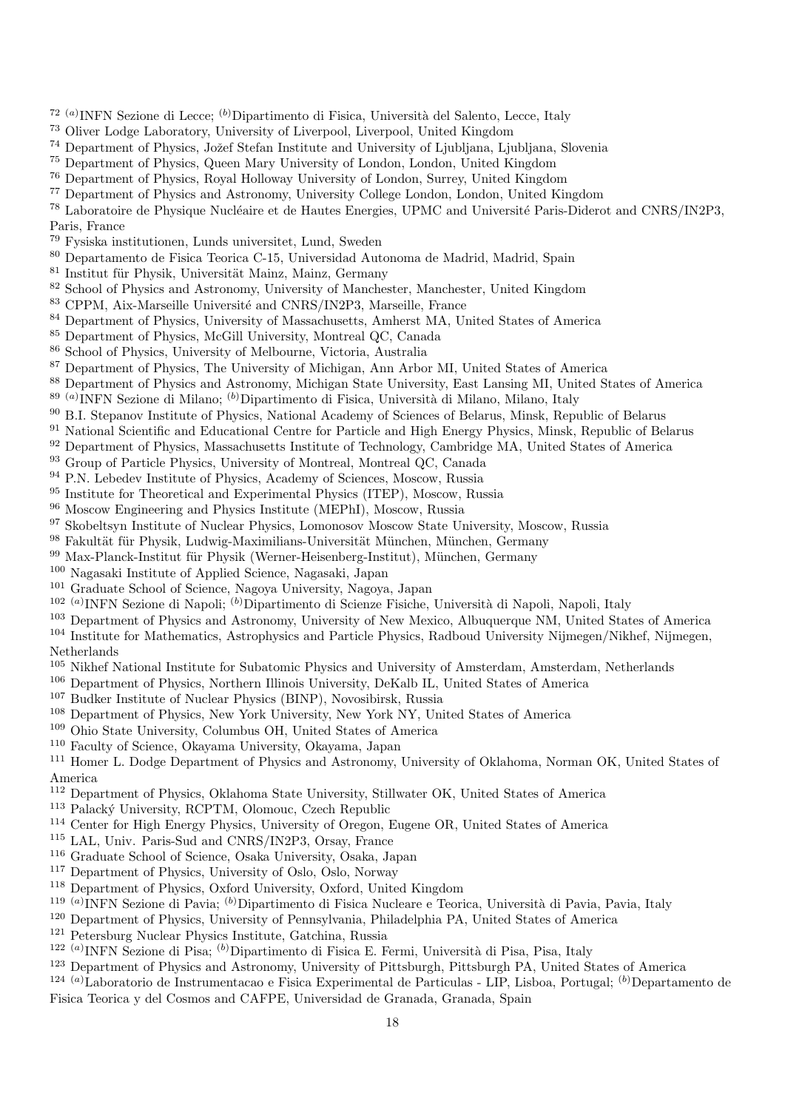- <sup>72 (a)</sup> INFN Sezione di Lecce; <sup>(b)</sup> Dipartimento di Fisica, Università del Salento, Lecce, Italy
- Oliver Lodge Laboratory, University of Liverpool, Liverpool, United Kingdom
- <sup>74</sup> Department of Physics, Jožef Stefan Institute and University of Ljubljana, Ljubljana, Slovenia
- Department of Physics, Queen Mary University of London, London, United Kingdom
- Department of Physics, Royal Holloway University of London, Surrey, United Kingdom
- Department of Physics and Astronomy, University College London, London, United Kingdom
- <sup>78</sup> Laboratoire de Physique Nucléaire et de Hautes Energies, UPMC and Université Paris-Diderot and CNRS/IN2P3, Paris, France
- Fysiska institutionen, Lunds universitet, Lund, Sweden
- Departamento de Fisica Teorica C-15, Universidad Autonoma de Madrid, Madrid, Spain
- <sup>81</sup> Institut für Physik, Universität Mainz, Mainz, Germany
- <sup>82</sup> School of Physics and Astronomy, University of Manchester, Manchester, United Kingdom
- <sup>83</sup> CPPM, Aix-Marseille Université and CNRS/IN2P3, Marseille, France
- Department of Physics, University of Massachusetts, Amherst MA, United States of America
- Department of Physics, McGill University, Montreal QC, Canada
- School of Physics, University of Melbourne, Victoria, Australia
- Department of Physics, The University of Michigan, Ann Arbor MI, United States of America
- Department of Physics and Astronomy, Michigan State University, East Lansing MI, United States of America
- <sup>89 (a)</sup>INFN Sezione di Milano; <sup>(b)</sup>Dipartimento di Fisica, Università di Milano, Milano, Italy
- B.I. Stepanov Institute of Physics, National Academy of Sciences of Belarus, Minsk, Republic of Belarus
- <sup>91</sup> National Scientific and Educational Centre for Particle and High Energy Physics, Minsk, Republic of Belarus
- Department of Physics, Massachusetts Institute of Technology, Cambridge MA, United States of America
- Group of Particle Physics, University of Montreal, Montreal QC, Canada
- P.N. Lebedev Institute of Physics, Academy of Sciences, Moscow, Russia
- Institute for Theoretical and Experimental Physics (ITEP), Moscow, Russia
- Moscow Engineering and Physics Institute (MEPhI), Moscow, Russia
- Skobeltsyn Institute of Nuclear Physics, Lomonosov Moscow State University, Moscow, Russia
- 98 Fakultät für Physik, Ludwig-Maximilians-Universität München, München, Germany
- 99 Max-Planck-Institut für Physik (Werner-Heisenberg-Institut), München, Germany
- Nagasaki Institute of Applied Science, Nagasaki, Japan
- Graduate School of Science, Nagoya University, Nagoya, Japan
- <sup>102 (a)</sup>INFN Sezione di Napoli; <sup>(b)</sup>Dipartimento di Scienze Fisiche, Università di Napoli, Napoli, Italy
- Department of Physics and Astronomy, University of New Mexico, Albuquerque NM, United States of America
- Institute for Mathematics, Astrophysics and Particle Physics, Radboud University Nijmegen/Nikhef, Nijmegen, Netherlands
- Nikhef National Institute for Subatomic Physics and University of Amsterdam, Amsterdam, Netherlands
- Department of Physics, Northern Illinois University, DeKalb IL, United States of America
- Budker Institute of Nuclear Physics (BINP), Novosibirsk, Russia
- Department of Physics, New York University, New York NY, United States of America
- Ohio State University, Columbus OH, United States of America
- Faculty of Science, Okayama University, Okayama, Japan

<sup>111</sup> Homer L. Dodge Department of Physics and Astronomy, University of Oklahoma, Norman OK, United States of America

- Department of Physics, Oklahoma State University, Stillwater OK, United States of America
- <sup>113</sup> Palacký University, RCPTM, Olomouc, Czech Republic
- Center for High Energy Physics, University of Oregon, Eugene OR, United States of America
- LAL, Univ. Paris-Sud and CNRS/IN2P3, Orsay, France
- Graduate School of Science, Osaka University, Osaka, Japan
- Department of Physics, University of Oslo, Oslo, Norway
- Department of Physics, Oxford University, Oxford, United Kingdom
- <sup>119 (a)</sup>INFN Sezione di Pavia; <sup>(b)</sup>Dipartimento di Fisica Nucleare e Teorica, Università di Pavia, Pavia, Italy
- Department of Physics, University of Pennsylvania, Philadelphia PA, United States of America
- Petersburg Nuclear Physics Institute, Gatchina, Russia
- <sup>122 (a)</sup>INFN Sezione di Pisa; <sup>(b)</sup>Dipartimento di Fisica E. Fermi, Università di Pisa, Pisa, Italy
- Department of Physics and Astronomy, University of Pittsburgh, Pittsburgh PA, United States of America
- (a)Laboratorio de Instrumentacao e Fisica Experimental de Particulas LIP, Lisboa, Portugal; (b)Departamento de Fisica Teorica y del Cosmos and CAFPE, Universidad de Granada, Granada, Spain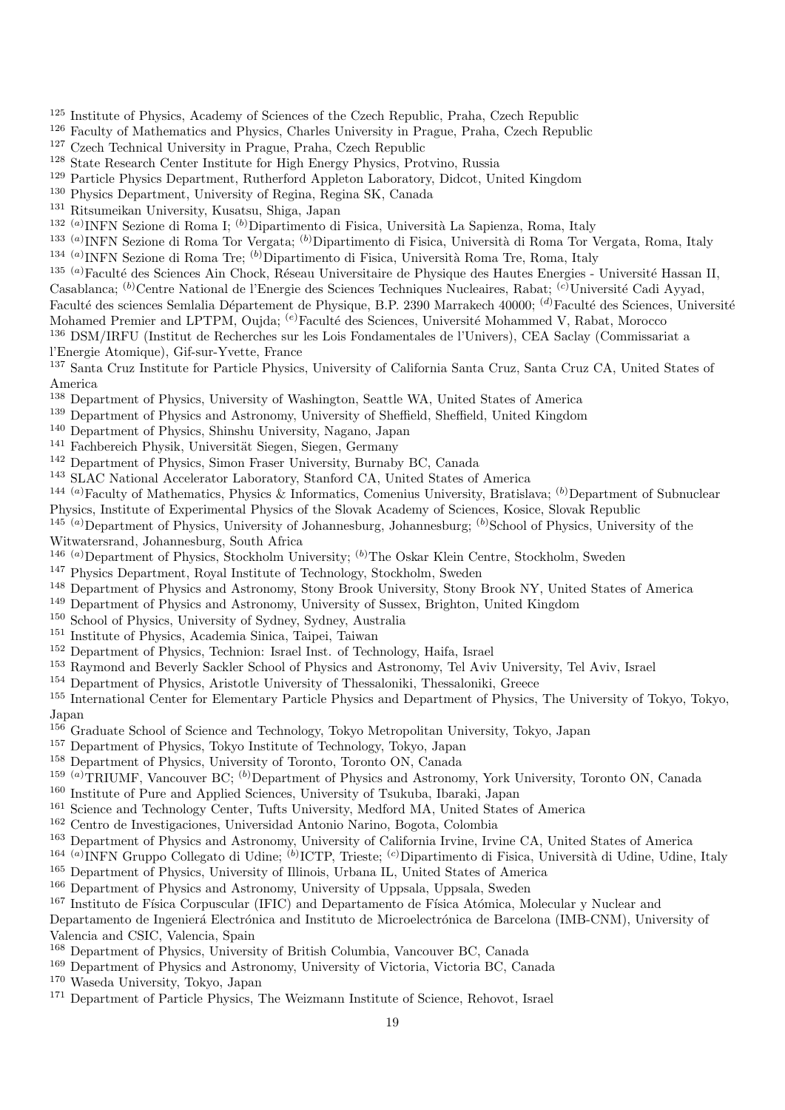- Institute of Physics, Academy of Sciences of the Czech Republic, Praha, Czech Republic
- Faculty of Mathematics and Physics, Charles University in Prague, Praha, Czech Republic
- Czech Technical University in Prague, Praha, Czech Republic
- State Research Center Institute for High Energy Physics, Protvino, Russia
- Particle Physics Department, Rutherford Appleton Laboratory, Didcot, United Kingdom
- Physics Department, University of Regina, Regina SK, Canada
- Ritsumeikan University, Kusatsu, Shiga, Japan
- <sup>132 (a)</sup>INFN Sezione di Roma I; <sup>(b)</sup>Dipartimento di Fisica, Università La Sapienza, Roma, Italy
- <sup>133 (a)</sup>INFN Sezione di Roma Tor Vergata; <sup>(b)</sup>Dipartimento di Fisica, Università di Roma Tor Vergata, Roma, Italy
- <sup>134 (a)</sup>INFN Sezione di Roma Tre; <sup>(b)</sup>Dipartimento di Fisica, Università Roma Tre, Roma, Italy
- <sup>135 (a)</sup>Faculté des Sciences Ain Chock, Réseau Universitaire de Physique des Hautes Energies Université Hassan II, Casablanca; <sup>(b)</sup>Centre National de l'Energie des Sciences Techniques Nucleaires, Rabat; <sup>(c)</sup>Université Cadi Ayyad, Faculté des sciences Semlalia Département de Physique, B.P. 2390 Marrakech 40000; <sup>(d)</sup>Faculté des Sciences, Université
- Mohamed Premier and LPTPM, Oujda; <sup>(e)</sup>Faculté des Sciences, Université Mohammed V, Rabat, Morocco
- DSM/IRFU (Institut de Recherches sur les Lois Fondamentales de l'Univers), CEA Saclay (Commissariat a l'Energie Atomique), Gif-sur-Yvette, France
- Santa Cruz Institute for Particle Physics, University of California Santa Cruz, Santa Cruz CA, United States of America
- Department of Physics, University of Washington, Seattle WA, United States of America
- Department of Physics and Astronomy, University of Sheffield, Sheffield, United Kingdom
- Department of Physics, Shinshu University, Nagano, Japan
- <sup>141</sup> Fachbereich Physik, Universität Siegen, Siegen, Germany
- Department of Physics, Simon Fraser University, Burnaby BC, Canada
- SLAC National Accelerator Laboratory, Stanford CA, United States of America
- <sup>144 (a)</sup>Faculty of Mathematics, Physics & Informatics, Comenius University, Bratislava; <sup>(b)</sup>Department of Subnuclear Physics, Institute of Experimental Physics of the Slovak Academy of Sciences, Kosice, Slovak Republic
- $145^{\circ}$  (a)Department of Physics, University of Johannesburg, Johannesburg; (b)School of Physics, University of the Witwatersrand, Johannesburg, South Africa
- <sup>146 (a)</sup>Department of Physics, Stockholm University; <sup>(b)</sup>The Oskar Klein Centre, Stockholm, Sweden
- Physics Department, Royal Institute of Technology, Stockholm, Sweden
- Department of Physics and Astronomy, Stony Brook University, Stony Brook NY, United States of America
- Department of Physics and Astronomy, University of Sussex, Brighton, United Kingdom
- School of Physics, University of Sydney, Sydney, Australia
- Institute of Physics, Academia Sinica, Taipei, Taiwan
- Department of Physics, Technion: Israel Inst. of Technology, Haifa, Israel
- Raymond and Beverly Sackler School of Physics and Astronomy, Tel Aviv University, Tel Aviv, Israel
- Department of Physics, Aristotle University of Thessaloniki, Thessaloniki, Greece

 International Center for Elementary Particle Physics and Department of Physics, The University of Tokyo, Tokyo, Japan

- Graduate School of Science and Technology, Tokyo Metropolitan University, Tokyo, Japan
- Department of Physics, Tokyo Institute of Technology, Tokyo, Japan
- Department of Physics, University of Toronto, Toronto ON, Canada
- <sup>159 (a)</sup>TRIUMF, Vancouver BC; <sup>(b)</sup>Department of Physics and Astronomy, York University, Toronto ON, Canada
- Institute of Pure and Applied Sciences, University of Tsukuba, Ibaraki, Japan
- Science and Technology Center, Tufts University, Medford MA, United States of America
- Centro de Investigaciones, Universidad Antonio Narino, Bogota, Colombia
- Department of Physics and Astronomy, University of California Irvine, Irvine CA, United States of America
- <sup>164 (a)</sup>INFN Gruppo Collegato di Udine; <sup>(b)</sup>ICTP, Trieste; <sup>(c)</sup>Dipartimento di Fisica, Università di Udine, Udine, Italy
- Department of Physics, University of Illinois, Urbana IL, United States of America
- <sup>166</sup> Department of Physics and Astronomy, University of Uppsala, Uppsala, Sweden
- <sup>167</sup> Instituto de Física Corpuscular (IFIC) and Departamento de Física Atómica, Molecular y Nuclear and

Departamento de Ingenierá Electrónica and Instituto de Microelectrónica de Barcelona (IMB-CNM), University of Valencia and CSIC, Valencia, Spain

- Department of Physics, University of British Columbia, Vancouver BC, Canada
- Department of Physics and Astronomy, University of Victoria, Victoria BC, Canada
- Waseda University, Tokyo, Japan
- <sup>171</sup> Department of Particle Physics, The Weizmann Institute of Science, Rehovot, Israel